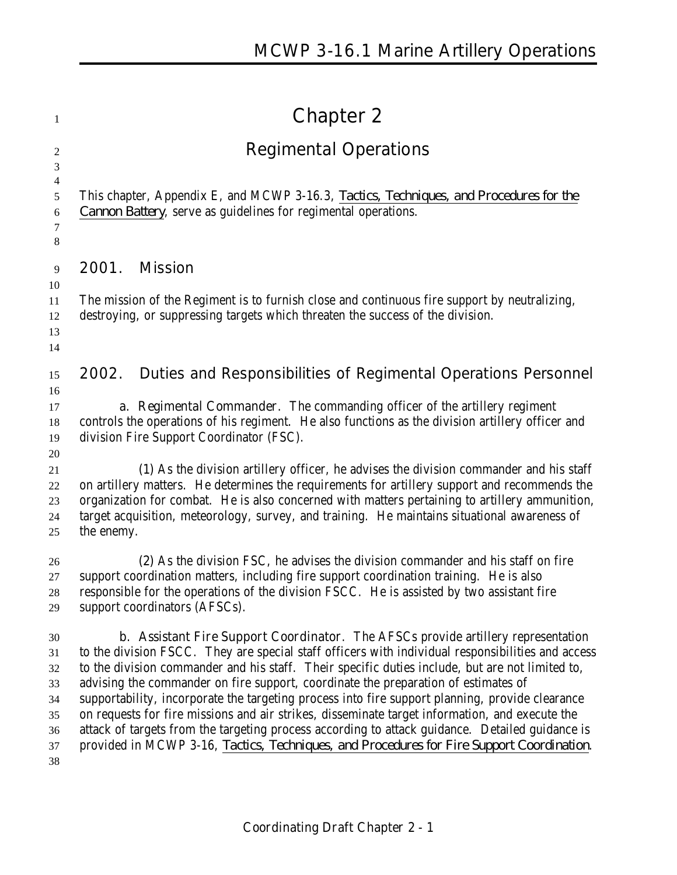| 1                                                  | <b>Chapter 2</b>                                                                                                                                                                                                                                                                                                                                                                                                                                                                                                                                                                                                                                                                                                                                                                            |
|----------------------------------------------------|---------------------------------------------------------------------------------------------------------------------------------------------------------------------------------------------------------------------------------------------------------------------------------------------------------------------------------------------------------------------------------------------------------------------------------------------------------------------------------------------------------------------------------------------------------------------------------------------------------------------------------------------------------------------------------------------------------------------------------------------------------------------------------------------|
| $\overline{2}$                                     | <b>Regimental Operations</b>                                                                                                                                                                                                                                                                                                                                                                                                                                                                                                                                                                                                                                                                                                                                                                |
| 3<br>4<br>5<br>6<br>7<br>$8\phantom{1}$            | This chapter, Appendix E, and MCWP 3-16.3, <i>Tactics, Techniques, and Procedures for the</i><br><i>Cannon Battery</i> , serve as guidelines for regimental operations.                                                                                                                                                                                                                                                                                                                                                                                                                                                                                                                                                                                                                     |
| 9                                                  | 2001.<br><b>Mission</b>                                                                                                                                                                                                                                                                                                                                                                                                                                                                                                                                                                                                                                                                                                                                                                     |
| 10<br>11<br>12<br>13<br>14                         | The mission of the Regiment is to furnish close and continuous fire support by neutralizing,<br>destroying, or suppressing targets which threaten the success of the division.                                                                                                                                                                                                                                                                                                                                                                                                                                                                                                                                                                                                              |
| 15                                                 | Duties and Responsibilities of Regimental Operations Personnel<br>2002.                                                                                                                                                                                                                                                                                                                                                                                                                                                                                                                                                                                                                                                                                                                     |
| 16<br>17<br>18<br>19<br>20                         | a. Regimental Commander. The commanding officer of the artillery regiment<br>controls the operations of his regiment. He also functions as the division artillery officer and<br>division Fire Support Coordinator (FSC).                                                                                                                                                                                                                                                                                                                                                                                                                                                                                                                                                                   |
| 21<br>22<br>23<br>24<br>25                         | (1) As the division artillery officer, he advises the division commander and his staff<br>on artillery matters. He determines the requirements for artillery support and recommends the<br>organization for combat. He is also concerned with matters pertaining to artillery ammunition,<br>target acquisition, meteorology, survey, and training. He maintains situational awareness of<br>the enemy.                                                                                                                                                                                                                                                                                                                                                                                     |
| 26<br>27<br>$28\,$<br>29                           | (2) As the division FSC, he advises the division commander and his staff on fire<br>support coordination matters, including fire support coordination training. He is also<br>responsible for the operations of the division FSCC. He is assisted by two assistant fire<br>support coordinators (AFSCs).                                                                                                                                                                                                                                                                                                                                                                                                                                                                                    |
| 30<br>31<br>32<br>33<br>34<br>35<br>36<br>37<br>38 | <b>b.</b> Assistant Fire Support Coordinator. The AFSCs provide artillery representation<br>to the division FSCC. They are special staff officers with individual responsibilities and access<br>to the division commander and his staff. Their specific duties include, but are not limited to,<br>advising the commander on fire support, coordinate the preparation of estimates of<br>supportability, incorporate the targeting process into fire support planning, provide clearance<br>on requests for fire missions and air strikes, disseminate target information, and execute the<br>attack of targets from the targeting process according to attack guidance. Detailed guidance is<br>provided in MCWP 3-16, Tactics, Techniques, and Procedures for Fire Support Coordination. |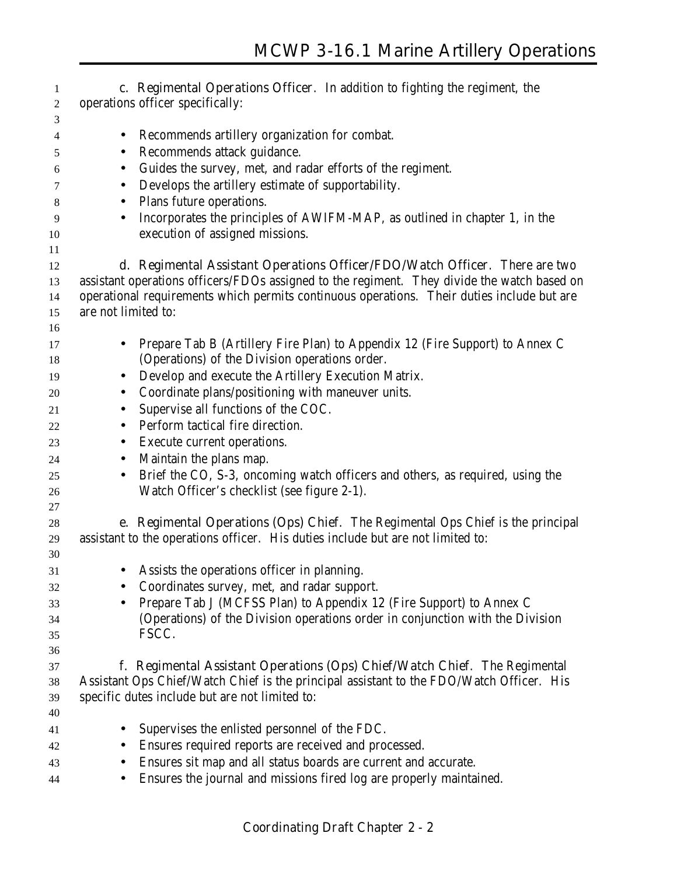| 1              | c. Regimental Operations Officer. In addition to fighting the regiment, the                 |
|----------------|---------------------------------------------------------------------------------------------|
| $\overline{c}$ | operations officer specifically:                                                            |
| 3              |                                                                                             |
| 4              | Recommends artillery organization for combat.<br>$\bullet$                                  |
| 5              | Recommends attack guidance.<br>$\bullet$                                                    |
| 6              | Guides the survey, met, and radar efforts of the regiment.<br>$\bullet$                     |
| 7              | Develops the artillery estimate of supportability.<br>$\bullet$                             |
| 8              | Plans future operations.<br>$\bullet$                                                       |
| 9              | Incorporates the principles of AWIFM-MAP, as outlined in chapter 1, in the<br>$\bullet$     |
| 10             | execution of assigned missions.                                                             |
| 11             |                                                                                             |
| 12             | d. Regimental Assistant Operations Officer/FDO/Watch Officer. There are two                 |
| 13             | assistant operations officers/FDOs assigned to the regiment. They divide the watch based on |
| 14             | operational requirements which permits continuous operations. Their duties include but are  |
| 15             | are not limited to:                                                                         |
| 16             |                                                                                             |
| 17             | Prepare Tab B (Artillery Fire Plan) to Appendix 12 (Fire Support) to Annex C<br>$\bullet$   |
| 18             | (Operations) of the Division operations order.                                              |
| 19             | Develop and execute the Artillery Execution Matrix.<br>$\bullet$                            |
| 20             | Coordinate plans/positioning with maneuver units.<br>$\bullet$                              |
| 21             | Supervise all functions of the COC.<br>$\bullet$                                            |
| 22             | Perform tactical fire direction.<br>$\bullet$                                               |
| 23             | Execute current operations.<br>$\bullet$                                                    |
| 24             | Maintain the plans map.<br>$\bullet$                                                        |
| 25             | Brief the CO, S-3, oncoming watch officers and others, as required, using the<br>$\bullet$  |
| 26             | Watch Officer's checklist (see figure 2-1).                                                 |
| 27             |                                                                                             |
| 28             | e. Regimental Operations (Ops) Chief. The Regimental Ops Chief is the principal             |
| 29             | assistant to the operations officer. His duties include but are not limited to:             |
| 30             |                                                                                             |
| 31             | Assists the operations officer in planning.                                                 |
| 32             | Coordinates survey, met, and radar support.                                                 |
| 33             | Prepare Tab J (MCFSS Plan) to Appendix 12 (Fire Support) to Annex C                         |
| 34             | (Operations) of the Division operations order in conjunction with the Division              |
| 35             | FSCC.                                                                                       |
| 36             |                                                                                             |
| 37             | f. Regimental Assistant Operations (Ops) Chief/Watch Chief. The Regimental                  |
| 38             | Assistant Ops Chief/Watch Chief is the principal assistant to the FDO/Watch Officer. His    |
| 39             | specific dutes include but are not limited to:                                              |
| 40             |                                                                                             |
| 41             | Supervises the enlisted personnel of the FDC.                                               |
| 42             | Ensures required reports are received and processed.                                        |
| 43             | Ensures sit map and all status boards are current and accurate.                             |
| 44             | Ensures the journal and missions fired log are properly maintained.                         |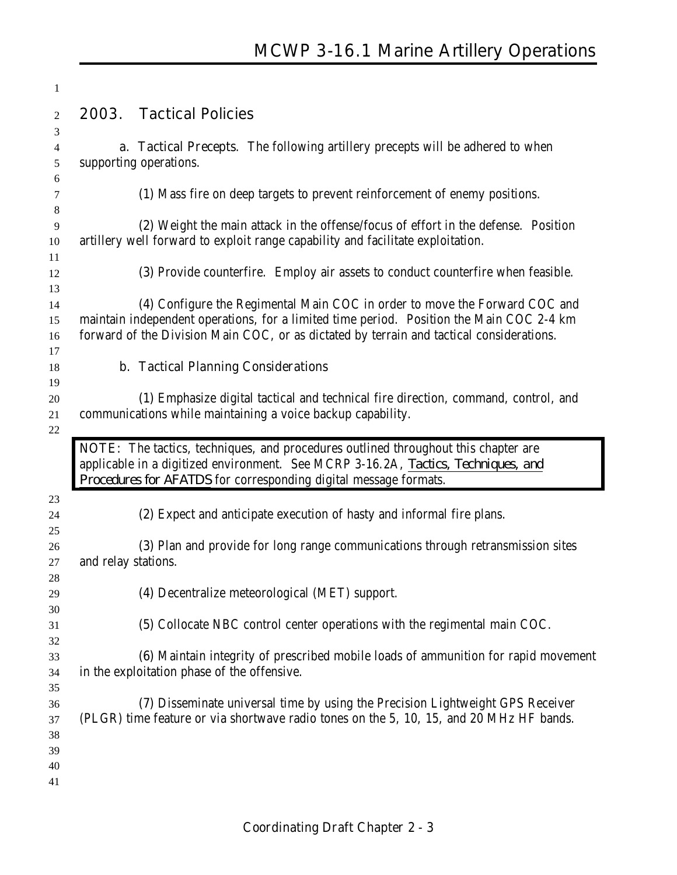|                     | <b>Tactical Policies</b>                                                                                                                                                                                                                                           |
|---------------------|--------------------------------------------------------------------------------------------------------------------------------------------------------------------------------------------------------------------------------------------------------------------|
| 2003.               |                                                                                                                                                                                                                                                                    |
|                     | <b>a. Tactical Precepts.</b> The following artillery precepts will be adhered to when<br>supporting operations.                                                                                                                                                    |
|                     | (1) Mass fire on deep targets to prevent reinforcement of enemy positions.                                                                                                                                                                                         |
|                     | (2) Weight the main attack in the offense/focus of effort in the defense. Position<br>artillery well forward to exploit range capability and facilitate exploitation.                                                                                              |
|                     | (3) Provide counterfire. Employ air assets to conduct counterfire when feasible.                                                                                                                                                                                   |
|                     | (4) Configure the Regimental Main COC in order to move the Forward COC and<br>maintain independent operations, for a limited time period. Position the Main COC 2-4 km<br>forward of the Division Main COC, or as dictated by terrain and tactical considerations. |
|                     | <b>b. Tactical Planning Considerations</b>                                                                                                                                                                                                                         |
|                     | (1) Emphasize digital tactical and technical fire direction, command, control, and<br>communications while maintaining a voice backup capability.<br>NOTE: The tactics, techniques, and procedures outlined throughout this chapter are                            |
|                     |                                                                                                                                                                                                                                                                    |
|                     | applicable in a digitized environment. See MCRP 3-16.2A, Tactics, Techniques, and<br>Procedures for AFATDS for corresponding digital message formats.                                                                                                              |
|                     | (2) Expect and anticipate execution of hasty and informal fire plans.                                                                                                                                                                                              |
| and relay stations. |                                                                                                                                                                                                                                                                    |
|                     | (4) Decentralize meteorological (MET) support.                                                                                                                                                                                                                     |
|                     | (3) Plan and provide for long range communications through retransmission sites<br>(5) Collocate NBC control center operations with the regimental main COC.                                                                                                       |
|                     | in the exploitation phase of the offensive.                                                                                                                                                                                                                        |
|                     |                                                                                                                                                                                                                                                                    |
|                     |                                                                                                                                                                                                                                                                    |
|                     | (6) Maintain integrity of prescribed mobile loads of ammunition for rapid movement<br>(7) Disseminate universal time by using the Precision Lightweight GPS Receiver<br>(PLGR) time feature or via shortwave radio tones on the 5, 10, 15, and 20 MHz HF bands.    |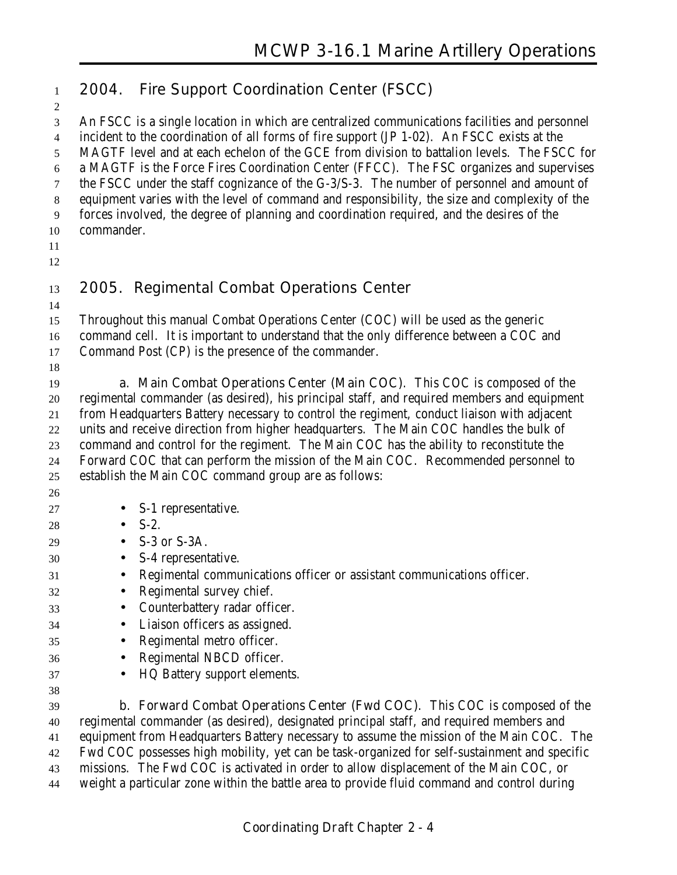| $\mathbf{1}$                                    |            | 2004. Fire Support Coordination Center (FSCC)                                                                                                                                                                                                                                                                                                                                        |
|-------------------------------------------------|------------|--------------------------------------------------------------------------------------------------------------------------------------------------------------------------------------------------------------------------------------------------------------------------------------------------------------------------------------------------------------------------------------|
| 2<br>$\mathfrak{Z}$<br>$\overline{4}$<br>5<br>6 |            | An FSCC is a single location in which are centralized communications facilities and personnel<br>incident to the coordination of all forms of fire support (JP 1-02). An FSCC exists at the<br>MAGTF level and at each echelon of the GCE from division to battalion levels. The FSCC for<br>a MAGTF is the Force Fires Coordination Center (FFCC). The FSC organizes and supervises |
| 7<br>8<br>9<br>10<br>11                         | commander. | the FSCC under the staff cognizance of the G-3/S-3. The number of personnel and amount of<br>equipment varies with the level of command and responsibility, the size and complexity of the<br>forces involved, the degree of planning and coordination required, and the desires of the                                                                                              |
| 12<br>13                                        |            | 2005. Regimental Combat Operations Center                                                                                                                                                                                                                                                                                                                                            |
| 14                                              |            |                                                                                                                                                                                                                                                                                                                                                                                      |
| 15                                              |            | Throughout this manual Combat Operations Center (COC) will be used as the generic<br>command cell. It is important to understand that the only difference between a COC and                                                                                                                                                                                                          |
| 16<br>17                                        |            | Command Post (CP) is the presence of the commander.                                                                                                                                                                                                                                                                                                                                  |
| 18                                              |            |                                                                                                                                                                                                                                                                                                                                                                                      |
| 19                                              |            | a. Main Combat Operations Center (Main COC). This COC is composed of the                                                                                                                                                                                                                                                                                                             |
| 20                                              |            | regimental commander (as desired), his principal staff, and required members and equipment                                                                                                                                                                                                                                                                                           |
| 21                                              |            | from Headquarters Battery necessary to control the regiment, conduct liaison with adjacent                                                                                                                                                                                                                                                                                           |
| 22                                              |            | units and receive direction from higher headquarters. The Main COC handles the bulk of                                                                                                                                                                                                                                                                                               |
| 23                                              |            | command and control for the regiment. The Main COC has the ability to reconstitute the                                                                                                                                                                                                                                                                                               |
| 24                                              |            | Forward COC that can perform the mission of the Main COC. Recommended personnel to                                                                                                                                                                                                                                                                                                   |
| 25                                              |            | establish the Main COC command group are as follows:                                                                                                                                                                                                                                                                                                                                 |
| 26                                              |            |                                                                                                                                                                                                                                                                                                                                                                                      |
| 27                                              |            | $\bullet$ S-1 representative.                                                                                                                                                                                                                                                                                                                                                        |
| 28                                              | $\bullet$  | $S-2$ .                                                                                                                                                                                                                                                                                                                                                                              |
| 29                                              | $\bullet$  | S-3 or S-3A.                                                                                                                                                                                                                                                                                                                                                                         |
| 30                                              | $\bullet$  | S-4 representative.                                                                                                                                                                                                                                                                                                                                                                  |
| 31                                              |            | Regimental communications officer or assistant communications officer.                                                                                                                                                                                                                                                                                                               |
| 32                                              |            | Regimental survey chief.                                                                                                                                                                                                                                                                                                                                                             |
| 33                                              |            | Counterbattery radar officer.                                                                                                                                                                                                                                                                                                                                                        |
| 34                                              | $\bullet$  | Liaison officers as assigned.                                                                                                                                                                                                                                                                                                                                                        |
| 35                                              | $\bullet$  | Regimental metro officer.                                                                                                                                                                                                                                                                                                                                                            |
| 36                                              | $\bullet$  | Regimental NBCD officer.                                                                                                                                                                                                                                                                                                                                                             |
| 37                                              | $\bullet$  | HQ Battery support elements.                                                                                                                                                                                                                                                                                                                                                         |
| 38                                              |            |                                                                                                                                                                                                                                                                                                                                                                                      |
| 39                                              |            | <b>b. Forward Combat Operations Center (Fwd COC).</b> This COC is composed of the                                                                                                                                                                                                                                                                                                    |
| 40                                              |            | regimental commander (as desired), designated principal staff, and required members and                                                                                                                                                                                                                                                                                              |
| 41                                              |            | equipment from Headquarters Battery necessary to assume the mission of the Main COC. The                                                                                                                                                                                                                                                                                             |
| 42                                              |            | Fwd COC possesses high mobility, yet can be task-organized for self-sustainment and specific                                                                                                                                                                                                                                                                                         |
| 43                                              |            | missions. The Fwd COC is activated in order to allow displacement of the Main COC, or                                                                                                                                                                                                                                                                                                |
| 44                                              |            | weight a particular zone within the battle area to provide fluid command and control during                                                                                                                                                                                                                                                                                          |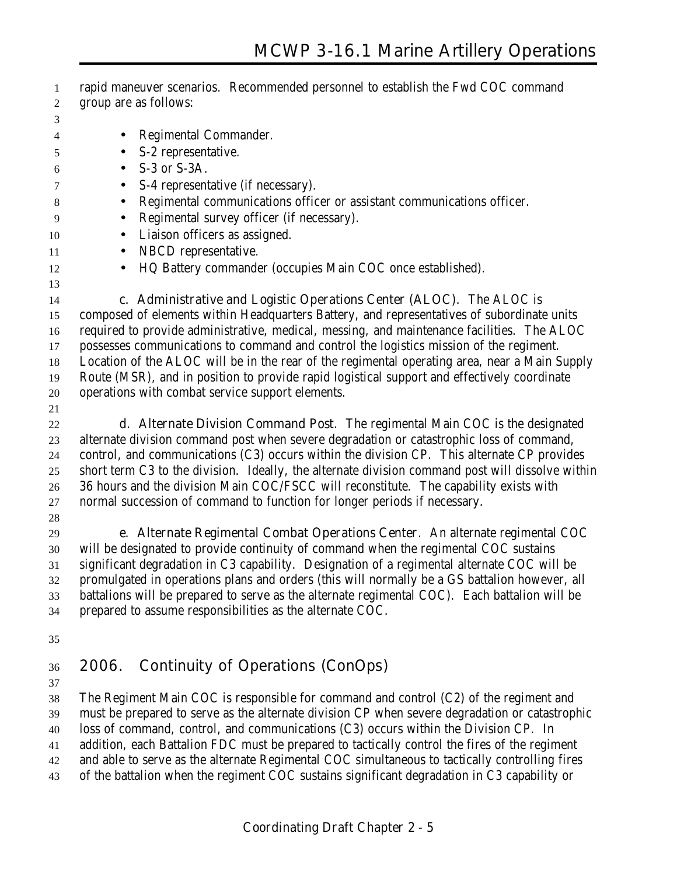- rapid maneuver scenarios. Recommended personnel to establish the Fwd COC command group are as follows:
- 
- Regimental Commander.
- S-2 representative.  $6 \qquad \bullet \quad S-3 \text{ or } S-3A.$
- S-4 representative (if necessary).
- Regimental communications officer or assistant communications officer.
- Regimental survey officer (if necessary).
- 10 Liaison officers as assigned.
- 11 NBCD representative.
- HQ Battery commander (occupies Main COC once established).
- 

**c. Administrative and Logistic Operations Center (ALOC)**. The ALOC is

 composed of elements within Headquarters Battery, and representatives of subordinate units required to provide administrative, medical, messing, and maintenance facilities. The ALOC possesses communications to command and control the logistics mission of the regiment. Location of the ALOC will be in the rear of the regimental operating area, near a Main Supply

Route (MSR), and in position to provide rapid logistical support and effectively coordinate

- operations with combat service support elements.
- 

 **d. Alternate Division Command Post**. The regimental Main COC is the designated alternate division command post when severe degradation or catastrophic loss of command, control, and communications (C3) occurs within the division CP. This alternate CP provides short term C3 to the division. Ideally, the alternate division command post will dissolve within 36 hours and the division Main COC/FSCC will reconstitute. The capability exists with normal succession of command to function for longer periods if necessary.

 **e. Alternate Regimental Combat Operations Center**. An alternate regimental COC will be designated to provide continuity of command when the regimental COC sustains significant degradation in C3 capability. Designation of a regimental alternate COC will be promulgated in operations plans and orders (this will normally be a GS battalion however, all battalions will be prepared to serve as the alternate regimental COC). Each battalion will be prepared to assume responsibilities as the alternate COC.

### **2006. Continuity of Operations (ConOps)**

 The Regiment Main COC is responsible for command and control (C2) of the regiment and must be prepared to serve as the alternate division CP when severe degradation or catastrophic loss of command, control, and communications (C3) occurs within the Division CP. In addition, each Battalion FDC must be prepared to tactically control the fires of the regiment and able to serve as the alternate Regimental COC simultaneous to tactically controlling fires of the battalion when the regiment COC sustains significant degradation in C3 capability or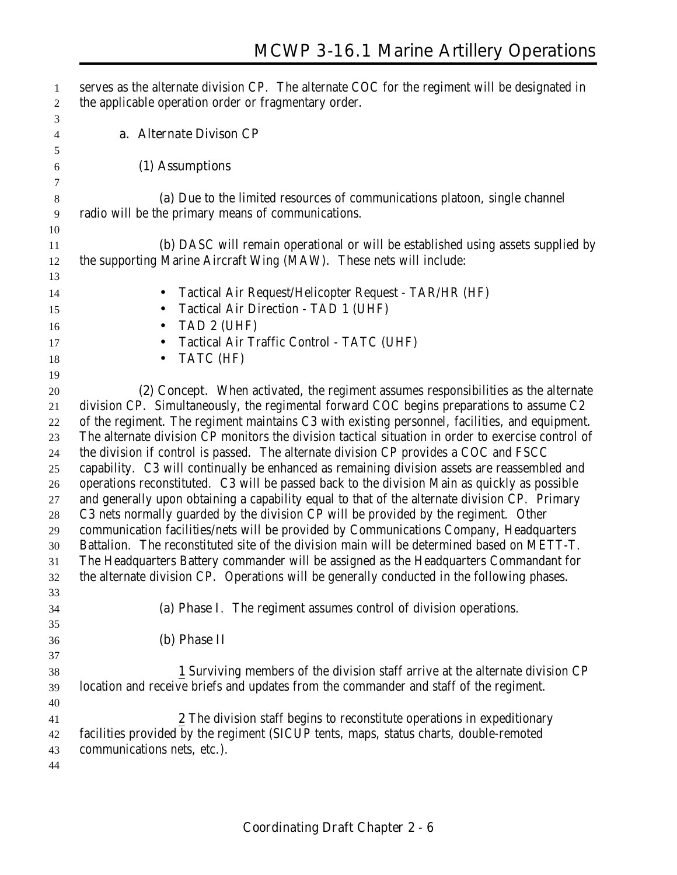| $\mathbf{1}$             | serves as the alternate division CP. The alternate COC for the regiment will be designated in      |
|--------------------------|----------------------------------------------------------------------------------------------------|
| $\overline{c}$           | the applicable operation order or fragmentary order.                                               |
| 3                        |                                                                                                    |
| $\overline{\mathcal{A}}$ | a. Alternate Divison CP                                                                            |
| 5                        |                                                                                                    |
| 6                        | (1) Assumptions                                                                                    |
| $\tau$                   |                                                                                                    |
| $\,8\,$                  | (a) Due to the limited resources of communications platoon, single channel                         |
| $\overline{9}$           | radio will be the primary means of communications.                                                 |
| 10                       |                                                                                                    |
| 11                       | <b>(b)</b> DASC will remain operational or will be established using assets supplied by            |
| 12                       | the supporting Marine Aircraft Wing (MAW). These nets will include:                                |
| 13                       |                                                                                                    |
| 14                       | Tactical Air Request/Helicopter Request - TAR/HR (HF)<br>$\bullet$                                 |
| 15                       | Tactical Air Direction - TAD 1 (UHF)<br>$\bullet$                                                  |
| 16                       | TAD 2 (UHF)                                                                                        |
| 17                       | Tactical Air Traffic Control - TATC (UHF)                                                          |
| 18                       | TATC (HF)                                                                                          |
| 19                       |                                                                                                    |
| $20\,$                   | (2) Concept. When activated, the regiment assumes responsibilities as the alternate                |
| 21                       | division CP. Simultaneously, the regimental forward COC begins preparations to assume C2           |
| 22                       | of the regiment. The regiment maintains C3 with existing personnel, facilities, and equipment.     |
| 23                       | The alternate division CP monitors the division tactical situation in order to exercise control of |
| 24                       | the division if control is passed. The alternate division CP provides a COC and FSCC               |
| 25                       | capability. C3 will continually be enhanced as remaining division assets are reassembled and       |
| 26                       | operations reconstituted. C3 will be passed back to the division Main as quickly as possible       |
| 27                       | and generally upon obtaining a capability equal to that of the alternate division CP. Primary      |
| 28                       | C3 nets normally guarded by the division CP will be provided by the regiment. Other                |
| 29                       | communication facilities/nets will be provided by Communications Company, Headquarters             |
| 30                       | Battalion. The reconstituted site of the division main will be determined based on METT-T.         |
| 31                       | The Headquarters Battery commander will be assigned as the Headquarters Commandant for             |
| 32                       | the alternate division CP. Operations will be generally conducted in the following phases.         |
| 33                       |                                                                                                    |
| 34                       | (a) Phase I. The regiment assumes control of division operations.                                  |
| 35                       |                                                                                                    |
| 36                       | (b) Phase II                                                                                       |
| 37                       |                                                                                                    |
| 38                       | 1 Surviving members of the division staff arrive at the alternate division CP                      |
| 39                       | location and receive briefs and updates from the commander and staff of the regiment.              |
| 40                       |                                                                                                    |
| 41                       | 2 The division staff begins to reconstitute operations in expeditionary                            |
| 42                       | facilities provided by the regiment (SICUP tents, maps, status charts, double-remoted              |
| 43                       | communications nets, etc.).                                                                        |
| 44                       |                                                                                                    |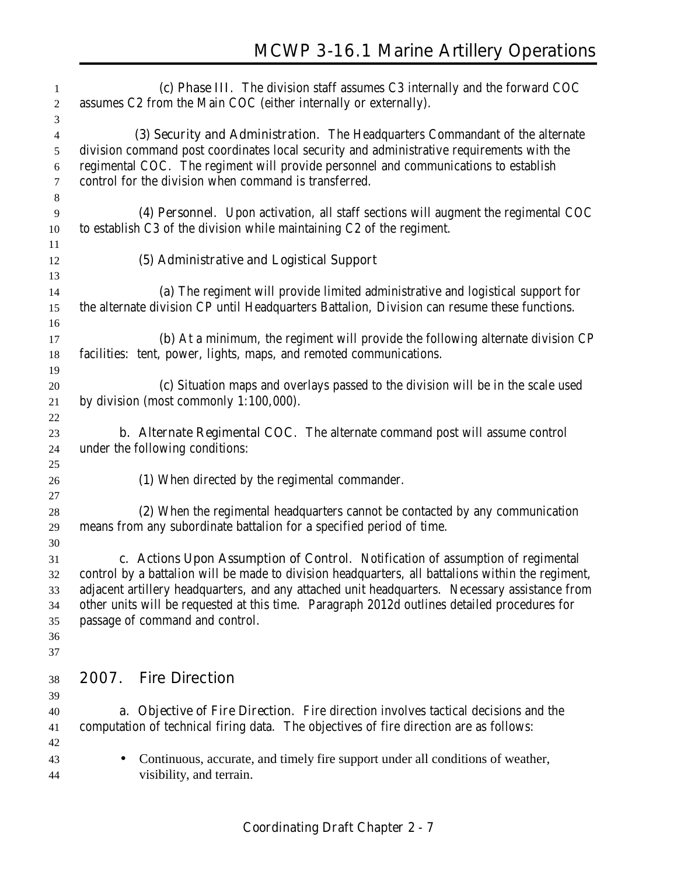| 1                       | (c) Phase III. The division staff assumes C3 internally and the forward COC                                                                                                         |
|-------------------------|-------------------------------------------------------------------------------------------------------------------------------------------------------------------------------------|
| $\boldsymbol{2}$        | assumes C2 from the Main COC (either internally or externally).                                                                                                                     |
| 3                       |                                                                                                                                                                                     |
| $\overline{\mathbf{4}}$ | (3) Security and Administration. The Headquarters Commandant of the alternate                                                                                                       |
| 5                       | division command post coordinates local security and administrative requirements with the                                                                                           |
| 6                       | regimental COC. The regiment will provide personnel and communications to establish                                                                                                 |
| $\tau$                  | control for the division when command is transferred.                                                                                                                               |
| $\,8\,$                 |                                                                                                                                                                                     |
| 9                       | (4) Personnel. Upon activation, all staff sections will augment the regimental COC<br>to establish C3 of the division while maintaining C2 of the regiment.                         |
| 10<br>11                |                                                                                                                                                                                     |
| 12                      | (5) Administrative and Logistical Support                                                                                                                                           |
| 13                      |                                                                                                                                                                                     |
| 14                      | (a) The regiment will provide limited administrative and logistical support for                                                                                                     |
| 15                      | the alternate division CP until Headquarters Battalion, Division can resume these functions.                                                                                        |
| 16                      |                                                                                                                                                                                     |
| 17                      | (b) At a minimum, the regiment will provide the following alternate division CP                                                                                                     |
| 18                      | facilities: tent, power, lights, maps, and remoted communications.                                                                                                                  |
| 19                      |                                                                                                                                                                                     |
| 20                      | (c) Situation maps and overlays passed to the division will be in the scale used                                                                                                    |
| 21                      | by division (most commonly $1:100,000$ ).                                                                                                                                           |
| 22                      |                                                                                                                                                                                     |
| 23                      | <b>b.</b> Alternate Regimental COC. The alternate command post will assume control                                                                                                  |
| 24                      | under the following conditions:                                                                                                                                                     |
| 25                      |                                                                                                                                                                                     |
| 26                      | (1) When directed by the regimental commander.                                                                                                                                      |
| $27\,$                  |                                                                                                                                                                                     |
| 28                      | (2) When the regimental headquarters cannot be contacted by any communication                                                                                                       |
| 29<br>30                | means from any subordinate battalion for a specified period of time.                                                                                                                |
| 31                      | c. Actions Upon Assumption of Control. Notification of assumption of regimental                                                                                                     |
| 32                      | control by a battalion will be made to division headquarters, all battalions within the regiment,                                                                                   |
| 33                      | adjacent artillery headquarters, and any attached unit headquarters. Necessary assistance from                                                                                      |
| 34                      | other units will be requested at this time. Paragraph 2012d outlines detailed procedures for                                                                                        |
| 35                      | passage of command and control.                                                                                                                                                     |
| 36                      |                                                                                                                                                                                     |
| 37                      |                                                                                                                                                                                     |
|                         |                                                                                                                                                                                     |
| 38                      | <b>Fire Direction</b><br>2007.                                                                                                                                                      |
| 39                      |                                                                                                                                                                                     |
| 40<br>41                | <b>a. Objective of Fire Direction.</b> Fire direction involves tactical decisions and the<br>computation of technical firing data. The objectives of fire direction are as follows: |
| 42                      |                                                                                                                                                                                     |
| 43                      | Continuous, accurate, and timely fire support under all conditions of weather,<br>$\bullet$                                                                                         |
| 44                      | visibility, and terrain.                                                                                                                                                            |
|                         |                                                                                                                                                                                     |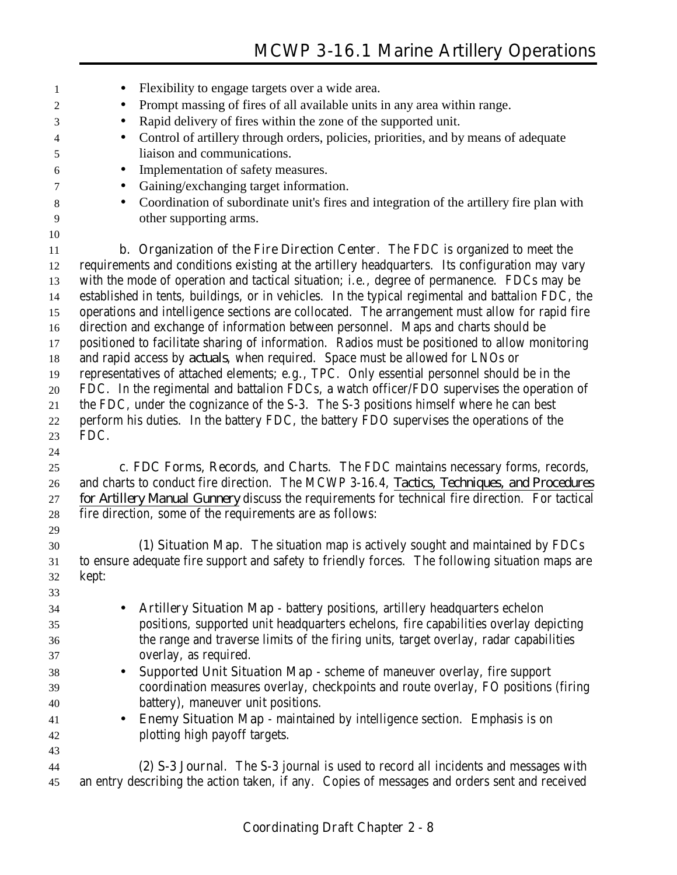| 1        | Flexibility to engage targets over a wide area.                                                       |
|----------|-------------------------------------------------------------------------------------------------------|
| 2        | Prompt massing of fires of all available units in any area within range.<br>$\bullet$                 |
| 3        | Rapid delivery of fires within the zone of the supported unit.<br>$\bullet$                           |
| 4        | Control of artillery through orders, policies, priorities, and by means of adequate<br>$\bullet$      |
| 5        | liaison and communications.                                                                           |
| 6        | Implementation of safety measures.<br>$\bullet$                                                       |
| 7        | Gaining/exchanging target information.<br>$\bullet$                                                   |
| 8        | Coordination of subordinate unit's fires and integration of the artillery fire plan with<br>$\bullet$ |
| 9        | other supporting arms.                                                                                |
| 10       |                                                                                                       |
| 11       | b. Organization of the Fire Direction Center. The FDC is organized to meet the                        |
| 12       | requirements and conditions existing at the artillery headquarters. Its configuration may vary        |
| 13       | with the mode of operation and tactical situation; i.e., degree of permanence. FDCs may be            |
| 14       | established in tents, buildings, or in vehicles. In the typical regimental and battalion FDC, the     |
| 15       | operations and intelligence sections are collocated. The arrangement must allow for rapid fire        |
| 16       | direction and exchange of information between personnel. Maps and charts should be                    |
| 17       | positioned to facilitate sharing of information. Radios must be positioned to allow monitoring        |
| 18       | and rapid access by <i>actuals</i> , when required. Space must be allowed for LNOs or                 |
| 19       | representatives of attached elements; e.g., TPC. Only essential personnel should be in the            |
| 20       | FDC. In the regimental and battalion FDCs, a watch officer/FDO supervises the operation of            |
| 21       | the FDC, under the cognizance of the S-3. The S-3 positions himself where he can best                 |
| 22       | perform his duties. In the battery FDC, the battery FDO supervises the operations of the              |
| 23       | FDC.                                                                                                  |
| 24       |                                                                                                       |
| 25       | c. FDC Forms, Records, and Charts. The FDC maintains necessary forms, records,                        |
| 26       | and charts to conduct fire direction. The MCWP 3-16.4, Tactics, Techniques, and Procedures            |
| 27       | for Artillery Manual Gunnery discuss the requirements for technical fire direction. For tactical      |
| $28\,$   | fire direction, some of the requirements are as follows:                                              |
| 29<br>30 | (1) Situation Map. The situation map is actively sought and maintained by FDCs                        |
| 31       | to ensure adequate fire support and safety to friendly forces. The following situation maps are       |
| 32       | kept:                                                                                                 |
| 33       |                                                                                                       |
| 34       | <b>Artillery Situation Map</b> - battery positions, artillery headquarters echelon<br>$\bullet$       |
| 35       | positions, supported unit headquarters echelons, fire capabilities overlay depicting                  |
| 36       | the range and traverse limits of the firing units, target overlay, radar capabilities                 |
| 37       | overlay, as required.                                                                                 |
| 38       | Supported Unit Situation Map - scheme of maneuver overlay, fire support<br>$\bullet$                  |
| 39       | coordination measures overlay, checkpoints and route overlay, FO positions (firing                    |
| 40       | battery), maneuver unit positions.                                                                    |
| 41       | Enemy Situation Map - maintained by intelligence section. Emphasis is on<br>٠                         |
|          |                                                                                                       |
| 42       |                                                                                                       |
| 43       | plotting high payoff targets.                                                                         |
| 44       | (2) S-3 Journal. The S-3 journal is used to record all incidents and messages with                    |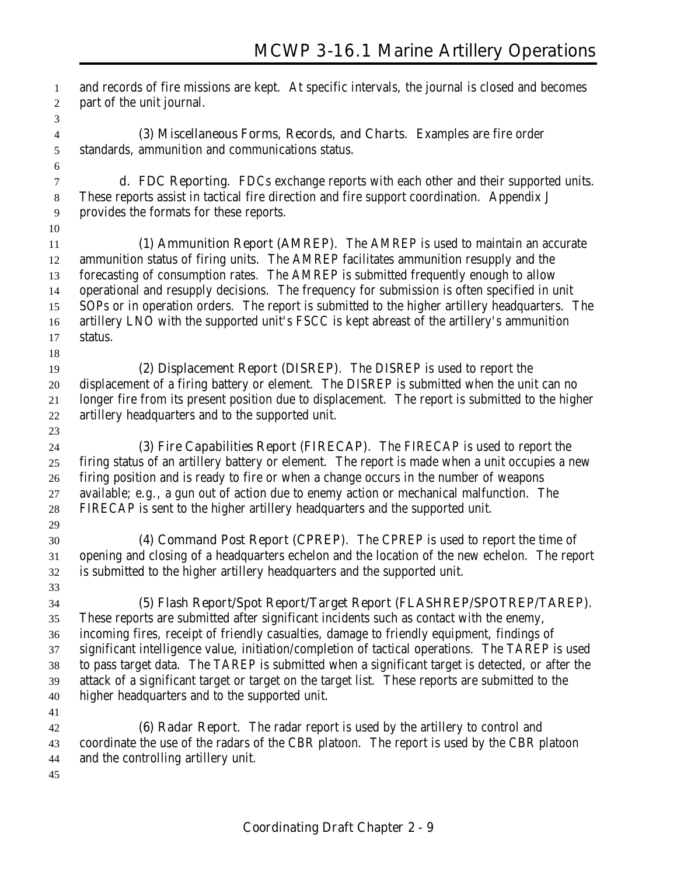and records of fire missions are kept. At specific intervals, the journal is closed and becomes part of the unit journal. **(3) Miscellaneous Forms, Records, and Charts**. Examples are fire order standards, ammunition and communications status. **d. FDC Reporting**. FDCs exchange reports with each other and their supported units. These reports assist in tactical fire direction and fire support coordination. Appendix J provides the formats for these reports. **(1) Ammunition Report (AMREP)**. The AMREP is used to maintain an accurate ammunition status of firing units. The AMREP facilitates ammunition resupply and the forecasting of consumption rates. The AMREP is submitted frequently enough to allow operational and resupply decisions. The frequency for submission is often specified in unit SOPs or in operation orders. The report is submitted to the higher artillery headquarters. The artillery LNO with the supported unit's FSCC is kept abreast of the artillery's ammunition status. **(2) Displacement Report (DISREP)**. The DISREP is used to report the displacement of a firing battery or element. The DISREP is submitted when the unit can no longer fire from its present position due to displacement. The report is submitted to the higher artillery headquarters and to the supported unit. **(3) Fire Capabilities Report (FIRECAP)**. The FIRECAP is used to report the firing status of an artillery battery or element. The report is made when a unit occupies a new firing position and is ready to fire or when a change occurs in the number of weapons available; e.g., a gun out of action due to enemy action or mechanical malfunction. The FIRECAP is sent to the higher artillery headquarters and the supported unit. **(4) Command Post Report (CPREP)**. The CPREP is used to report the time of opening and closing of a headquarters echelon and the location of the new echelon. The report is submitted to the higher artillery headquarters and the supported unit. **(5) Flash Report/Spot Report/Target Report (FLASHREP/SPOTREP/TAREP)**. These reports are submitted after significant incidents such as contact with the enemy, incoming fires, receipt of friendly casualties, damage to friendly equipment, findings of significant intelligence value, initiation/completion of tactical operations. The TAREP is used to pass target data. The TAREP is submitted when a significant target is detected, or after the attack of a significant target or target on the target list. These reports are submitted to the higher headquarters and to the supported unit. **(6) Radar Report**. The radar report is used by the artillery to control and coordinate the use of the radars of the CBR platoon. The report is used by the CBR platoon and the controlling artillery unit.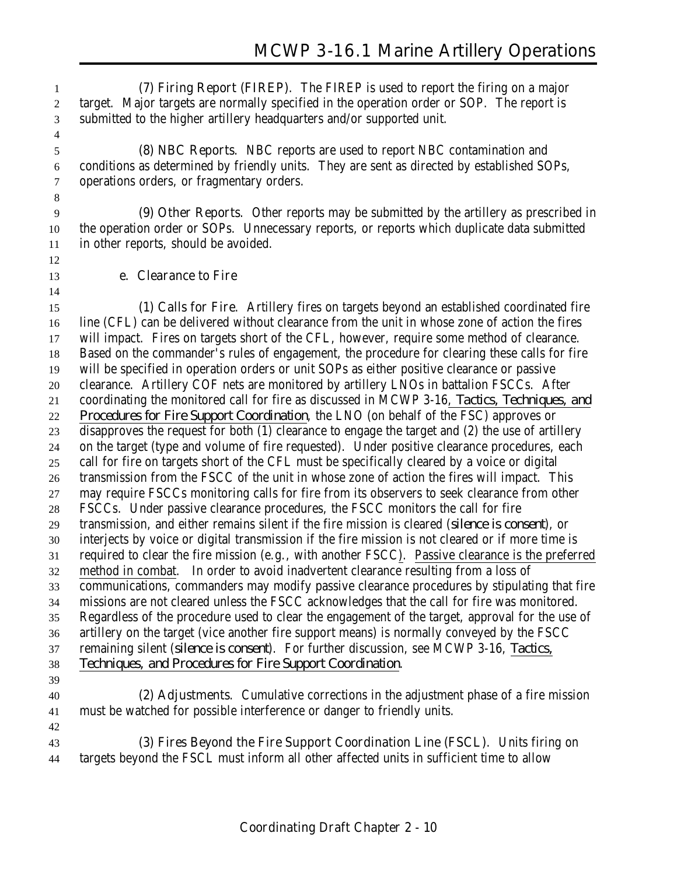**(7) Firing Report (FIREP)**. The FIREP is used to report the firing on a major target. Major targets are normally specified in the operation order or SOP. The report is submitted to the higher artillery headquarters and/or supported unit.

 **(8) NBC Reports**. NBC reports are used to report NBC contamination and conditions as determined by friendly units. They are sent as directed by established SOPs, operations orders, or fragmentary orders.

 **(9) Other Reports**. Other reports may be submitted by the artillery as prescribed in the operation order or SOPs. Unnecessary reports, or reports which duplicate data submitted in other reports, should be avoided.

**e. Clearance to Fire**

 **(1) Calls for Fire**. Artillery fires on targets beyond an established coordinated fire line (CFL) can be delivered without clearance from the unit in whose zone of action the fires will impact. Fires on targets short of the CFL, however, require some method of clearance. Based on the commander's rules of engagement, the procedure for clearing these calls for fire will be specified in operation orders or unit SOPs as either positive clearance or passive clearance. Artillery COF nets are monitored by artillery LNOs in battalion FSCCs. After coordinating the monitored call for fire as discussed in MCWP 3-16, *Tactics, Techniques, and Procedures for Fire Support Coordination*, the LNO (on behalf of the FSC) approves or disapproves the request for both (1) clearance to engage the target and (2) the use of artillery on the target (type and volume of fire requested). Under positive clearance procedures, each call for fire on targets short of the CFL must be specifically cleared by a voice or digital transmission from the FSCC of the unit in whose zone of action the fires will impact. This may require FSCCs monitoring calls for fire from its observers to seek clearance from other FSCCs. Under passive clearance procedures, the FSCC monitors the call for fire transmission, and either remains silent if the fire mission is cleared (*silence is consent*), or interjects by voice or digital transmission if the fire mission is not cleared or if more time is required to clear the fire mission (e.g., with another FSCC). Passive clearance is the preferred method in combat. In order to avoid inadvertent clearance resulting from a loss of communications, commanders may modify passive clearance procedures by stipulating that fire missions are not cleared unless the FSCC acknowledges that the call for fire was monitored. Regardless of the procedure used to clear the engagement of the target, approval for the use of artillery on the target (vice another fire support means) is normally conveyed by the FSCC remaining silent (*silence is consent*). For further discussion, see MCWP 3-16, *Tactics, Techniques, and Procedures for Fire Support Coordination*. **(2) Adjustments**. Cumulative corrections in the adjustment phase of a fire mission must be watched for possible interference or danger to friendly units. **(3) Fires Beyond the Fire Support Coordination Line (FSCL)**. Units firing on

targets beyond the FSCL must inform all other affected units in sufficient time to allow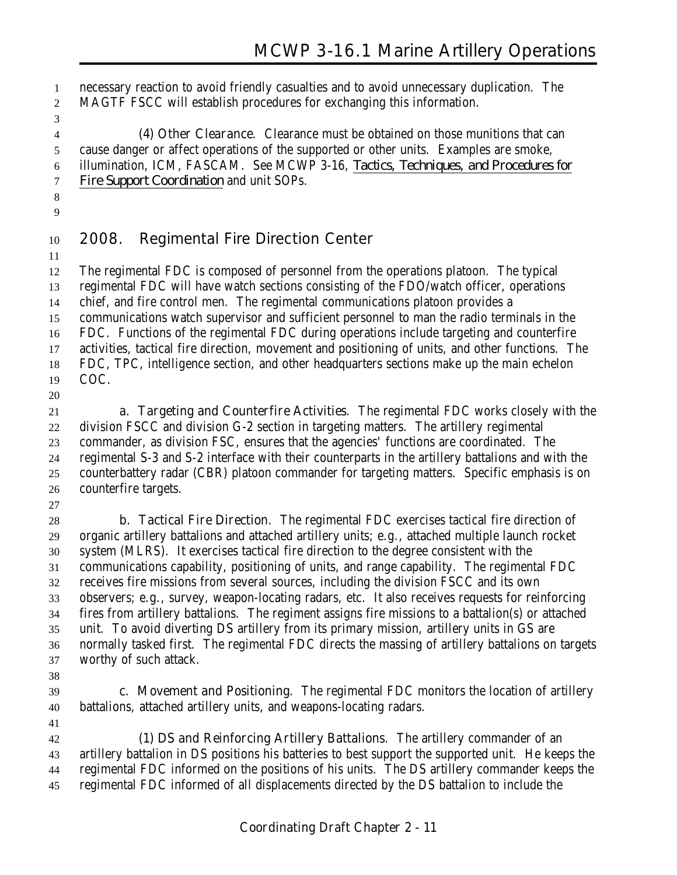necessary reaction to avoid friendly casualties and to avoid unnecessary duplication. The MAGTF FSCC will establish procedures for exchanging this information.

 **(4) Other Clearance**. Clearance must be obtained on those munitions that can cause danger or affect operations of the supported or other units. Examples are smoke, illumination, ICM, FASCAM. See MCWP 3-16, *Tactics, Techniques, and Procedures for Fire Support Coordination* and unit SOPs.

 

### **2008. Regimental Fire Direction Center**

 The regimental FDC is composed of personnel from the operations platoon. The typical regimental FDC will have watch sections consisting of the FDO/watch officer, operations chief, and fire control men. The regimental communications platoon provides a communications watch supervisor and sufficient personnel to man the radio terminals in the FDC. Functions of the regimental FDC during operations include targeting and counterfire activities, tactical fire direction, movement and positioning of units, and other functions. The FDC, TPC, intelligence section, and other headquarters sections make up the main echelon COC. 

 **a. Targeting and Counterfire Activities**. The regimental FDC works closely with the division FSCC and division G-2 section in targeting matters. The artillery regimental commander, as division FSC, ensures that the agencies' functions are coordinated. The regimental S-3 and S-2 interface with their counterparts in the artillery battalions and with the counterbattery radar (CBR) platoon commander for targeting matters. Specific emphasis is on counterfire targets.

 **b. Tactical Fire Direction**. The regimental FDC exercises tactical fire direction of organic artillery battalions and attached artillery units; e.g., attached multiple launch rocket system (MLRS). It exercises tactical fire direction to the degree consistent with the communications capability, positioning of units, and range capability. The regimental FDC receives fire missions from several sources, including the division FSCC and its own observers; e.g., survey, weapon-locating radars, etc. It also receives requests for reinforcing fires from artillery battalions. The regiment assigns fire missions to a battalion(s) or attached unit. To avoid diverting DS artillery from its primary mission, artillery units in GS are normally tasked first. The regimental FDC directs the massing of artillery battalions on targets worthy of such attack.

- 
- **c. Movement and Positioning**. The regimental FDC monitors the location of artillery battalions, attached artillery units, and weapons-locating radars.

 **(1) DS and Reinforcing Artillery Battalions**. The artillery commander of an artillery battalion in DS positions his batteries to best support the supported unit. He keeps the regimental FDC informed on the positions of his units. The DS artillery commander keeps the regimental FDC informed of all displacements directed by the DS battalion to include the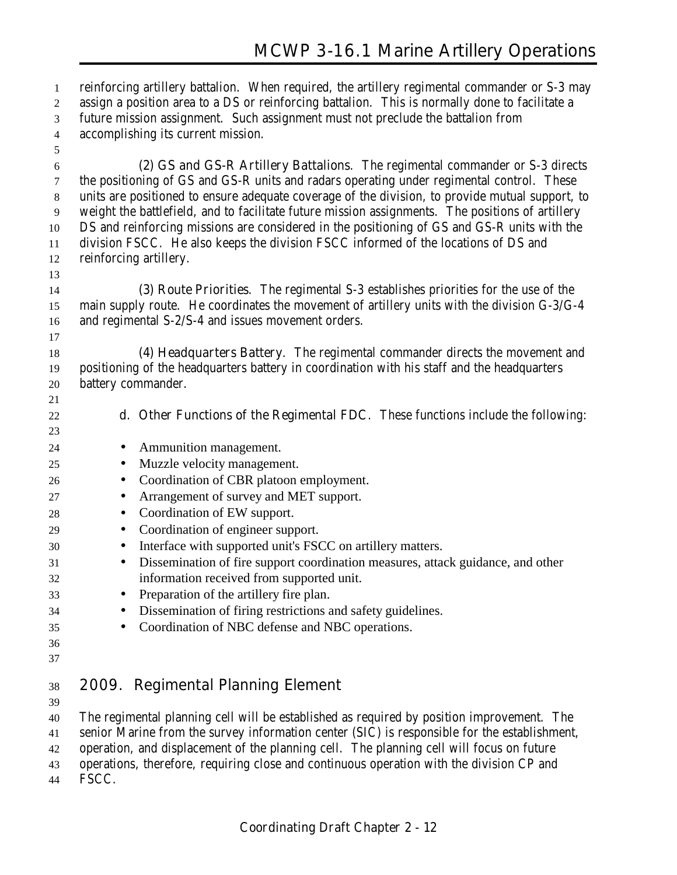reinforcing artillery battalion. When required, the artillery regimental commander or S-3 may assign a position area to a DS or reinforcing battalion. This is normally done to facilitate a future mission assignment. Such assignment must not preclude the battalion from accomplishing its current mission. **(2) GS and GS-R Artillery Battalions**. The regimental commander or S-3 directs the positioning of GS and GS-R units and radars operating under regimental control. These units are positioned to ensure adequate coverage of the division, to provide mutual support, to weight the battlefield, and to facilitate future mission assignments. The positions of artillery DS and reinforcing missions are considered in the positioning of GS and GS-R units with the division FSCC. He also keeps the division FSCC informed of the locations of DS and reinforcing artillery. **(3) Route Priorities**. The regimental S-3 establishes priorities for the use of the main supply route. He coordinates the movement of artillery units with the division G-3/G-4 and regimental S-2/S-4 and issues movement orders. **(4) Headquarters Battery**. The regimental commander directs the movement and positioning of the headquarters battery in coordination with his staff and the headquarters battery commander. **d. Other Functions of the Regimental FDC**. These functions include the following: • Ammunition management. • Muzzle velocity management. • Coordination of CBR platoon employment. 27 • Arrangement of survey and MET support. • Coordination of EW support. • Coordination of engineer support. • Interface with supported unit's FSCC on artillery matters. • Dissemination of fire support coordination measures, attack guidance, and other information received from supported unit. • Preparation of the artillery fire plan. • Dissemination of firing restrictions and safety guidelines. • Coordination of NBC defense and NBC operations. **2009. Regimental Planning Element** 

The regimental planning cell will be established as required by position improvement. The

senior Marine from the survey information center (SIC) is responsible for the establishment,

operation, and displacement of the planning cell. The planning cell will focus on future

operations, therefore, requiring close and continuous operation with the division CP and

FSCC.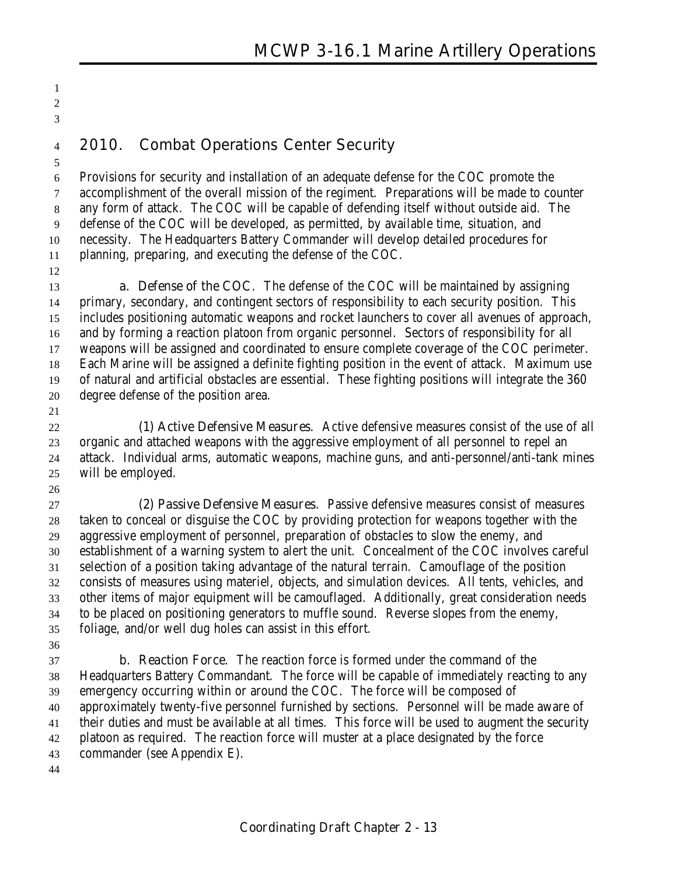**2010. Combat Operations Center Security**

 Provisions for security and installation of an adequate defense for the COC promote the accomplishment of the overall mission of the regiment. Preparations will be made to counter any form of attack. The COC will be capable of defending itself without outside aid. The defense of the COC will be developed, as permitted, by available time, situation, and necessity. The Headquarters Battery Commander will develop detailed procedures for planning, preparing, and executing the defense of the COC.

 **a. Defense of the COC**. The defense of the COC will be maintained by assigning primary, secondary, and contingent sectors of responsibility to each security position. This includes positioning automatic weapons and rocket launchers to cover all avenues of approach, and by forming a reaction platoon from organic personnel. Sectors of responsibility for all weapons will be assigned and coordinated to ensure complete coverage of the COC perimeter. Each Marine will be assigned a definite fighting position in the event of attack. Maximum use of natural and artificial obstacles are essential. These fighting positions will integrate the 360 degree defense of the position area.

 

 **(1) Active Defensive Measures**. Active defensive measures consist of the use of all organic and attached weapons with the aggressive employment of all personnel to repel an attack. Individual arms, automatic weapons, machine guns, and anti-personnel/anti-tank mines will be employed.

 **(2) Passive Defensive Measures**. Passive defensive measures consist of measures taken to conceal or disguise the COC by providing protection for weapons together with the aggressive employment of personnel, preparation of obstacles to slow the enemy, and establishment of a warning system to alert the unit. Concealment of the COC involves careful selection of a position taking advantage of the natural terrain. Camouflage of the position consists of measures using materiel, objects, and simulation devices. All tents, vehicles, and other items of major equipment will be camouflaged. Additionally, great consideration needs to be placed on positioning generators to muffle sound. Reverse slopes from the enemy, foliage, and/or well dug holes can assist in this effort.

 **b. Reaction Force**. The reaction force is formed under the command of the Headquarters Battery Commandant. The force will be capable of immediately reacting to any emergency occurring within or around the COC. The force will be composed of approximately twenty-five personnel furnished by sections. Personnel will be made aware of their duties and must be available at all times. This force will be used to augment the security platoon as required. The reaction force will muster at a place designated by the force commander (see Appendix E).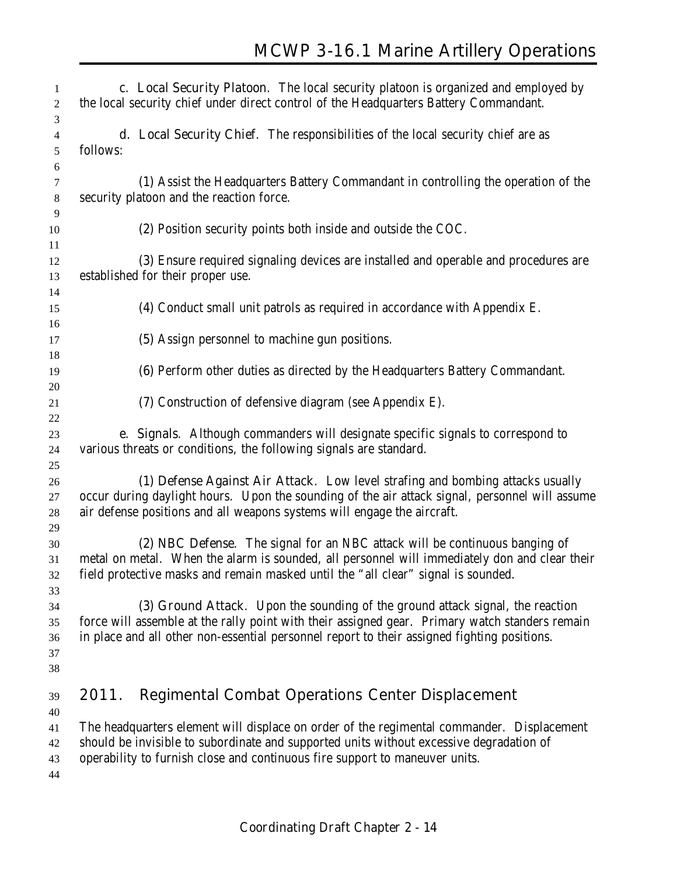| 1<br>2                           | c. Local Security Platoon. The local security platoon is organized and employed by<br>the local security chief under direct control of the Headquarters Battery Commandant.                                                                                                     |
|----------------------------------|---------------------------------------------------------------------------------------------------------------------------------------------------------------------------------------------------------------------------------------------------------------------------------|
| 3<br>4<br>5<br>6                 | d. Local Security Chief. The responsibilities of the local security chief are as<br>follows:                                                                                                                                                                                    |
| 7<br>8<br>9                      | (1) Assist the Headquarters Battery Commandant in controlling the operation of the<br>security platoon and the reaction force.                                                                                                                                                  |
| 10<br>11                         | (2) Position security points both inside and outside the COC.                                                                                                                                                                                                                   |
| 12<br>13                         | (3) Ensure required signaling devices are installed and operable and procedures are<br>established for their proper use.                                                                                                                                                        |
| 14<br>15<br>16                   | (4) Conduct small unit patrols as required in accordance with Appendix E.                                                                                                                                                                                                       |
| 17<br>18                         | (5) Assign personnel to machine gun positions.                                                                                                                                                                                                                                  |
| 19<br>20                         | (6) Perform other duties as directed by the Headquarters Battery Commandant.                                                                                                                                                                                                    |
| 21<br>22                         | (7) Construction of defensive diagram (see Appendix E).                                                                                                                                                                                                                         |
| 23<br>24                         | e. Signals. Although commanders will designate specific signals to correspond to<br>various threats or conditions, the following signals are standard.                                                                                                                          |
| 25<br>26<br>27<br>28             | (1) Defense Against Air Attack. Low level strafing and bombing attacks usually<br>occur during daylight hours. Upon the sounding of the air attack signal, personnel will assume<br>air defense positions and all weapons systems will engage the aircraft.                     |
| 29<br>30<br>31<br>32             | (2) NBC Defense. The signal for an NBC attack will be continuous banging of<br>metal on metal. When the alarm is sounded, all personnel will immediately don and clear their<br>field protective masks and remain masked until the "all clear" signal is sounded.               |
| 33<br>34<br>35<br>36<br>37<br>38 | (3) Ground Attack. Upon the sounding of the ground attack signal, the reaction<br>force will assemble at the rally point with their assigned gear. Primary watch standers remain<br>in place and all other non-essential personnel report to their assigned fighting positions. |
| 39                               | <b>Regimental Combat Operations Center Displacement</b><br>2011.                                                                                                                                                                                                                |
| 40<br>41<br>42<br>43<br>44       | The headquarters element will displace on order of the regimental commander. Displacement<br>should be invisible to subordinate and supported units without excessive degradation of<br>operability to furnish close and continuous fire support to maneuver units.             |
|                                  |                                                                                                                                                                                                                                                                                 |

**Coordinating Draft Chapter 2 - 14**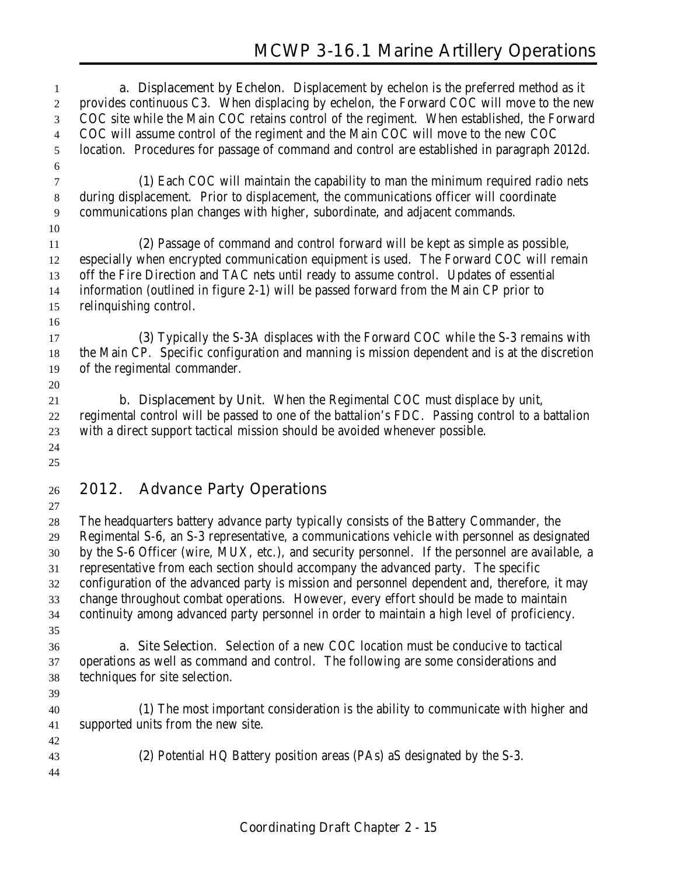**a. Displacement by Echelon**. Displacement by echelon is the preferred method as it provides continuous C3. When displacing by echelon, the Forward COC will move to the new COC site while the Main COC retains control of the regiment. When established, the Forward COC will assume control of the regiment and the Main COC will move to the new COC location. Procedures for passage of command and control are established in paragraph 2012d. **(1)** Each COC will maintain the capability to man the minimum required radio nets during displacement. Prior to displacement, the communications officer will coordinate communications plan changes with higher, subordinate, and adjacent commands. **(2)** Passage of command and control forward will be kept as simple as possible, especially when encrypted communication equipment is used. The Forward COC will remain off the Fire Direction and TAC nets until ready to assume control. Updates of essential information (outlined in figure 2-1) will be passed forward from the Main CP prior to relinquishing control. **(3)** Typically the S-3A displaces with the Forward COC while the S-3 remains with the Main CP. Specific configuration and manning is mission dependent and is at the discretion of the regimental commander. **b. Displacement by Unit**. When the Regimental COC must displace by unit, regimental control will be passed to one of the battalion's FDC. Passing control to a battalion with a direct support tactical mission should be avoided whenever possible. **2012. Advance Party Operations** The headquarters battery advance party typically consists of the Battery Commander, the Regimental S-6, an S-3 representative, a communications vehicle with personnel as designated by the S-6 Officer (wire, MUX, etc.), and security personnel. If the personnel are available, a representative from each section should accompany the advanced party. The specific configuration of the advanced party is mission and personnel dependent and, therefore, it may change throughout combat operations. However, every effort should be made to maintain continuity among advanced party personnel in order to maintain a high level of proficiency. **a. Site Selection**. Selection of a new COC location must be conducive to tactical operations as well as command and control. The following are some considerations and techniques for site selection. **(1)** The most important consideration is the ability to communicate with higher and supported units from the new site. **(2)** Potential HQ Battery position areas (PAs) aS designated by the S-3.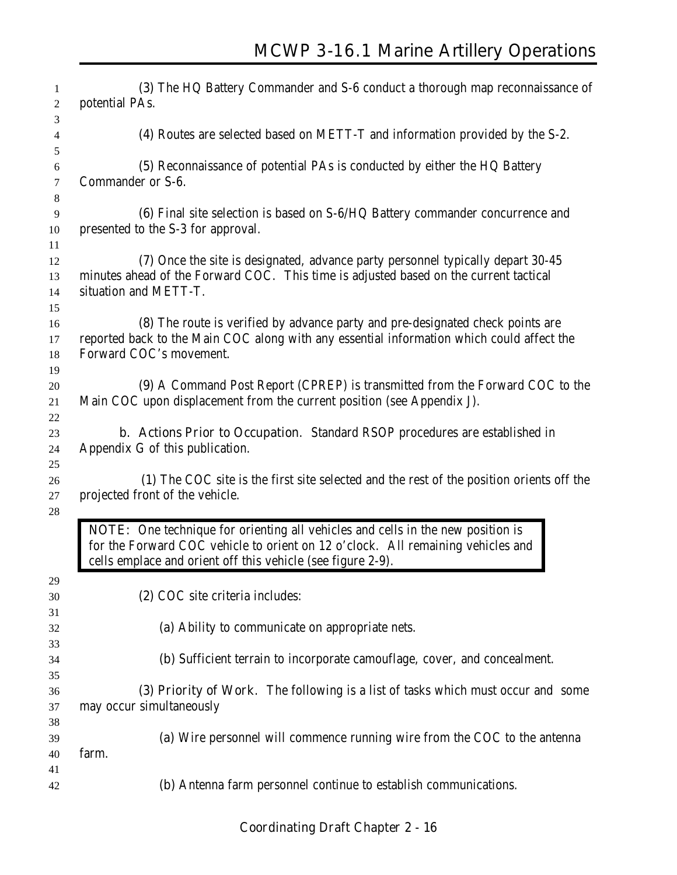| 1<br>$\overline{c}$ | (3) The HQ Battery Commander and S-6 conduct a thorough map reconnaissance of<br>potential PAs.                                                                                                                                   |
|---------------------|-----------------------------------------------------------------------------------------------------------------------------------------------------------------------------------------------------------------------------------|
| 3                   |                                                                                                                                                                                                                                   |
| 4                   | (4) Routes are selected based on METT-T and information provided by the S-2.                                                                                                                                                      |
| $\sqrt{5}$          |                                                                                                                                                                                                                                   |
| 6                   | (5) Reconnaissance of potential PAs is conducted by either the HQ Battery                                                                                                                                                         |
| $\tau$              | Commander or S-6.                                                                                                                                                                                                                 |
| $\,8\,$<br>9        | (6) Final site selection is based on S-6/HQ Battery commander concurrence and                                                                                                                                                     |
| 10                  | presented to the S-3 for approval.                                                                                                                                                                                                |
| 11                  |                                                                                                                                                                                                                                   |
| 12                  | (7) Once the site is designated, advance party personnel typically depart 30-45                                                                                                                                                   |
| 13                  | minutes ahead of the Forward COC. This time is adjusted based on the current tactical                                                                                                                                             |
| 14                  | situation and METT-T.                                                                                                                                                                                                             |
| 15                  |                                                                                                                                                                                                                                   |
| 16                  | (8) The route is verified by advance party and pre-designated check points are                                                                                                                                                    |
| 17                  | reported back to the Main COC along with any essential information which could affect the                                                                                                                                         |
| 18                  | Forward COC's movement.                                                                                                                                                                                                           |
| 19                  |                                                                                                                                                                                                                                   |
| 20                  | (9) A Command Post Report (CPREP) is transmitted from the Forward COC to the                                                                                                                                                      |
| 21                  | Main COC upon displacement from the current position (see Appendix J).                                                                                                                                                            |
| 22                  |                                                                                                                                                                                                                                   |
| 23                  | <b>b.</b> Actions Prior to Occupation. Standard RSOP procedures are established in                                                                                                                                                |
| 24                  | Appendix G of this publication.                                                                                                                                                                                                   |
| 25                  |                                                                                                                                                                                                                                   |
| 26                  | (1) The COC site is the first site selected and the rest of the position orients off the                                                                                                                                          |
| 27                  | projected front of the vehicle.                                                                                                                                                                                                   |
| 28                  |                                                                                                                                                                                                                                   |
|                     | NOTE: One technique for orienting all vehicles and cells in the new position is<br>for the Forward COC vehicle to orient on 12 o'clock. All remaining vehicles and<br>cells emplace and orient off this vehicle (see figure 2-9). |
| 29                  |                                                                                                                                                                                                                                   |
| 30                  | (2) COC site criteria includes:                                                                                                                                                                                                   |
| 31                  |                                                                                                                                                                                                                                   |
| 32                  | (a) Ability to communicate on appropriate nets.                                                                                                                                                                                   |
| 33                  |                                                                                                                                                                                                                                   |
| 34                  | (b) Sufficient terrain to incorporate camouflage, cover, and concealment.                                                                                                                                                         |
| 35                  |                                                                                                                                                                                                                                   |
| 36                  | (3) Priority of Work. The following is a list of tasks which must occur and some                                                                                                                                                  |
| 37                  | may occur simultaneously                                                                                                                                                                                                          |
| 38                  |                                                                                                                                                                                                                                   |
| 39                  | (a) Wire personnel will commence running wire from the COC to the antenna                                                                                                                                                         |
| 40                  | farm.                                                                                                                                                                                                                             |
| 41                  |                                                                                                                                                                                                                                   |
| 42                  | (b) Antenna farm personnel continue to establish communications.                                                                                                                                                                  |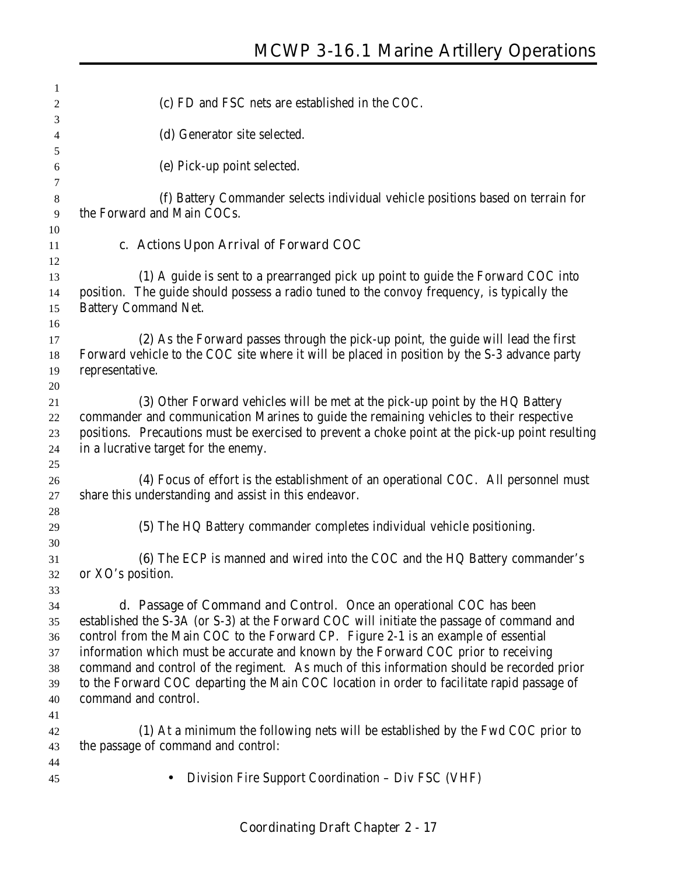| 1              |                                                                                                                           |
|----------------|---------------------------------------------------------------------------------------------------------------------------|
| 2              | (c) FD and FSC nets are established in the COC.                                                                           |
| 3              |                                                                                                                           |
| 4              | (d) Generator site selected.                                                                                              |
| 5              |                                                                                                                           |
| 6              | (e) Pick-up point selected.                                                                                               |
| 7              |                                                                                                                           |
| $8\phantom{1}$ | (f) Battery Commander selects individual vehicle positions based on terrain for                                           |
| 9              | the Forward and Main COCs.                                                                                                |
| 10             |                                                                                                                           |
| 11             | c. Actions Upon Arrival of Forward COC                                                                                    |
| 12             |                                                                                                                           |
| 13             | (1) A guide is sent to a prearranged pick up point to guide the Forward COC into                                          |
| 14<br>15       | position. The guide should possess a radio tuned to the convoy frequency, is typically the<br><b>Battery Command Net.</b> |
| 16             |                                                                                                                           |
| 17             | (2) As the Forward passes through the pick-up point, the guide will lead the first                                        |
| 18             | Forward vehicle to the COC site where it will be placed in position by the S-3 advance party                              |
| 19             | representative.                                                                                                           |
| 20             |                                                                                                                           |
| 21             | (3) Other Forward vehicles will be met at the pick-up point by the HQ Battery                                             |
| 22             | commander and communication Marines to guide the remaining vehicles to their respective                                   |
| 23             | positions. Precautions must be exercised to prevent a choke point at the pick-up point resulting                          |
| 24             | in a lucrative target for the enemy.                                                                                      |
| 25             |                                                                                                                           |
| 26             | (4) Focus of effort is the establishment of an operational COC. All personnel must                                        |
| 27             | share this understanding and assist in this endeavor.                                                                     |
| 28             |                                                                                                                           |
| 29             | (5) The HQ Battery commander completes individual vehicle positioning.                                                    |
| 30             |                                                                                                                           |
| 31             | (6) The ECP is manned and wired into the COC and the HQ Battery commander's                                               |
| 32             | or XO's position.                                                                                                         |
| 33<br>34       | <b>d. Passage of Command and Control.</b> Once an operational COC has been                                                |
| 35             | established the S-3A (or S-3) at the Forward COC will initiate the passage of command and                                 |
| 36             | control from the Main COC to the Forward CP. Figure 2-1 is an example of essential                                        |
| 37             | information which must be accurate and known by the Forward COC prior to receiving                                        |
| 38             | command and control of the regiment. As much of this information should be recorded prior                                 |
| 39             | to the Forward COC departing the Main COC location in order to facilitate rapid passage of                                |
| 40             | command and control.                                                                                                      |
| 41             |                                                                                                                           |
| 42             | (1) At a minimum the following nets will be established by the Fwd COC prior to                                           |
| 43             | the passage of command and control:                                                                                       |
| 44             |                                                                                                                           |
| 45             | Division Fire Support Coordination – Div FSC (VHF)                                                                        |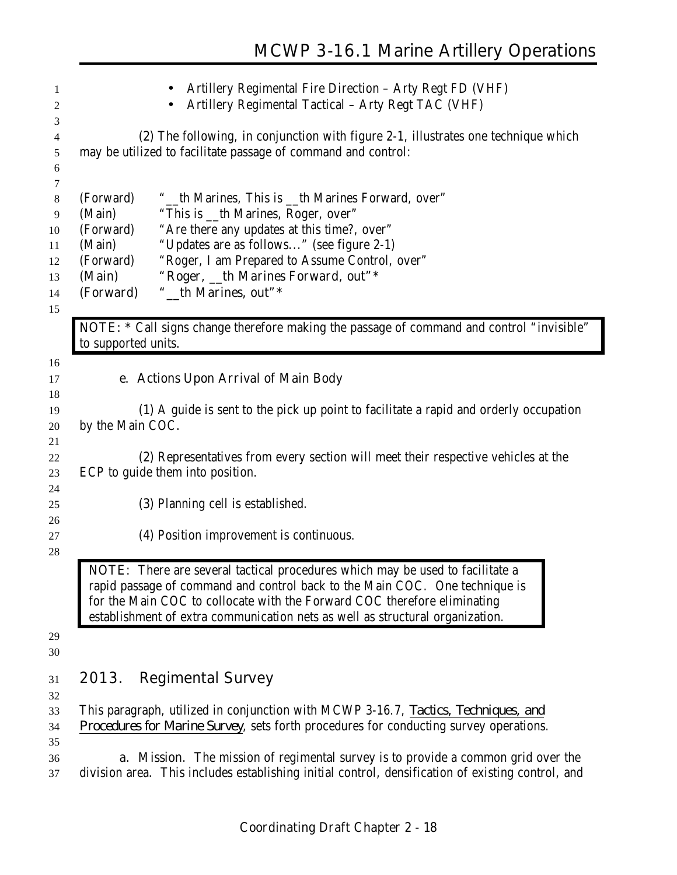| 1<br>2<br>3                                     |                                                                                | Artillery Regimental Fire Direction - Arty Regt FD (VHF)<br>Artillery Regimental Tactical - Arty Regt TAC (VHF)                                                                                                                                                                                                           |
|-------------------------------------------------|--------------------------------------------------------------------------------|---------------------------------------------------------------------------------------------------------------------------------------------------------------------------------------------------------------------------------------------------------------------------------------------------------------------------|
| 4<br>5<br>6                                     |                                                                                | (2) The following, in conjunction with figure 2-1, illustrates one technique which<br>may be utilized to facilitate passage of command and control:                                                                                                                                                                       |
| 7<br>8<br>9<br>10<br>11<br>12<br>13<br>14<br>15 | (Forward)<br>(Main)<br>(Forward)<br>(Main)<br>(Forward)<br>(Main)<br>(Forward) | "_th Marines, This is _th Marines Forward, over"<br>"This is _th Marines, Roger, over"<br>"Are there any updates at this time?, over"<br>"Updates are as follows" (see figure 2-1)<br>"Roger, I am Prepared to Assume Control, over"<br>"Roger, _th Marines Forward, out"*<br>"_th Marines, out"*                         |
|                                                 | to supported units.                                                            | NOTE: * Call signs change therefore making the passage of command and control "invisible"                                                                                                                                                                                                                                 |
| 16<br>17<br>18<br>19                            |                                                                                | e. Actions Upon Arrival of Main Body<br>(1) A guide is sent to the pick up point to facilitate a rapid and orderly occupation                                                                                                                                                                                             |
| 20<br>21<br>22<br>23                            | by the Main COC.                                                               | (2) Representatives from every section will meet their respective vehicles at the<br>ECP to guide them into position.                                                                                                                                                                                                     |
| 24<br>25                                        |                                                                                | (3) Planning cell is established.                                                                                                                                                                                                                                                                                         |
| 26<br>27<br>28                                  |                                                                                | (4) Position improvement is continuous.                                                                                                                                                                                                                                                                                   |
|                                                 |                                                                                | NOTE: There are several tactical procedures which may be used to facilitate a<br>rapid passage of command and control back to the Main COC. One technique is<br>for the Main COC to collocate with the Forward COC therefore eliminating<br>establishment of extra communication nets as well as structural organization. |
| 29<br>30                                        |                                                                                |                                                                                                                                                                                                                                                                                                                           |
| 31<br>32                                        | 2013.                                                                          | <b>Regimental Survey</b>                                                                                                                                                                                                                                                                                                  |
| 33<br>34                                        |                                                                                | This paragraph, utilized in conjunction with MCWP 3-16.7, Tactics, Techniques, and<br>Procedures for Marine Survey, sets forth procedures for conducting survey operations.                                                                                                                                               |
| 35<br>36<br>37                                  |                                                                                | <b>a. Mission</b> . The mission of regimental survey is to provide a common grid over the<br>division area. This includes establishing initial control, densification of existing control, and                                                                                                                            |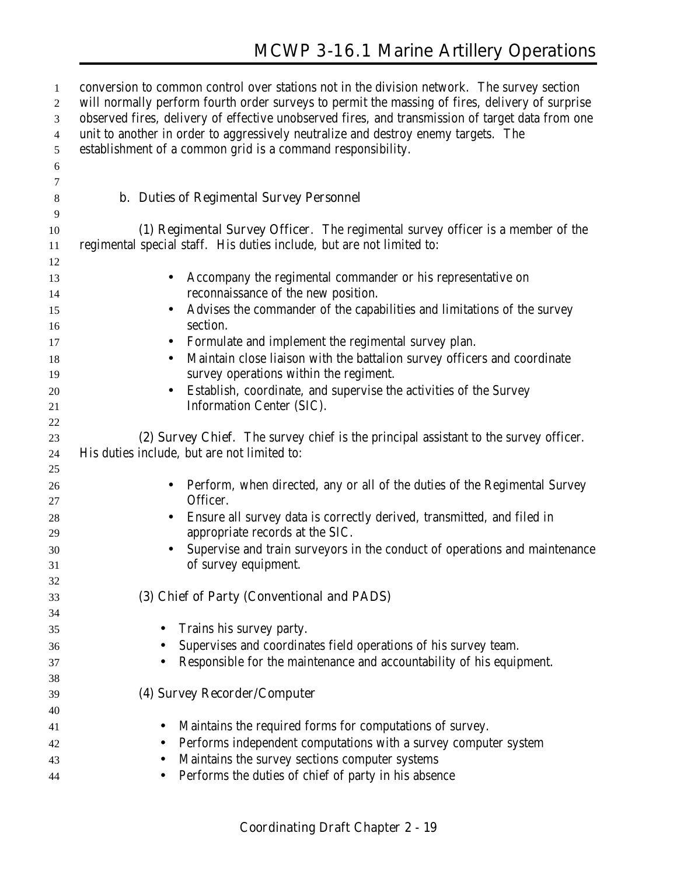| $\mathbf{1}$   | conversion to common control over stations not in the division network. The survey section       |
|----------------|--------------------------------------------------------------------------------------------------|
| $\overline{c}$ | will normally perform fourth order surveys to permit the massing of fires, delivery of surprise  |
| 3              | observed fires, delivery of effective unobserved fires, and transmission of target data from one |
| 4              | unit to another in order to aggressively neutralize and destroy enemy targets. The               |
| 5              | establishment of a common grid is a command responsibility.                                      |
| 6              |                                                                                                  |
| 7              |                                                                                                  |
| 8              | <b>b. Duties of Regimental Survey Personnel</b>                                                  |
| 9              |                                                                                                  |
| 10             | (1) Regimental Survey Officer. The regimental survey officer is a member of the                  |
| 11             | regimental special staff. His duties include, but are not limited to:                            |
| 12             |                                                                                                  |
| 13             | Accompany the regimental commander or his representative on<br>$\bullet$                         |
| 14             | reconnaissance of the new position.                                                              |
| 15             | Advises the commander of the capabilities and limitations of the survey<br>$\bullet$             |
| 16             | section.                                                                                         |
| 17             | Formulate and implement the regimental survey plan.<br>$\bullet$                                 |
| 18             | Maintain close liaison with the battalion survey officers and coordinate<br>$\bullet$            |
| 19             | survey operations within the regiment.                                                           |
| 20             | Establish, coordinate, and supervise the activities of the Survey<br>$\bullet$                   |
| 21             | Information Center (SIC).                                                                        |
| $22\,$         |                                                                                                  |
| 23             | (2) Survey Chief. The survey chief is the principal assistant to the survey officer.             |
| 24             | His duties include, but are not limited to:                                                      |
| 25             |                                                                                                  |
| 26             | Perform, when directed, any or all of the duties of the Regimental Survey<br>$\bullet$           |
| 27             | Officer.                                                                                         |
| 28             | Ensure all survey data is correctly derived, transmitted, and filed in<br>$\bullet$              |
| 29             | appropriate records at the SIC.                                                                  |
| 30             | Supervise and train surveyors in the conduct of operations and maintenance<br>$\bullet$          |
| 31             | of survey equipment.                                                                             |
| 32             |                                                                                                  |
| 33             | (3) Chief of Party (Conventional and PADS)                                                       |
| 34             |                                                                                                  |
| 35             | Trains his survey party.<br>$\bullet$                                                            |
| 36             | Supervises and coordinates field operations of his survey team.                                  |
| 37             | Responsible for the maintenance and accountability of his equipment.                             |
| 38             |                                                                                                  |
| 39             | (4) Survey Recorder/Computer                                                                     |
| 40             |                                                                                                  |
| 41             | Maintains the required forms for computations of survey.<br>$\bullet$                            |
| 42             | Performs independent computations with a survey computer system<br>$\bullet$                     |
| 43             | Maintains the survey sections computer systems<br>$\bullet$                                      |
| 44             | Performs the duties of chief of party in his absence                                             |
|                |                                                                                                  |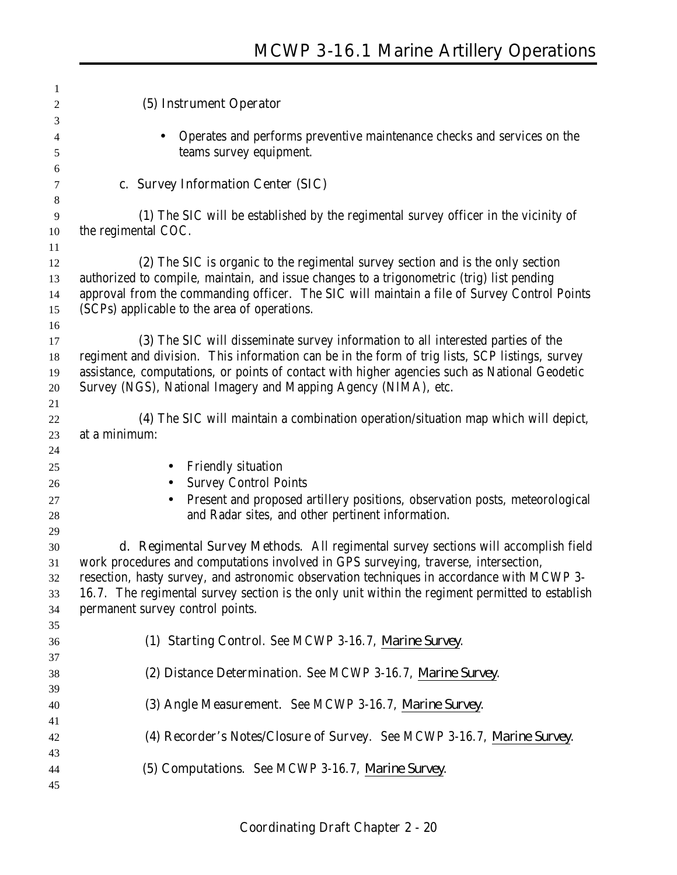| $\mathbf{1}$ |                                                                                                 |
|--------------|-------------------------------------------------------------------------------------------------|
| 2            | (5) Instrument Operator                                                                         |
| 3            |                                                                                                 |
| 4            | Operates and performs preventive maintenance checks and services on the                         |
| 5<br>6       | teams survey equipment.                                                                         |
| 7            | c. Survey Information Center (SIC)                                                              |
| 8            |                                                                                                 |
| 9            | (1) The SIC will be established by the regimental survey officer in the vicinity of             |
| 10           | the regimental COC.                                                                             |
| 11           |                                                                                                 |
| 12           | (2) The SIC is organic to the regimental survey section and is the only section                 |
| 13           | authorized to compile, maintain, and issue changes to a trigonometric (trig) list pending       |
| 14           | approval from the commanding officer. The SIC will maintain a file of Survey Control Points     |
| 15           | (SCPs) applicable to the area of operations.                                                    |
| 16           |                                                                                                 |
| 17           | (3) The SIC will disseminate survey information to all interested parties of the                |
| 18           | regiment and division. This information can be in the form of trig lists, SCP listings, survey  |
| 19           | assistance, computations, or points of contact with higher agencies such as National Geodetic   |
| 20           | Survey (NGS), National Imagery and Mapping Agency (NIMA), etc.                                  |
| 21           |                                                                                                 |
| 22           | (4) The SIC will maintain a combination operation/situation map which will depict,              |
| 23           | at a minimum:                                                                                   |
| 24           |                                                                                                 |
| 25           | <b>Friendly situation</b>                                                                       |
| 26           | <b>Survey Control Points</b>                                                                    |
| 27           | Present and proposed artillery positions, observation posts, meteorological                     |
| 28           | and Radar sites, and other pertinent information.                                               |
| 29           |                                                                                                 |
| 30           | d. Regimental Survey Methods. All regimental survey sections will accomplish field              |
| 31           | work procedures and computations involved in GPS surveying, traverse, intersection,             |
| 32           | resection, hasty survey, and astronomic observation techniques in accordance with MCWP 3-       |
| 33           | 16.7. The regimental survey section is the only unit within the regiment permitted to establish |
| 34           | permanent survey control points.                                                                |
| 35           |                                                                                                 |
| 36           | (1) Starting Control. See MCWP 3-16.7, Marine Survey.                                           |
| 37           |                                                                                                 |
| 38           | (2) Distance Determination. See MCWP 3-16.7, Marine Survey.                                     |
| 39           |                                                                                                 |
| 40           | (3) Angle Measurement. See MCWP 3-16.7, Marine Survey.                                          |
| 41           |                                                                                                 |
| 42           | (4) Recorder's Notes/Closure of Survey. See MCWP 3-16.7, Marine Survey.                         |
| 43           |                                                                                                 |
| 44           | (5) Computations. See MCWP 3-16.7, Marine Survey.                                               |
| 45           |                                                                                                 |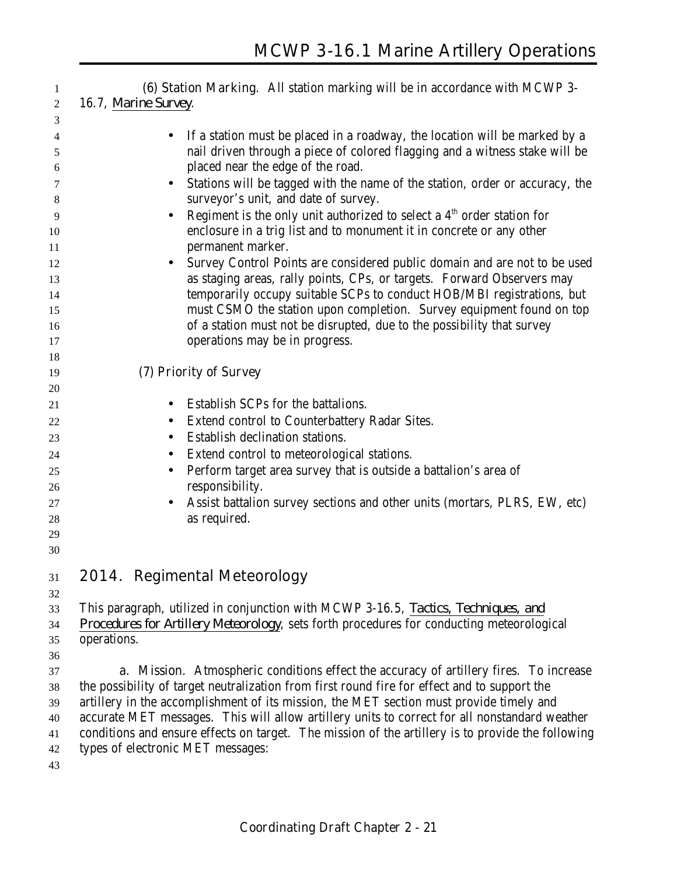**(6) Station Marking**. All station marking will be in accordance with MCWP 3-

16.7, *Marine Survey*.

| 3        |                                                                                                   |
|----------|---------------------------------------------------------------------------------------------------|
| 4        | If a station must be placed in a roadway, the location will be marked by a                        |
| 5        | nail driven through a piece of colored flagging and a witness stake will be                       |
| 6        | placed near the edge of the road.                                                                 |
| 7        | Stations will be tagged with the name of the station, order or accuracy, the<br>$\bullet$         |
| 8        | surveyor's unit, and date of survey.                                                              |
| 9        | Regiment is the only unit authorized to select a $4th$ order station for<br>$\bullet$             |
| 10       | enclosure in a trig list and to monument it in concrete or any other                              |
| 11       | permanent marker.                                                                                 |
| 12       | Survey Control Points are considered public domain and are not to be used                         |
| 13       | as staging areas, rally points, CPs, or targets. Forward Observers may                            |
| 14       | temporarily occupy suitable SCPs to conduct HOB/MBI registrations, but                            |
| 15       | must CSMO the station upon completion. Survey equipment found on top                              |
| 16       | of a station must not be disrupted, due to the possibility that survey                            |
| 17       | operations may be in progress.                                                                    |
| 18       |                                                                                                   |
| 19<br>20 | (7) Priority of Survey                                                                            |
| 21       | Establish SCPs for the battalions.                                                                |
| 22       | Extend control to Counterbattery Radar Sites.                                                     |
|          | $\bullet$<br>Establish declination stations.                                                      |
| 23       |                                                                                                   |
| 24       | Extend control to meteorological stations.                                                        |
| 25<br>26 | Perform target area survey that is outside a battalion's area of<br>$\bullet$<br>responsibility.  |
| 27       | Assist battalion survey sections and other units (mortars, PLRS, EW, etc)<br>$\bullet$            |
| 28       | as required.                                                                                      |
| 29       |                                                                                                   |
| 30       |                                                                                                   |
|          |                                                                                                   |
| 31       | 2014. Regimental Meteorology                                                                      |
| 32       |                                                                                                   |
| 33       | This paragraph, utilized in conjunction with MCWP 3-16.5, Tactics, Techniques, and                |
| 34       | <i>Procedures for Artillery Meteorology, sets forth procedures for conducting meteorological</i>  |
| 35       | operations.                                                                                       |
| 36<br>37 | <b>a. Mission.</b> Atmospheric conditions effect the accuracy of artillery fires. To increase     |
| 38       | the possibility of target neutralization from first round fire for effect and to support the      |
| 39       | artillery in the accomplishment of its mission, the MET section must provide timely and           |
| 40       | accurate MET messages. This will allow artillery units to correct for all nonstandard weather     |
| 41       | conditions and ensure effects on target. The mission of the artillery is to provide the following |
| 42       | types of electronic MET messages:                                                                 |
|          |                                                                                                   |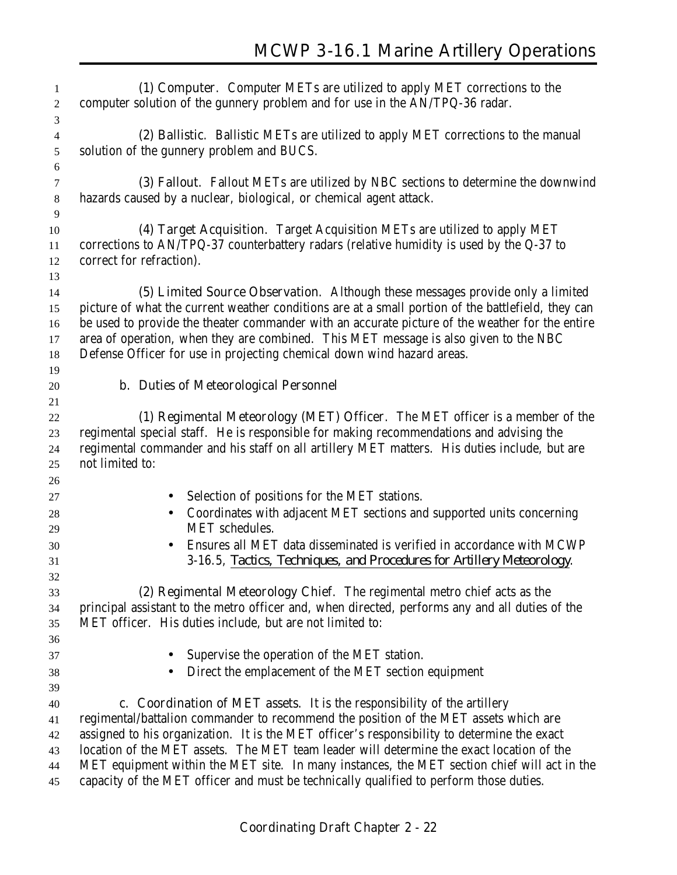| 1<br>$\sqrt{2}$                      | (1) Computer. Computer METs are utilized to apply MET corrections to the<br>computer solution of the gunnery problem and for use in the AN/TPQ-36 radar.                                                                                                                                                                                                                                                                                                  |
|--------------------------------------|-----------------------------------------------------------------------------------------------------------------------------------------------------------------------------------------------------------------------------------------------------------------------------------------------------------------------------------------------------------------------------------------------------------------------------------------------------------|
| 3<br>$\overline{4}$<br>$\mathfrak s$ | (2) Ballistic. Ballistic METs are utilized to apply MET corrections to the manual<br>solution of the gunnery problem and BUCS.                                                                                                                                                                                                                                                                                                                            |
| $\boldsymbol{6}$<br>$\tau$<br>$8\,$  | (3) Fallout. Fallout METs are utilized by NBC sections to determine the downwind<br>hazards caused by a nuclear, biological, or chemical agent attack.                                                                                                                                                                                                                                                                                                    |
| 9                                    |                                                                                                                                                                                                                                                                                                                                                                                                                                                           |
| 10<br>11<br>12                       | (4) Target Acquisition. Target Acquisition METs are utilized to apply MET<br>corrections to AN/TPQ-37 counterbattery radars (relative humidity is used by the Q-37 to<br>correct for refraction).                                                                                                                                                                                                                                                         |
| 13                                   |                                                                                                                                                                                                                                                                                                                                                                                                                                                           |
| 14<br>15<br>16<br>17<br>18           | (5) Limited Source Observation. Although these messages provide only a limited<br>picture of what the current weather conditions are at a small portion of the battlefield, they can<br>be used to provide the theater commander with an accurate picture of the weather for the entire<br>area of operation, when they are combined. This MET message is also given to the NBC<br>Defense Officer for use in projecting chemical down wind hazard areas. |
| 19                                   | <b>b.</b> Duties of Meteorological Personnel                                                                                                                                                                                                                                                                                                                                                                                                              |
| 20<br>21                             |                                                                                                                                                                                                                                                                                                                                                                                                                                                           |
| 22<br>23<br>24<br>25                 | (1) Regimental Meteorology (MET) Officer. The MET officer is a member of the<br>regimental special staff. He is responsible for making recommendations and advising the<br>regimental commander and his staff on all artillery MET matters. His duties include, but are<br>not limited to:                                                                                                                                                                |
| 26                                   |                                                                                                                                                                                                                                                                                                                                                                                                                                                           |
| 27<br>28                             | Selection of positions for the MET stations.<br>$\bullet$<br>Coordinates with adjacent MET sections and supported units concerning<br>$\bullet$                                                                                                                                                                                                                                                                                                           |
| 29                                   | <b>MET</b> schedules.                                                                                                                                                                                                                                                                                                                                                                                                                                     |
| 30<br>31                             | Ensures all MET data disseminated is verified in accordance with MCWP<br>$\bullet$<br>3-16.5, Tactics, Techniques, and Procedures for Artillery Meteorology.                                                                                                                                                                                                                                                                                              |
| 32                                   |                                                                                                                                                                                                                                                                                                                                                                                                                                                           |
| 33                                   | (2) Regimental Meteorology Chief. The regimental metro chief acts as the                                                                                                                                                                                                                                                                                                                                                                                  |
| 34                                   | principal assistant to the metro officer and, when directed, performs any and all duties of the                                                                                                                                                                                                                                                                                                                                                           |
| 35<br>36                             | MET officer. His duties include, but are not limited to:                                                                                                                                                                                                                                                                                                                                                                                                  |
| 37                                   | Supervise the operation of the MET station.                                                                                                                                                                                                                                                                                                                                                                                                               |
| 38                                   | Direct the emplacement of the MET section equipment                                                                                                                                                                                                                                                                                                                                                                                                       |
| 39                                   |                                                                                                                                                                                                                                                                                                                                                                                                                                                           |
| 40                                   | c. Coordination of MET assets. It is the responsibility of the artillery                                                                                                                                                                                                                                                                                                                                                                                  |
| 41                                   | regimental/battalion commander to recommend the position of the MET assets which are                                                                                                                                                                                                                                                                                                                                                                      |
| 42                                   | assigned to his organization. It is the MET officer's responsibility to determine the exact                                                                                                                                                                                                                                                                                                                                                               |
| 43                                   | location of the MET assets. The MET team leader will determine the exact location of the                                                                                                                                                                                                                                                                                                                                                                  |
| 44                                   | MET equipment within the MET site. In many instances, the MET section chief will act in the                                                                                                                                                                                                                                                                                                                                                               |
| 45                                   | capacity of the MET officer and must be technically qualified to perform those duties.                                                                                                                                                                                                                                                                                                                                                                    |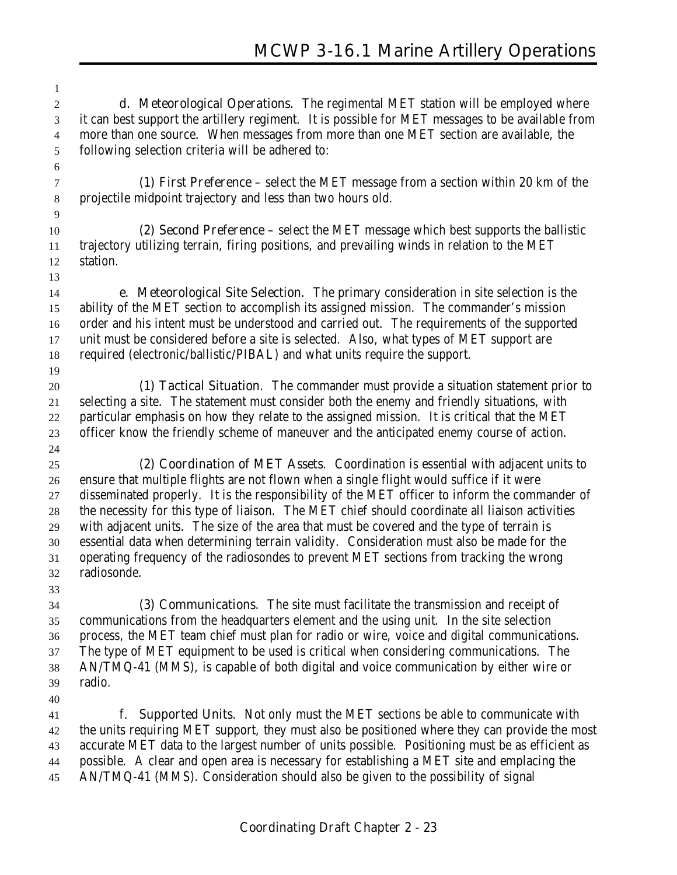**d. Meteorological Operations**. The regimental MET station will be employed where it can best support the artillery regiment. It is possible for MET messages to be available from more than one source. When messages from more than one MET section are available, the following selection criteria will be adhered to:

 **(1) First Preference** – select the MET message from a section within 20 km of the projectile midpoint trajectory and less than two hours old.

#### **(2) Second Preference** – select the MET message which best supports the ballistic trajectory utilizing terrain, firing positions, and prevailing winds in relation to the MET station.

 **e**. **Meteorological Site Selection**. The primary consideration in site selection is the ability of the MET section to accomplish its assigned mission. The commander's mission order and his intent must be understood and carried out. The requirements of the supported unit must be considered before a site is selected. Also, what types of MET support are required (electronic/ballistic/PIBAL) and what units require the support.

 **(1) Tactical Situation**. The commander must provide a situation statement prior to selecting a site. The statement must consider both the enemy and friendly situations, with particular emphasis on how they relate to the assigned mission. It is critical that the MET officer know the friendly scheme of maneuver and the anticipated enemy course of action. 

 **(2) Coordination of MET Assets**. Coordination is essential with adjacent units to ensure that multiple flights are not flown when a single flight would suffice if it were disseminated properly. It is the responsibility of the MET officer to inform the commander of the necessity for this type of liaison. The MET chief should coordinate all liaison activities with adjacent units. The size of the area that must be covered and the type of terrain is essential data when determining terrain validity. Consideration must also be made for the operating frequency of the radiosondes to prevent MET sections from tracking the wrong radiosonde.

 **(3) Communications**. The site must facilitate the transmission and receipt of communications from the headquarters element and the using unit. In the site selection process, the MET team chief must plan for radio or wire, voice and digital communications. The type of MET equipment to be used is critical when considering communications. The AN/TMQ-41 (MMS), is capable of both digital and voice communication by either wire or radio.

 **f. Supported Units**. Not only must the MET sections be able to communicate with the units requiring MET support, they must also be positioned where they can provide the most accurate MET data to the largest number of units possible. Positioning must be as efficient as possible. A clear and open area is necessary for establishing a MET site and emplacing the AN/TMQ-41 (MMS). Consideration should also be given to the possibility of signal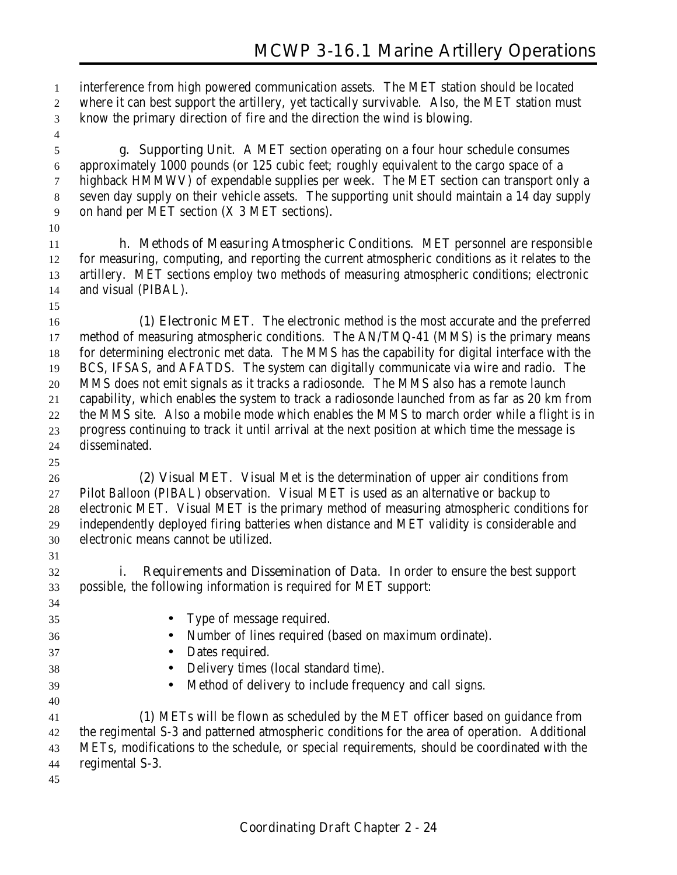interference from high powered communication assets. The MET station should be located where it can best support the artillery, yet tactically survivable. Also, the MET station must know the primary direction of fire and the direction the wind is blowing.

 **g. Supporting Unit**. A MET section operating on a four hour schedule consumes approximately 1000 pounds (or 125 cubic feet; roughly equivalent to the cargo space of a highback HMMWV) of expendable supplies per week. The MET section can transport only a seven day supply on their vehicle assets. The supporting unit should maintain a 14 day supply on hand per MET section (X 3 MET sections).

 **h. Methods of Measuring Atmospheric Conditions**. MET personnel are responsible for measuring, computing, and reporting the current atmospheric conditions as it relates to the artillery. MET sections employ two methods of measuring atmospheric conditions; electronic and visual (PIBAL).

 **(1) Electronic MET**. The electronic method is the most accurate and the preferred method of measuring atmospheric conditions. The AN/TMQ-41 (MMS) is the primary means for determining electronic met data. The MMS has the capability for digital interface with the BCS, IFSAS, and AFATDS. The system can digitally communicate via wire and radio. The MMS does not emit signals as it tracks a radiosonde. The MMS also has a remote launch capability, which enables the system to track a radiosonde launched from as far as 20 km from the MMS site. Also a mobile mode which enables the MMS to march order while a flight is in progress continuing to track it until arrival at the next position at which time the message is disseminated.

 **(2) Visual MET**. Visual Met is the determination of upper air conditions from Pilot Balloon (PIBAL) observation. Visual MET is used as an alternative or backup to electronic MET. Visual MET is the primary method of measuring atmospheric conditions for independently deployed firing batteries when distance and MET validity is considerable and electronic means cannot be utilized.

 **i. Requirements and Dissemination of Data**. In order to ensure the best support possible, the following information is required for MET support:

- Type of message required. • Number of lines required (based on maximum ordinate). • Dates required. • Delivery times (local standard time). • Method of delivery to include frequency and call signs. **(1)** METs will be flown as scheduled by the MET officer based on guidance from the regimental S-3 and patterned atmospheric conditions for the area of operation. Additional METs, modifications to the schedule, or special requirements, should be coordinated with the
	- regimental S-3.
	-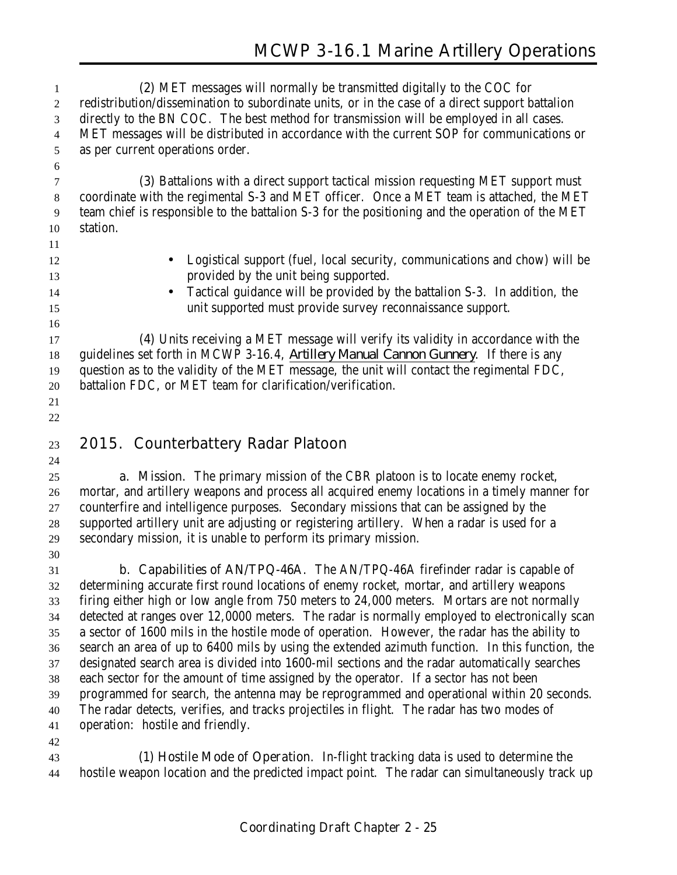| 1              | (2) MET messages will normally be transmitted digitally to the COC for                          |
|----------------|-------------------------------------------------------------------------------------------------|
| $\overline{c}$ | redistribution/dissemination to subordinate units, or in the case of a direct support battalion |
| 3              | directly to the BN COC. The best method for transmission will be employed in all cases.         |
| 4              | MET messages will be distributed in accordance with the current SOP for communications or       |
| 5              | as per current operations order.                                                                |
| 6              |                                                                                                 |
| $\tau$         | (3) Battalions with a direct support tactical mission requesting MET support must               |
| $\,8\,$        | coordinate with the regimental S-3 and MET officer. Once a MET team is attached, the MET        |
| 9              | team chief is responsible to the battalion S-3 for the positioning and the operation of the MET |
| 10             | station.                                                                                        |
| 11             |                                                                                                 |
| 12             | Logistical support (fuel, local security, communications and chow) will be<br>$\bullet$         |
| 13             | provided by the unit being supported.                                                           |
| 14             | Tactical guidance will be provided by the battalion S-3. In addition, the                       |
| 15             | unit supported must provide survey reconnaissance support.                                      |
| 16             |                                                                                                 |
| 17             | (4) Units receiving a MET message will verify its validity in accordance with the               |
| 18             | guidelines set forth in MCWP 3-16.4, Artillery Manual Cannon Gunnery. If there is any           |
| 19             | question as to the validity of the MET message, the unit will contact the regimental FDC,       |
| 20             | battalion FDC, or MET team for clarification/verification.                                      |
| 21             |                                                                                                 |
| 22             |                                                                                                 |
|                |                                                                                                 |
|                |                                                                                                 |
| 23             | 2015. Counterbattery Radar Platoon                                                              |
| 24             |                                                                                                 |
| 25             | a. Mission. The primary mission of the CBR platoon is to locate enemy rocket,                   |
| 26             | mortar, and artillery weapons and process all acquired enemy locations in a timely manner for   |
| 27             | counterfire and intelligence purposes. Secondary missions that can be assigned by the           |
| $28\,$         | supported artillery unit are adjusting or registering artillery. When a radar is used for a     |
| 29             | secondary mission, it is unable to perform its primary mission.                                 |
| 30             |                                                                                                 |
| 31             | b. Capabilities of AN/TPQ-46A. The AN/TPQ-46A firefinder radar is capable of                    |
| 32             | determining accurate first round locations of enemy rocket, mortar, and artillery weapons       |
| 33             | firing either high or low angle from 750 meters to 24,000 meters. Mortars are not normally      |
| 34             | detected at ranges over 12,0000 meters. The radar is normally employed to electronically scan   |
| 35             | a sector of 1600 mils in the hostile mode of operation. However, the radar has the ability to   |
| 36             | search an area of up to 6400 mils by using the extended azimuth function. In this function, the |
| 37             | designated search area is divided into 1600-mil sections and the radar automatically searches   |
| 38             | each sector for the amount of time assigned by the operator. If a sector has not been           |
| 39<br>40       | programmed for search, the antenna may be reprogrammed and operational within 20 seconds.       |
| 41             | The radar detects, verifies, and tracks projectiles in flight. The radar has two modes of       |
| 42             | operation: hostile and friendly.                                                                |
| 43             | (1) Hostile Mode of Operation. In-flight tracking data is used to determine the                 |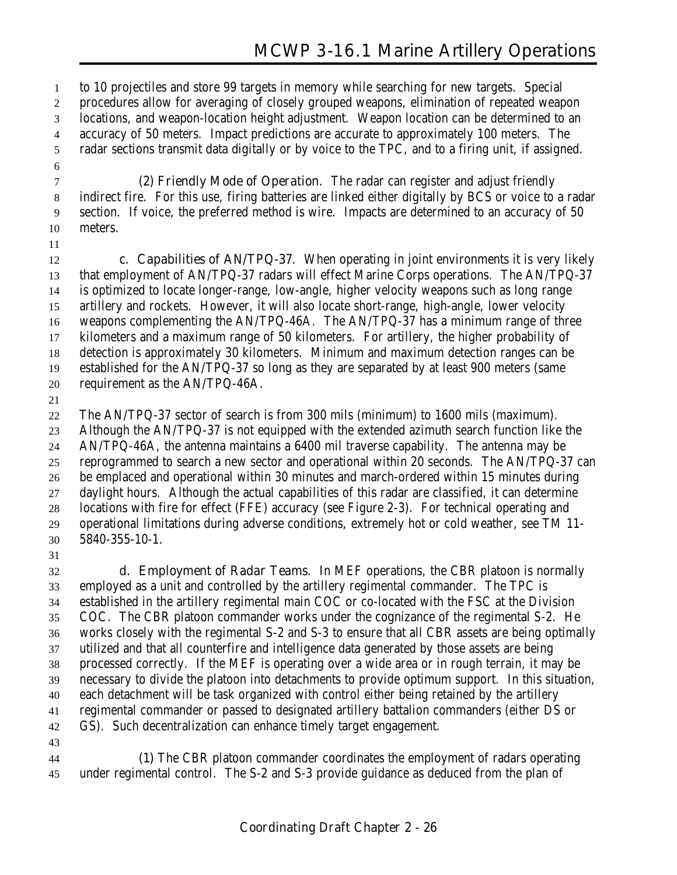to 10 projectiles and store 99 targets in memory while searching for new targets. Special procedures allow for averaging of closely grouped weapons, elimination of repeated weapon locations, and weapon-location height adjustment. Weapon location can be determined to an accuracy of 50 meters. Impact predictions are accurate to approximately 100 meters. The radar sections transmit data digitally or by voice to the TPC, and to a firing unit, if assigned.

 **(2) Friendly Mode of Operation**. The radar can register and adjust friendly indirect fire. For this use, firing batteries are linked either digitally by BCS or voice to a radar section. If voice, the preferred method is wire. Impacts are determined to an accuracy of 50 meters.

 **c. Capabilities of AN/TPQ-37**. When operating in joint environments it is very likely that employment of AN/TPQ-37 radars will effect Marine Corps operations. The AN/TPQ-37 is optimized to locate longer-range, low-angle, higher velocity weapons such as long range artillery and rockets. However, it will also locate short-range, high-angle, lower velocity weapons complementing the AN/TPQ-46A. The AN/TPQ-37 has a minimum range of three kilometers and a maximum range of 50 kilometers. For artillery, the higher probability of detection is approximately 30 kilometers. Minimum and maximum detection ranges can be established for the AN/TPQ-37 so long as they are separated by at least 900 meters (same requirement as the AN/TPQ-46A.

 The AN/TPQ-37 sector of search is from 300 mils (minimum) to 1600 mils (maximum). Although the AN/TPQ-37 is not equipped with the extended azimuth search function like the AN/TPQ-46A, the antenna maintains a 6400 mil traverse capability. The antenna may be reprogrammed to search a new sector and operational within 20 seconds. The AN/TPQ-37 can be emplaced and operational within 30 minutes and march-ordered within 15 minutes during daylight hours. Although the actual capabilities of this radar are classified, it can determine locations with fire for effect (FFE) accuracy (see Figure 2-3). For technical operating and operational limitations during adverse conditions, extremely hot or cold weather, see TM 11- 5840-355-10-1.

 **d. Employment of Radar Teams**. In MEF operations, the CBR platoon is normally employed as a unit and controlled by the artillery regimental commander. The TPC is established in the artillery regimental main COC or co-located with the FSC at the Division COC. The CBR platoon commander works under the cognizance of the regimental S-2. He works closely with the regimental S-2 and S-3 to ensure that all CBR assets are being optimally utilized and that all counterfire and intelligence data generated by those assets are being processed correctly. If the MEF is operating over a wide area or in rough terrain, it may be necessary to divide the platoon into detachments to provide optimum support. In this situation, each detachment will be task organized with control either being retained by the artillery regimental commander or passed to designated artillery battalion commanders (either DS or GS). Such decentralization can enhance timely target engagement.

 **(1)** The CBR platoon commander coordinates the employment of radars operating under regimental control. The S-2 and S-3 provide guidance as deduced from the plan of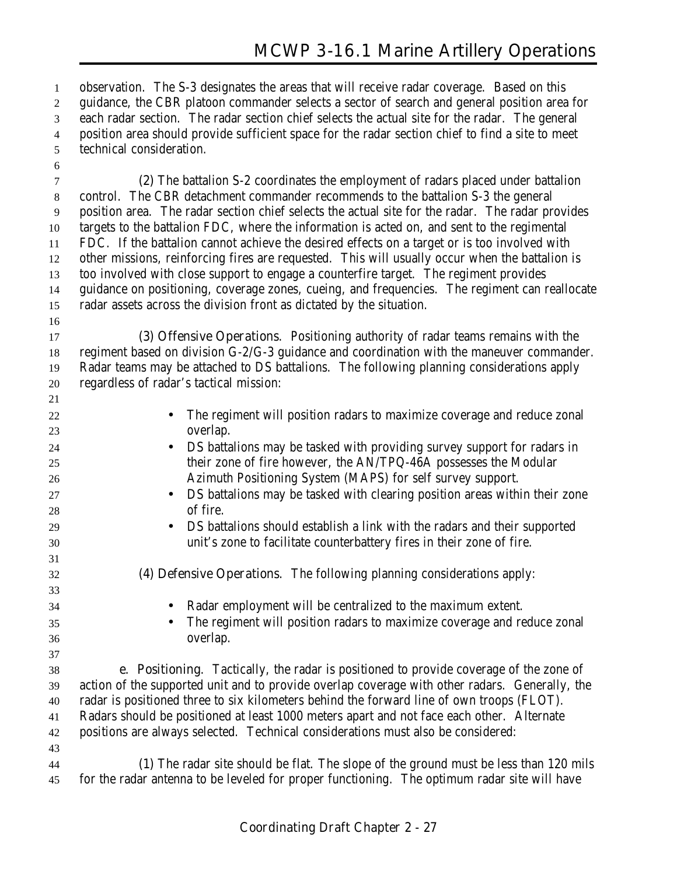observation. The S-3 designates the areas that will receive radar coverage. Based on this guidance, the CBR platoon commander selects a sector of search and general position area for each radar section. The radar section chief selects the actual site for the radar. The general position area should provide sufficient space for the radar section chief to find a site to meet technical consideration.

 **(2)** The battalion S-2 coordinates the employment of radars placed under battalion control. The CBR detachment commander recommends to the battalion S-3 the general position area. The radar section chief selects the actual site for the radar. The radar provides targets to the battalion FDC, where the information is acted on, and sent to the regimental FDC. If the battalion cannot achieve the desired effects on a target or is too involved with other missions, reinforcing fires are requested. This will usually occur when the battalion is too involved with close support to engage a counterfire target. The regiment provides guidance on positioning, coverage zones, cueing, and frequencies. The regiment can reallocate radar assets across the division front as dictated by the situation.

 **(3) Offensive Operations**. Positioning authority of radar teams remains with the regiment based on division G-2/G-3 guidance and coordination with the maneuver commander. Radar teams may be attached to DS battalions. The following planning considerations apply regardless of radar's tactical mission:

 • The regiment will position radars to maximize coverage and reduce zonal overlap. • DS battalions may be tasked with providing survey support for radars in their zone of fire however, the AN/TPQ-46A possesses the Modular Azimuth Positioning System (MAPS) for self survey support. • DS battalions may be tasked with clearing position areas within their zone of fire. • DS battalions should establish a link with the radars and their supported unit's zone to facilitate counterbattery fires in their zone of fire. **(4) Defensive Operations**. The following planning considerations apply: • Radar employment will be centralized to the maximum extent. • The regiment will position radars to maximize coverage and reduce zonal overlap. **e. Positioning**. Tactically, the radar is positioned to provide coverage of the zone of action of the supported unit and to provide overlap coverage with other radars. Generally, the radar is positioned three to six kilometers behind the forward line of own troops (FLOT). Radars should be positioned at least 1000 meters apart and not face each other. Alternate positions are always selected. Technical considerations must also be considered: **(1)** The radar site should be flat. The slope of the ground must be less than 120 mils for the radar antenna to be leveled for proper functioning. The optimum radar site will have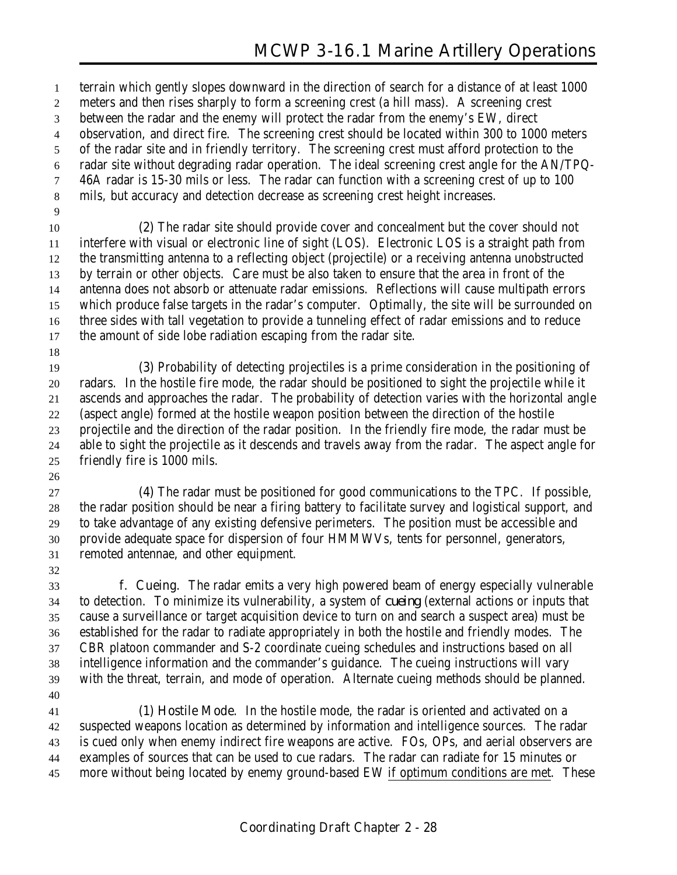terrain which gently slopes downward in the direction of search for a distance of at least 1000 meters and then rises sharply to form a screening crest (a hill mass). A screening crest between the radar and the enemy will protect the radar from the enemy's EW, direct observation, and direct fire. The screening crest should be located within 300 to 1000 meters of the radar site and in friendly territory. The screening crest must afford protection to the radar site without degrading radar operation. The ideal screening crest angle for the AN/TPQ- 46A radar is 15-30 mils or less. The radar can function with a screening crest of up to 100 mils, but accuracy and detection decrease as screening crest height increases. **(2)** The radar site should provide cover and concealment but the cover should not interfere with visual or electronic line of sight (LOS). Electronic LOS is a straight path from the transmitting antenna to a reflecting object (projectile) or a receiving antenna unobstructed by terrain or other objects. Care must be also taken to ensure that the area in front of the antenna does not absorb or attenuate radar emissions. Reflections will cause multipath errors which produce false targets in the radar's computer. Optimally, the site will be surrounded on three sides with tall vegetation to provide a tunneling effect of radar emissions and to reduce the amount of side lobe radiation escaping from the radar site.

 **(3)** Probability of detecting projectiles is a prime consideration in the positioning of radars. In the hostile fire mode, the radar should be positioned to sight the projectile while it ascends and approaches the radar. The probability of detection varies with the horizontal angle (aspect angle) formed at the hostile weapon position between the direction of the hostile projectile and the direction of the radar position. In the friendly fire mode, the radar must be able to sight the projectile as it descends and travels away from the radar. The aspect angle for friendly fire is 1000 mils.

 **(4)** The radar must be positioned for good communications to the TPC. If possible, the radar position should be near a firing battery to facilitate survey and logistical support, and to take advantage of any existing defensive perimeters. The position must be accessible and provide adequate space for dispersion of four HMMWVs, tents for personnel, generators, remoted antennae, and other equipment.

 **f. Cueing**. The radar emits a very high powered beam of energy especially vulnerable to detection. To minimize its vulnerability, a system of *cueing* (external actions or inputs that cause a surveillance or target acquisition device to turn on and search a suspect area) must be established for the radar to radiate appropriately in both the hostile and friendly modes. The CBR platoon commander and S-2 coordinate cueing schedules and instructions based on all intelligence information and the commander's guidance. The cueing instructions will vary with the threat, terrain, and mode of operation. Alternate cueing methods should be planned. 

 **(1) Hostile Mode**. In the hostile mode, the radar is oriented and activated on a suspected weapons location as determined by information and intelligence sources. The radar is cued only when enemy indirect fire weapons are active. FOs, OPs, and aerial observers are examples of sources that can be used to cue radars. The radar can radiate for 15 minutes or more without being located by enemy ground-based EW if optimum conditions are met. These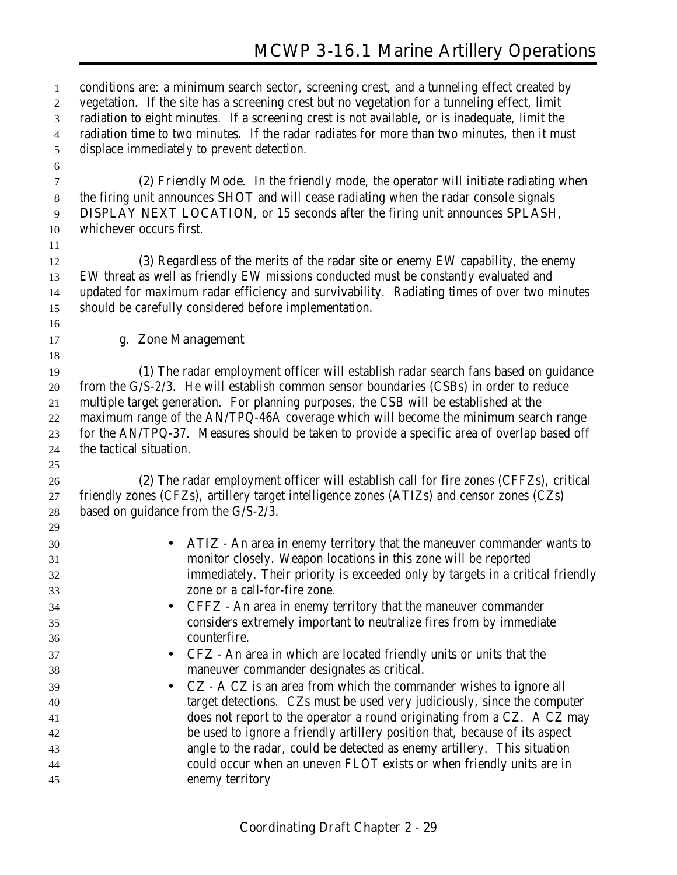conditions are: a minimum search sector, screening crest, and a tunneling effect created by vegetation. If the site has a screening crest but no vegetation for a tunneling effect, limit radiation to eight minutes. If a screening crest is not available, or is inadequate, limit the radiation time to two minutes. If the radar radiates for more than two minutes, then it must displace immediately to prevent detection.

 **(2) Friendly Mode**. In the friendly mode, the operator will initiate radiating when the firing unit announces **SHOT** and will cease radiating when the radar console signals **DISPLAY NEXT LOCATION**, or 15 seconds after the firing unit announces **SPLASH**, whichever occurs first.

 **(3)** Regardless of the merits of the radar site or enemy EW capability, the enemy EW threat as well as friendly EW missions conducted must be constantly evaluated and updated for maximum radar efficiency and survivability. Radiating times of over two minutes should be carefully considered before implementation.

#### **g. Zone Management**

 **(1)** The radar employment officer will establish radar search fans based on guidance from the G/S-2/3. He will establish common sensor boundaries (CSBs) in order to reduce multiple target generation. For planning purposes, the CSB will be established at the maximum range of the AN/TPQ-46A coverage which will become the minimum search range for the AN/TPQ-37. Measures should be taken to provide a specific area of overlap based off the tactical situation.

 **(2)** The radar employment officer will establish call for fire zones (CFFZs), critical friendly zones (CFZs), artillery target intelligence zones (ATIZs) and censor zones (CZs) based on guidance from the G/S-2/3. 

| 47 |                                                                                |
|----|--------------------------------------------------------------------------------|
| 30 | • ATIZ - An area in enemy territory that the maneuver commander wants to       |
| 31 | monitor closely. Weapon locations in this zone will be reported                |
| 32 | immediately. Their priority is exceeded only by targets in a critical friendly |
| 33 | zone or a call-for-fire zone.                                                  |
| 34 | • CFFZ - An area in enemy territory that the maneuver commander                |
| 35 | considers extremely important to neutralize fires from by immediate            |
| 36 | counterfire.                                                                   |
| 37 | • CFZ - An area in which are located friendly units or units that the          |
| 38 | maneuver commander designates as critical.                                     |
| 39 | • CZ - A CZ is an area from which the commander wishes to ignore all           |
| 40 | target detections. CZs must be used very judiciously, since the computer       |
| 41 | does not report to the operator a round originating from a CZ. A CZ may        |
| 42 | be used to ignore a friendly artillery position that, because of its aspect    |
| 43 | angle to the radar, could be detected as enemy artillery. This situation       |
| 44 | could occur when an uneven FLOT exists or when friendly units are in           |
| 45 | enemy territory                                                                |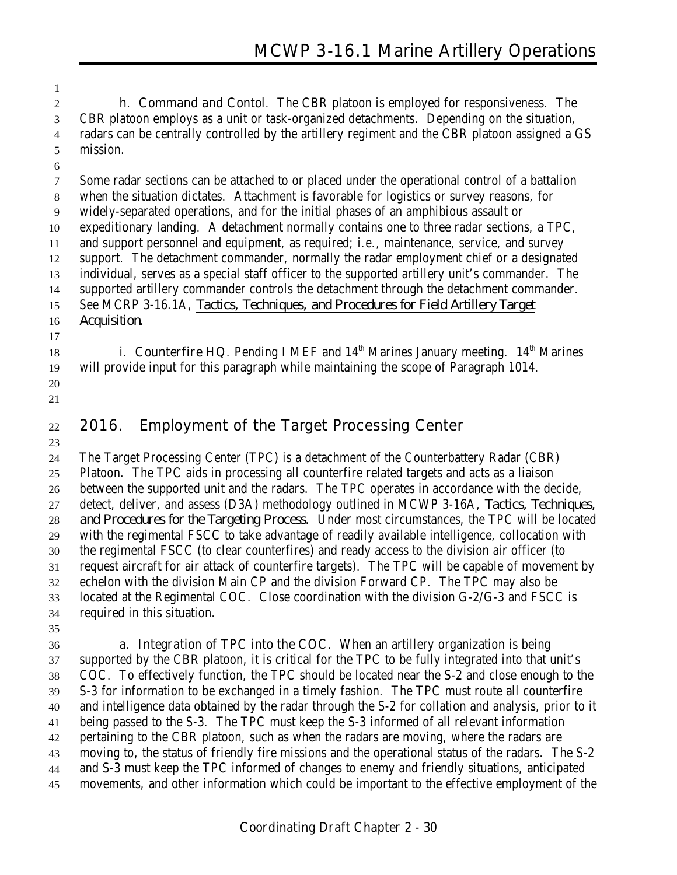**h. Command and Contol**. The CBR platoon is employed for responsiveness. The CBR platoon employs as a unit or task-organized detachments. Depending on the situation, radars can be centrally controlled by the artillery regiment and the CBR platoon assigned a GS mission.

 Some radar sections can be attached to or placed under the operational control of a battalion when the situation dictates. Attachment is favorable for logistics or survey reasons, for widely-separated operations, and for the initial phases of an amphibious assault or expeditionary landing. A detachment normally contains one to three radar sections, a TPC, and support personnel and equipment, as required; i.e., maintenance, service, and survey support. The detachment commander, normally the radar employment chief or a designated individual, serves as a special staff officer to the supported artillery unit's commander. The supported artillery commander controls the detachment through the detachment commander. See MCRP 3-16.1A, *Tactics, Techniques, and Procedures for Field Artillery Target Acquisition*.

**i. Counterfire HQ**. Pending I MEF and  $14<sup>th</sup>$  Marines January meeting.  $14<sup>th</sup>$  Marines will provide input for this paragraph while maintaining the scope of Paragraph 1014.

 

# 

#### **2016. Employment of the Target Processing Center**

 The Target Processing Center (TPC) is a detachment of the Counterbattery Radar (CBR) Platoon. The TPC aids in processing all counterfire related targets and acts as a liaison between the supported unit and the radars. The TPC operates in accordance with the decide, detect, deliver, and assess (D3A) methodology outlined in MCWP 3-16A, *Tactics, Techniques, and Procedures for the Targeting Process*. Under most circumstances, the TPC will be located with the regimental FSCC to take advantage of readily available intelligence, collocation with the regimental FSCC (to clear counterfires) and ready access to the division air officer (to request aircraft for air attack of counterfire targets). The TPC will be capable of movement by echelon with the division Main CP and the division Forward CP. The TPC may also be located at the Regimental COC. Close coordination with the division G-2/G-3 and FSCC is required in this situation.

 **a. Integration of TPC into the COC**. When an artillery organization is being supported by the CBR platoon, it is critical for the TPC to be fully integrated into that unit's COC. To effectively function, the TPC should be located near the S-2 and close enough to the S-3 for information to be exchanged in a timely fashion. The TPC must route all counterfire and intelligence data obtained by the radar through the S-2 for collation and analysis, prior to it being passed to the S-3. The TPC must keep the S-3 informed of all relevant information pertaining to the CBR platoon, such as when the radars are moving, where the radars are moving to, the status of friendly fire missions and the operational status of the radars. The S-2 and S-3 must keep the TPC informed of changes to enemy and friendly situations, anticipated movements, and other information which could be important to the effective employment of the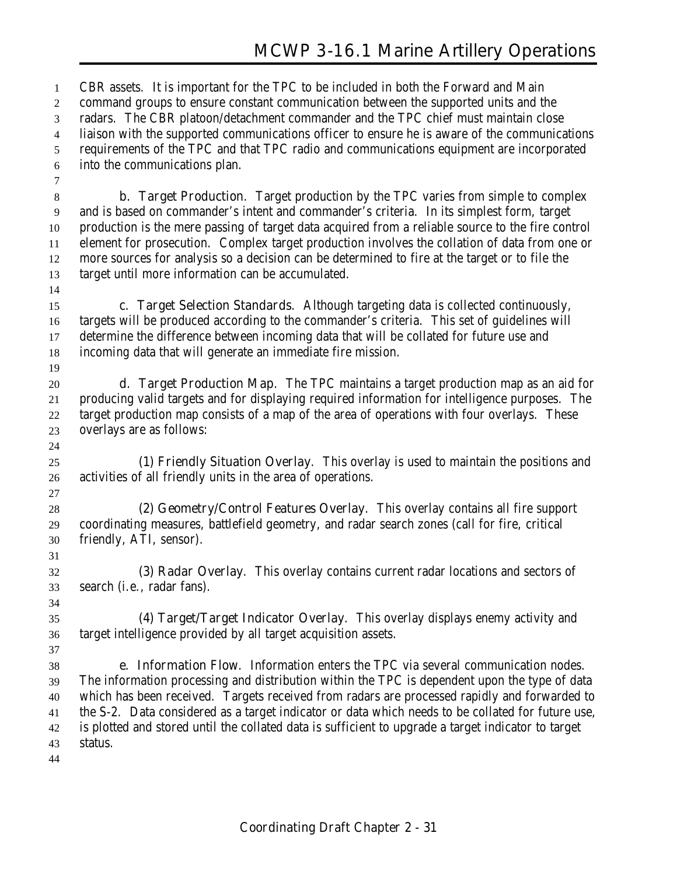CBR assets. It is important for the TPC to be included in both the Forward and Main command groups to ensure constant communication between the supported units and the radars. The CBR platoon/detachment commander and the TPC chief must maintain close liaison with the supported communications officer to ensure he is aware of the communications requirements of the TPC and that TPC radio and communications equipment are incorporated into the communications plan. **b. Target Production**. Target production by the TPC varies from simple to complex and is based on commander's intent and commander's criteria. In its simplest form, target production is the mere passing of target data acquired from a reliable source to the fire control element for prosecution. Complex target production involves the collation of data from one or more sources for analysis so a decision can be determined to fire at the target or to file the target until more information can be accumulated. **c. Target Selection Standards**. Although targeting data is collected continuously, targets will be produced according to the commander's criteria. This set of guidelines will determine the difference between incoming data that will be collated for future use and incoming data that will generate an immediate fire mission. **d. Target Production Map**. The TPC maintains a target production map as an aid for producing valid targets and for displaying required information for intelligence purposes. The target production map consists of a map of the area of operations with four overlays. These overlays are as follows: **(1) Friendly Situation Overlay**. This overlay is used to maintain the positions and activities of all friendly units in the area of operations. **(2) Geometry/Control Features Overlay**. This overlay contains all fire support coordinating measures, battlefield geometry, and radar search zones (call for fire, critical friendly, ATI, sensor). **(3) Radar Overlay**. This overlay contains current radar locations and sectors of search (i.e., radar fans). **(4) Target/Target Indicator Overlay**. This overlay displays enemy activity and target intelligence provided by all target acquisition assets. **e. Information Flow**. Information enters the TPC via several communication nodes. The information processing and distribution within the TPC is dependent upon the type of data which has been received. Targets received from radars are processed rapidly and forwarded to the S-2. Data considered as a target indicator or data which needs to be collated for future use, is plotted and stored until the collated data is sufficient to upgrade a target indicator to target status.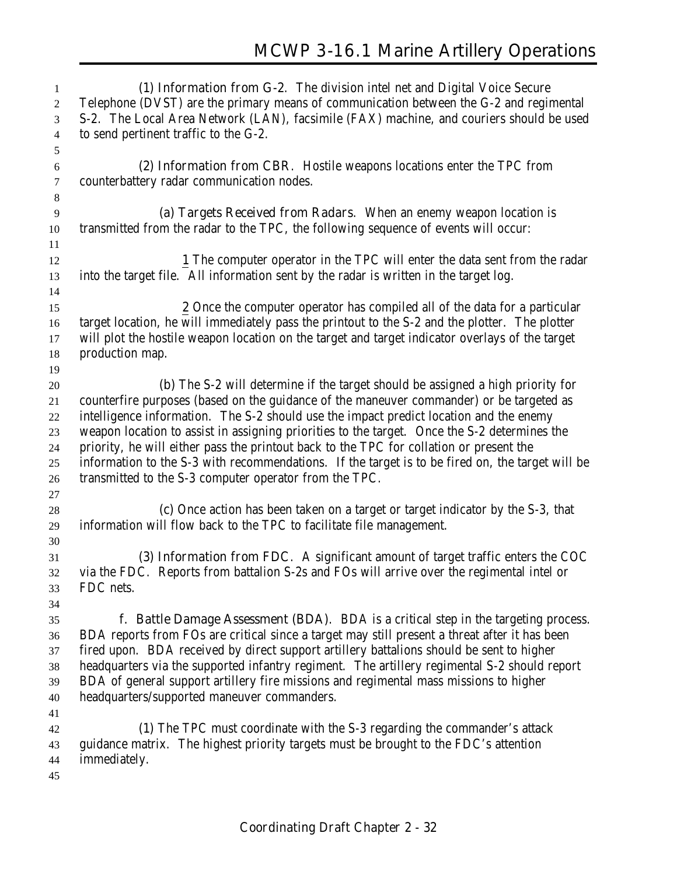**(1) Information from G-2**. The division intel net and Digital Voice Secure Telephone (DVST) are the primary means of communication between the G-2 and regimental S-2. The Local Area Network (LAN), facsimile (FAX) machine, and couriers should be used to send pertinent traffic to the G-2. **(2) Information from CBR**. Hostile weapons locations enter the TPC from counterbattery radar communication nodes. **(a) Targets Received from Radars**. When an enemy weapon location is transmitted from the radar to the TPC, the following sequence of events will occur: **1** The computer operator in the TPC will enter the data sent from the radar into the target file. All information sent by the radar is written in the target log. **2** Once the computer operator has compiled all of the data for a particular target location, he will immediately pass the printout to the S-2 and the plotter. The plotter will plot the hostile weapon location on the target and target indicator overlays of the target production map. **(b)** The S-2 will determine if the target should be assigned a high priority for counterfire purposes (based on the guidance of the maneuver commander) or be targeted as intelligence information. The S-2 should use the impact predict location and the enemy weapon location to assist in assigning priorities to the target. Once the S-2 determines the priority, he will either pass the printout back to the TPC for collation or present the information to the S-3 with recommendations. If the target is to be fired on, the target will be transmitted to the S-3 computer operator from the TPC. **(c)** Once action has been taken on a target or target indicator by the S-3, that information will flow back to the TPC to facilitate file management. **(3) Information from FDC**. A significant amount of target traffic enters the COC via the FDC. Reports from battalion S-2s and FOs will arrive over the regimental intel or FDC nets. **f. Battle Damage Assessment (BDA)**. BDA is a critical step in the targeting process. BDA reports from FOs are critical since a target may still present a threat after it has been fired upon. BDA received by direct support artillery battalions should be sent to higher headquarters via the supported infantry regiment. The artillery regimental S-2 should report BDA of general support artillery fire missions and regimental mass missions to higher headquarters/supported maneuver commanders. **(1)** The TPC must coordinate with the S-3 regarding the commander's attack guidance matrix. The highest priority targets must be brought to the FDC's attention immediately.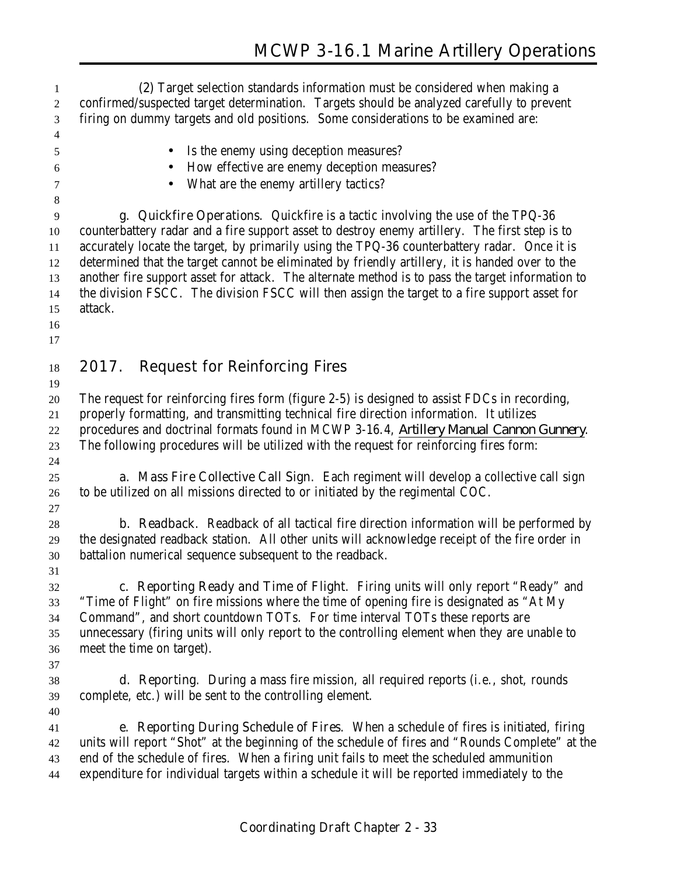**(2)** Target selection standards information must be considered when making a confirmed/suspected target determination. Targets should be analyzed carefully to prevent firing on dummy targets and old positions. Some considerations to be examined are: • Is the enemy using deception measures? • How effective are enemy deception measures? • What are the enemy artillery tactics? **g. Quickfire Operations**. Quickfire is a tactic involving the use of the TPQ-36 counterbattery radar and a fire support asset to destroy enemy artillery. The first step is to accurately locate the target, by primarily using the TPQ-36 counterbattery radar. Once it is determined that the target cannot be eliminated by friendly artillery, it is handed over to the another fire support asset for attack. The alternate method is to pass the target information to the division FSCC. The division FSCC will then assign the target to a fire support asset for attack. **2017. Request for Reinforcing Fires** The request for reinforcing fires form (figure 2-5) is designed to assist FDCs in recording, properly formatting, and transmitting technical fire direction information. It utilizes procedures and doctrinal formats found in MCWP 3-16.4, *Artillery Manual Cannon Gunnery*. The following procedures will be utilized with the request for reinforcing fires form: **a. Mass Fire Collective Call Sign**. Each regiment will develop a collective call sign to be utilized on all missions directed to or initiated by the regimental COC. **b. Readback**. Readback of all tactical fire direction information will be performed by the designated readback station. All other units will acknowledge receipt of the fire order in battalion numerical sequence subsequent to the readback. **c. Reporting Ready and Time of Flight**. Firing units will only report "Ready" and "Time of Flight" on fire missions where the time of opening fire is designated as "At My Command", and short countdown TOTs. For time interval TOTs these reports are unnecessary (firing units will only report to the controlling element when they are unable to meet the time on target). **d. Reporting**. During a mass fire mission, all required reports (i.e., shot, rounds complete, etc.) will be sent to the controlling element. **e. Reporting During Schedule of Fires**. When a schedule of fires is initiated, firing units will report "Shot" at the beginning of the schedule of fires and "Rounds Complete" at the end of the schedule of fires. When a firing unit fails to meet the scheduled ammunition expenditure for individual targets within a schedule it will be reported immediately to the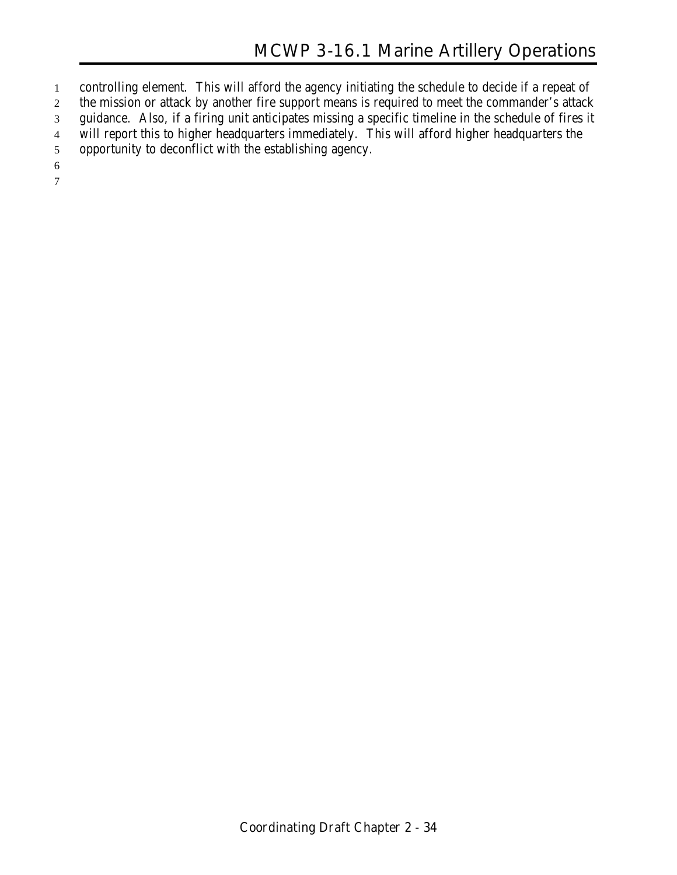controlling element. This will afford the agency initiating the schedule to decide if a repeat of 2 the mission or attack by another fire support means is required to meet the commander's attack guidance. Also, if a firing unit anticipates missing a specific timeline in the schedule of fires it will report this to higher headquarters immediately. This will afford higher headquarters the opportunity to deconflict with the establishing agency.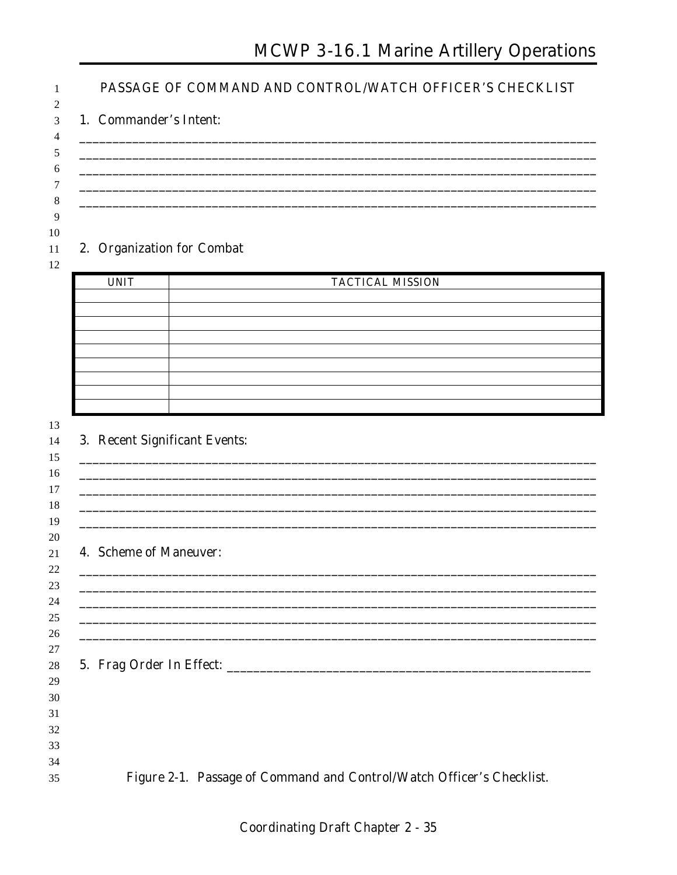# MCWP 3-16.1 Marine Artillery Operations

| 1. Commander's Intent:        |                                                                                  |
|-------------------------------|----------------------------------------------------------------------------------|
| 2. Organization for Combat    |                                                                                  |
| <b>UNIT</b>                   | <b>TACTICAL MISSION</b>                                                          |
|                               |                                                                                  |
|                               |                                                                                  |
|                               |                                                                                  |
|                               |                                                                                  |
|                               |                                                                                  |
|                               |                                                                                  |
| 3. Recent Significant Events: |                                                                                  |
|                               |                                                                                  |
|                               |                                                                                  |
| 4. Scheme of Maneuver:        |                                                                                  |
|                               |                                                                                  |
|                               |                                                                                  |
|                               | ,我们就会在这里的人,我们就会在这里的人,我们就会在这里的人,我们就会在这里的人,我们就会在这里的人,我们就会在这里的人,我们就会在这里的人,我们就会在这里的人 |
|                               |                                                                                  |
|                               |                                                                                  |
|                               |                                                                                  |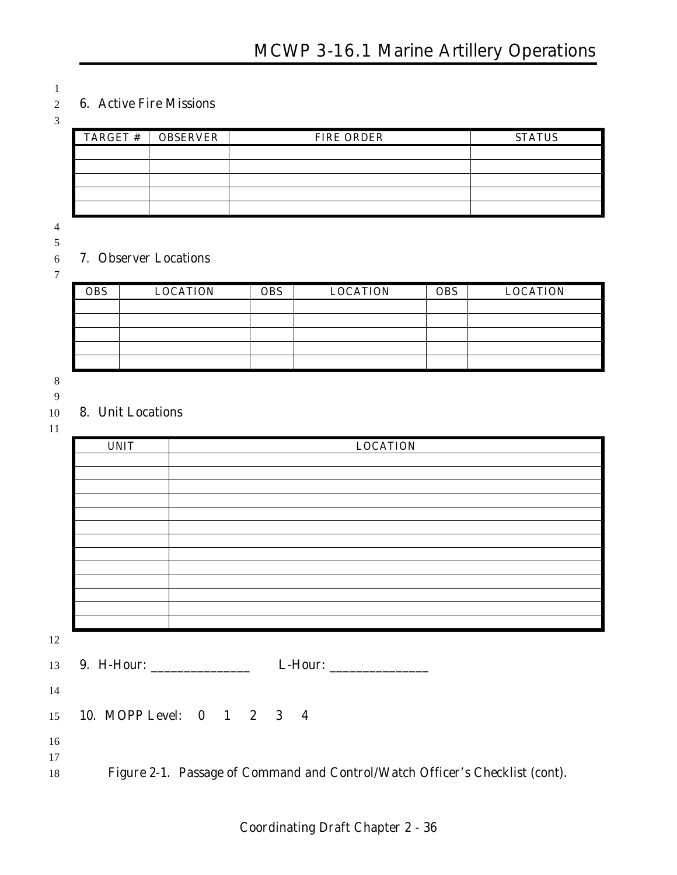#### **6. Active Fire Missions**

| $TARGET$ # | <b>OBSERVER</b> | <b>FIRE ORDER</b> | <b>STATUS</b> |
|------------|-----------------|-------------------|---------------|
|            |                 |                   |               |
|            |                 |                   |               |
|            |                 |                   |               |
|            |                 |                   |               |
|            |                 |                   |               |

#### **7. Observer Locations**

| <b>OBS</b> | <b>LOCATION</b> | <b>OBS</b> | <b>LOCATION</b> | <b>OBS</b> | <b>LOCATION</b> |
|------------|-----------------|------------|-----------------|------------|-----------------|
|            |                 |            |                 |            |                 |
|            |                 |            |                 |            |                 |
|            |                 |            |                 |            |                 |
|            |                 |            |                 |            |                 |
|            |                 |            |                 |            |                 |

- 
- 

#### **8. Unit Locations**

| <b>UNIT</b>                       | <b>LOCATION</b>                     |
|-----------------------------------|-------------------------------------|
|                                   |                                     |
|                                   |                                     |
|                                   |                                     |
|                                   |                                     |
|                                   |                                     |
|                                   |                                     |
|                                   |                                     |
|                                   |                                     |
|                                   |                                     |
|                                   |                                     |
|                                   |                                     |
|                                   |                                     |
| 9. H-Hour: ________________<br>13 |                                     |
|                                   | 15 <b>10. MOPP Level: 0 1 2 3 4</b> |

 

**Figure 2-1. Passage of Command and Control/Watch Officer's Checklist (cont).**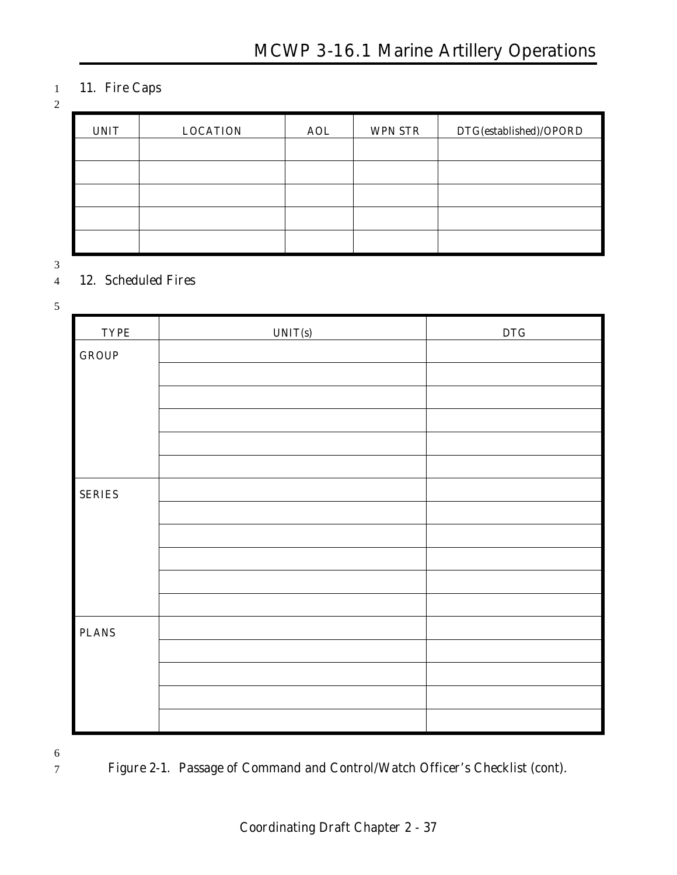### 1 **11. Fire Caps**

#### 2

| <b>UNIT</b> | <b>LOCATION</b> | <b>AOL</b> | <b>WPN STR</b> | DTG(established)/OPORD |
|-------------|-----------------|------------|----------------|------------------------|
|             |                 |            |                |                        |
|             |                 |            |                |                        |
|             |                 |            |                |                        |
|             |                 |            |                |                        |
|             |                 |            |                |                        |

3

#### 4 **12. Scheduled Fires**

5

| <b>TYPE</b>   | UNIT(s) | DTG |
|---------------|---------|-----|
| <b>GROUP</b>  |         |     |
|               |         |     |
|               |         |     |
|               |         |     |
|               |         |     |
|               |         |     |
| <b>SERIES</b> |         |     |
|               |         |     |
|               |         |     |
|               |         |     |
|               |         |     |
|               |         |     |
| <b>PLANS</b>  |         |     |
|               |         |     |
|               |         |     |
|               |         |     |
|               |         |     |

6

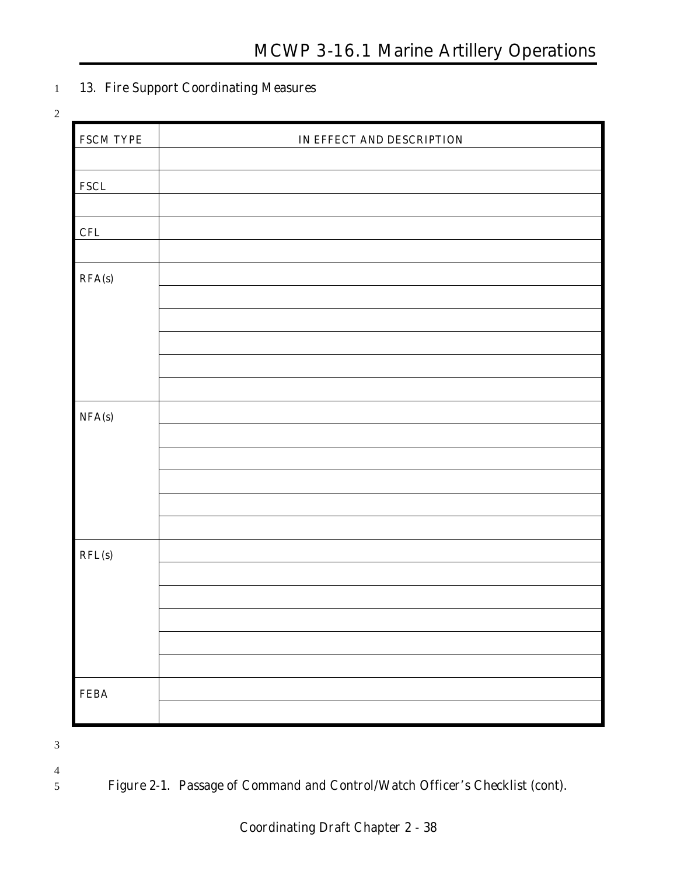### 1 **13. Fire Support Coordinating Measures**

2

| <b>FSCM TYPE</b> | IN EFFECT AND DESCRIPTION |
|------------------|---------------------------|
|                  |                           |
| <b>FSCL</b>      |                           |
|                  |                           |
| CFL              |                           |
|                  |                           |
| RFA(s)           |                           |
|                  |                           |
|                  |                           |
|                  |                           |
|                  |                           |
|                  |                           |
| NFA(s)           |                           |
|                  |                           |
|                  |                           |
|                  |                           |
|                  |                           |
|                  |                           |
| RFL(s)           |                           |
|                  |                           |
|                  |                           |
|                  |                           |
|                  |                           |
|                  |                           |
| ${\bf FEA}$      |                           |
|                  |                           |

3

- 4
- 
- 5 **Figure 2-1. Passage of Command and Control/Watch Officer's Checklist (cont).**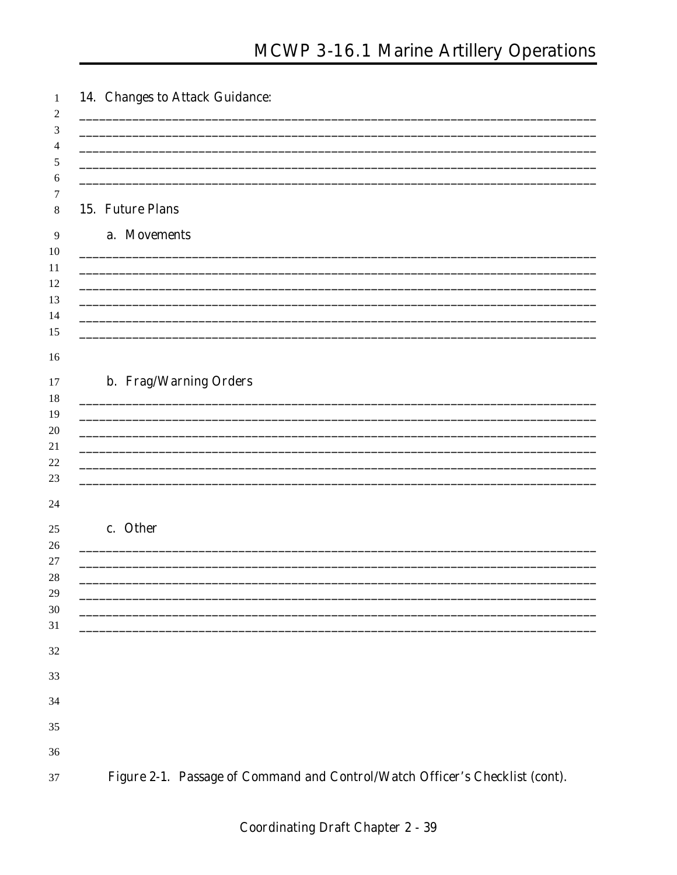| 15. Future Plans                                                                                                                                                                                                                     |
|--------------------------------------------------------------------------------------------------------------------------------------------------------------------------------------------------------------------------------------|
| a. Movements                                                                                                                                                                                                                         |
|                                                                                                                                                                                                                                      |
| <u>and the contract of the contract of the contract of the contract of the contract of the contract of the contract of the contract of the contract of the contract of the contract of the contract of the contract of the contr</u> |
|                                                                                                                                                                                                                                      |
|                                                                                                                                                                                                                                      |
|                                                                                                                                                                                                                                      |
|                                                                                                                                                                                                                                      |
| b. Frag/Warning Orders                                                                                                                                                                                                               |
|                                                                                                                                                                                                                                      |
|                                                                                                                                                                                                                                      |
|                                                                                                                                                                                                                                      |
|                                                                                                                                                                                                                                      |
|                                                                                                                                                                                                                                      |
|                                                                                                                                                                                                                                      |
| c. Other                                                                                                                                                                                                                             |
|                                                                                                                                                                                                                                      |
|                                                                                                                                                                                                                                      |
|                                                                                                                                                                                                                                      |
| <u> 1989 - Johann Barn, mars ann an t-Amhain ann an t-Amhain ann an t-Amhain ann an t-Amhain an t-Amhain an t-Amh</u>                                                                                                                |
| <u> 1989 - Johann John Stein, mars ar yw i ganrif y cyfeiriad y ganrif y cyfeiriad y ganrif y cyfeiriad y ganrif</u>                                                                                                                 |
|                                                                                                                                                                                                                                      |
|                                                                                                                                                                                                                                      |
|                                                                                                                                                                                                                                      |
|                                                                                                                                                                                                                                      |
|                                                                                                                                                                                                                                      |
|                                                                                                                                                                                                                                      |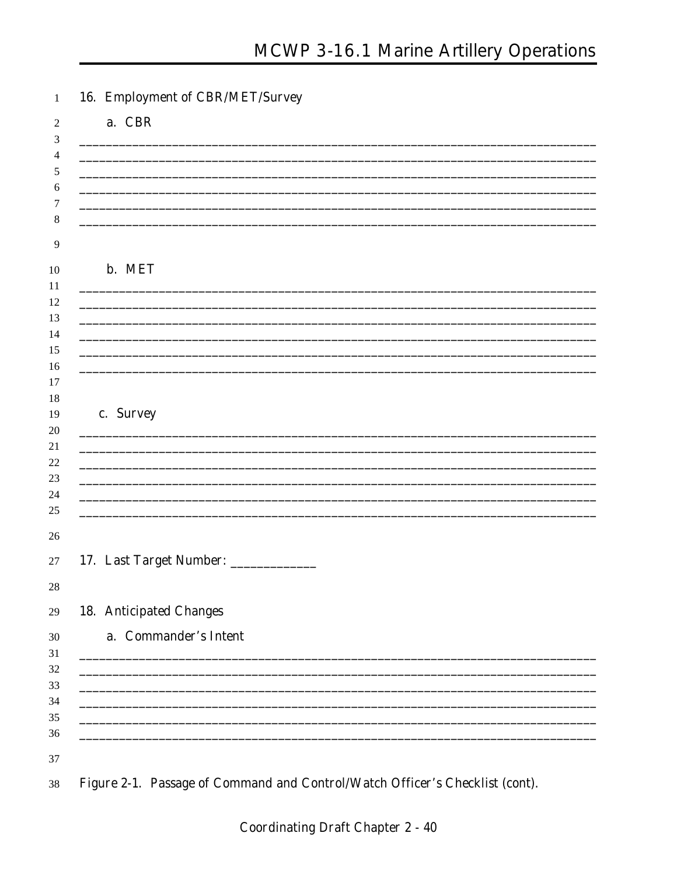| 16. Employment of CBR/MET/Survey                                                                                      |  |
|-----------------------------------------------------------------------------------------------------------------------|--|
| a. CBR                                                                                                                |  |
|                                                                                                                       |  |
|                                                                                                                       |  |
|                                                                                                                       |  |
|                                                                                                                       |  |
|                                                                                                                       |  |
|                                                                                                                       |  |
| b. MET                                                                                                                |  |
|                                                                                                                       |  |
|                                                                                                                       |  |
|                                                                                                                       |  |
|                                                                                                                       |  |
|                                                                                                                       |  |
|                                                                                                                       |  |
|                                                                                                                       |  |
| c. Survey                                                                                                             |  |
|                                                                                                                       |  |
|                                                                                                                       |  |
|                                                                                                                       |  |
|                                                                                                                       |  |
|                                                                                                                       |  |
|                                                                                                                       |  |
|                                                                                                                       |  |
| 17. Last Target Number: _____________                                                                                 |  |
|                                                                                                                       |  |
| <b>18. Anticipated Changes</b>                                                                                        |  |
|                                                                                                                       |  |
| a. Commander's Intent                                                                                                 |  |
|                                                                                                                       |  |
| <u> 1989 - Johann Harry Harry Harry Harry Harry Harry Harry Harry Harry Harry Harry Harry Harry Harry Harry Harry</u> |  |
|                                                                                                                       |  |
|                                                                                                                       |  |
|                                                                                                                       |  |
|                                                                                                                       |  |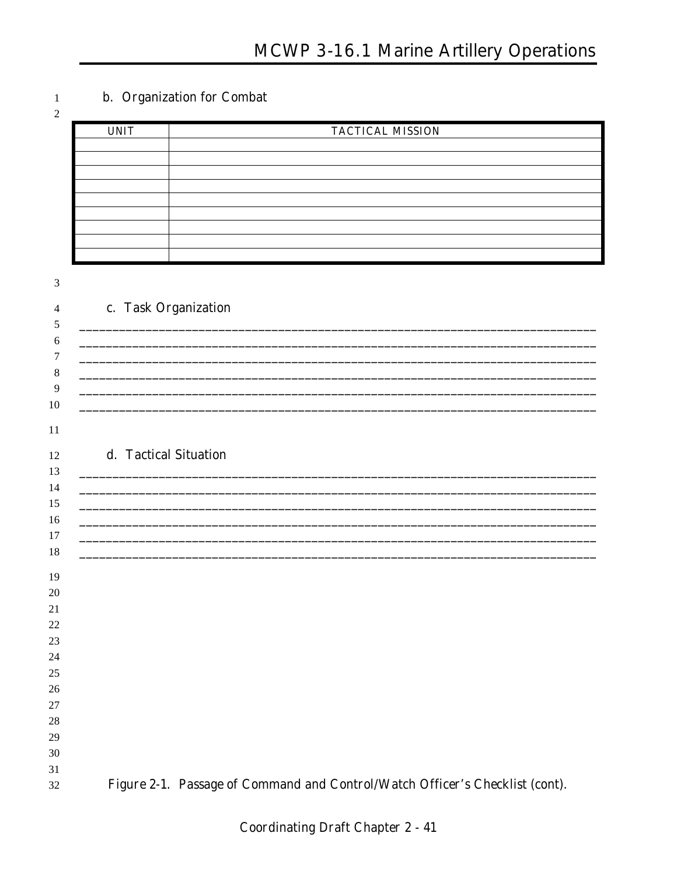### b. Organization for Combat

| 2 |             |                         |
|---|-------------|-------------------------|
|   | <b>UNIT</b> | <b>TACTICAL MISSION</b> |
|   |             |                         |
|   |             |                         |
|   |             |                         |
|   |             |                         |
|   |             |                         |
|   |             |                         |
|   |             |                         |
|   |             |                         |
|   |             |                         |

 $\overline{\mathcal{E}}$ 

 $\,1$ 

| J                   |                                                                              |
|---------------------|------------------------------------------------------------------------------|
| $\overline{4}$<br>5 | c. Task Organization                                                         |
| 6                   |                                                                              |
| $\tau$              |                                                                              |
| $\,8\,$             |                                                                              |
| 9                   |                                                                              |
| 10                  |                                                                              |
| 11                  |                                                                              |
|                     |                                                                              |
| 12                  | d. Tactical Situation                                                        |
| 13                  |                                                                              |
| 14                  |                                                                              |
| 15<br>16            |                                                                              |
| 17                  |                                                                              |
| 18                  |                                                                              |
|                     |                                                                              |
| 19                  |                                                                              |
| 20                  |                                                                              |
| 21<br>22            |                                                                              |
| 23                  |                                                                              |
| 24                  |                                                                              |
| 25                  |                                                                              |
| 26                  |                                                                              |
| 27                  |                                                                              |
| 28                  |                                                                              |
| 29                  |                                                                              |
| 30                  |                                                                              |
| 31                  |                                                                              |
| 32                  | Figure 2-1. Passage of Command and Control/Watch Officer's Checklist (cont). |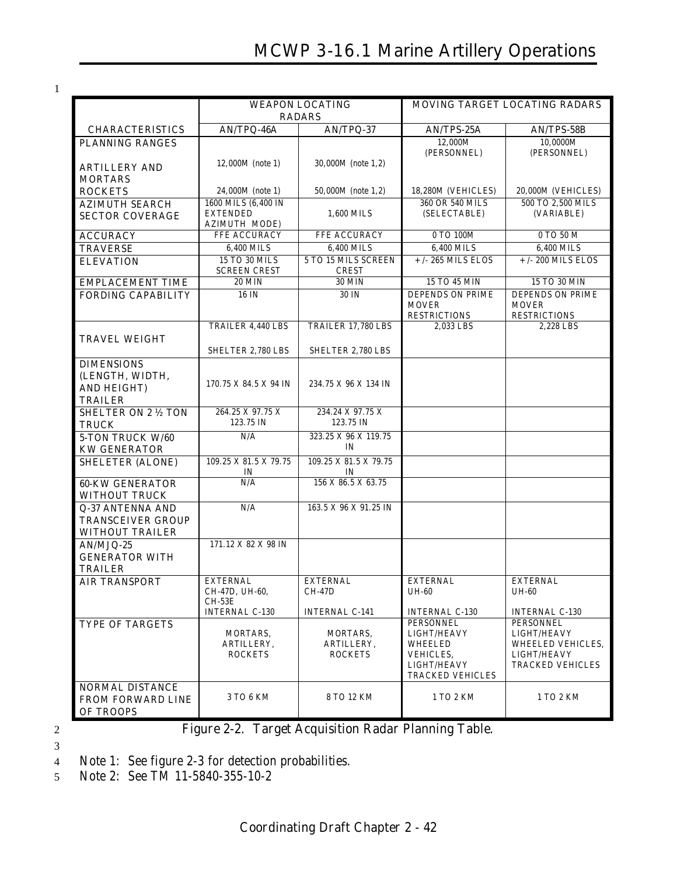1

|                                                    | <b>WEAPON LOCATING</b><br><b>RADARS</b> |                                     | <b>MOVING TARGET LOCATING RADARS</b>      |                                           |  |
|----------------------------------------------------|-----------------------------------------|-------------------------------------|-------------------------------------------|-------------------------------------------|--|
|                                                    | AN/TPQ-46A                              | AN/TPQ-37                           | <b>AN/TPS-25A</b>                         |                                           |  |
| <b>CHARACTERISTICS</b>                             |                                         |                                     | 12,000M                                   | AN/TPS-58B<br>10,0000M                    |  |
| <b>PLANNING RANGES</b>                             |                                         |                                     | (PERSONNEL)                               | (PERSONNEL)                               |  |
| <b>ARTILLERY AND</b>                               | 12,000M (note 1)                        | 30,000M (note 1.2)                  |                                           |                                           |  |
| <b>MORTARS</b>                                     |                                         |                                     |                                           |                                           |  |
| <b>ROCKETS</b>                                     | 24,000M (note 1)                        | 50,000M (note 1,2)                  | 18,280M (VEHICLES)                        | 20,000M (VEHICLES)                        |  |
| <b>AZIMUTH SEARCH</b>                              | 1600 MILS (6,400 IN                     |                                     | 360 OR 540 MILS                           | 500 TO 2,500 MILS                         |  |
| <b>SECTOR COVERAGE</b>                             | <b>EXTENDED</b>                         | 1,600 MILS                          | (SELECTABLE)                              | (VARIABLE)                                |  |
|                                                    | <b>AZIMUTH MODE)</b>                    |                                     |                                           |                                           |  |
| <b>ACCURACY</b>                                    | FFE ACCURACY                            | FFE ACCURACY                        | 0 TO 100M                                 | 0 TO 50 M                                 |  |
| <b>TRAVERSE</b>                                    | 6,400 MILS                              | 6,400 MILS                          | 6.400 MILS                                | 6,400 MILS                                |  |
| <b>ELEVATION</b>                                   | 15 TO 30 MILS<br><b>SCREEN CREST</b>    | 5 TO 15 MILS SCREEN<br><b>CREST</b> | $+/- 265$ MILS ELOS                       | $+$ /- 200 MILS ELOS                      |  |
| <b>EMPLACEMENT TIME</b>                            | <b>20 MIN</b>                           | <b>30 MIN</b>                       | 15 TO 45 MIN                              | 15 TO 30 MIN                              |  |
| <b>FORDING CAPABILITY</b>                          | 16 IN                                   | 30 IN                               | <b>DEPENDS ON PRIME</b>                   | <b>DEPENDS ON PRIME</b>                   |  |
|                                                    |                                         |                                     | <b>MOVER</b>                              | <b>MOVER</b>                              |  |
|                                                    |                                         |                                     | <b>RESTRICTIONS</b>                       | <b>RESTRICTIONS</b>                       |  |
|                                                    | TRAILER 4,440 LBS                       | TRAILER 17,780 LBS                  | 2,033 LBS                                 | 2,228 LBS                                 |  |
| <b>TRAVEL WEIGHT</b>                               |                                         |                                     |                                           |                                           |  |
|                                                    | SHELTER 2,780 LBS                       | SHELTER 2,780 LBS                   |                                           |                                           |  |
| <b>DIMENSIONS</b>                                  |                                         |                                     |                                           |                                           |  |
| (LENGTH, WIDTH,                                    | 170.75 X 84.5 X 94 IN                   | 234.75 X 96 X 134 IN                |                                           |                                           |  |
| <b>AND HEIGHT)</b>                                 |                                         |                                     |                                           |                                           |  |
| <b>TRAILER</b>                                     | 264.25 X 97.75 X                        | 234.24 X 97.75 X                    |                                           |                                           |  |
| <b>SHELTER ON 2 1/2 TON</b><br><b>TRUCK</b>        | 123.75 IN                               | 123.75 IN                           |                                           |                                           |  |
| 5-TON TRUCK W/60                                   | N/A                                     | 323.25 X 96 X 119.75                |                                           |                                           |  |
| <b>KW GENERATOR</b>                                |                                         | IN                                  |                                           |                                           |  |
| <b>SHELETER (ALONE)</b>                            | 109.25 X 81.5 X 79.75                   | 109.25 X 81.5 X 79.75               |                                           |                                           |  |
|                                                    | IN                                      | IN                                  |                                           |                                           |  |
| <b>60-KW GENERATOR</b>                             | N/A                                     | 156 X 86.5 X 63.75                  |                                           |                                           |  |
| <b>WITHOUT TRUCK</b>                               |                                         |                                     |                                           |                                           |  |
| <b>Q-37 ANTENNA AND</b>                            | N/A                                     | 163.5 X 96 X 91.25 IN               |                                           |                                           |  |
| <b>TRANSCEIVER GROUP</b><br><b>WITHOUT TRAILER</b> |                                         |                                     |                                           |                                           |  |
| AN/MJQ-25                                          | 171.12 X 82 X 98 IN                     |                                     |                                           |                                           |  |
| <b>GENERATOR WITH</b>                              |                                         |                                     |                                           |                                           |  |
| <b>TRAILER</b>                                     |                                         |                                     |                                           |                                           |  |
| <b>AIR TRANSPORT</b>                               | <b>EXTERNAL</b>                         | <b>EXTERNAL</b>                     | <b>EXTERNAL</b>                           | <b>EXTERNAL</b>                           |  |
|                                                    | CH-47D, UH-60,                          | CH-47D                              | <b>UH-60</b>                              | <b>UH-60</b>                              |  |
|                                                    | CH-53E                                  |                                     |                                           |                                           |  |
| <b>TYPE OF TARGETS</b>                             | <b>INTERNAL C-130</b>                   | <b>INTERNAL C-141</b>               | <b>INTERNAL C-130</b><br><b>PERSONNEL</b> | <b>INTERNAL C-130</b><br><b>PERSONNEL</b> |  |
|                                                    | MORTARS,                                | MORTARS,                            | LIGHT/HEAVY                               | LIGHT/HEAVY                               |  |
|                                                    | ARTILLERY,                              | ARTILLERY,                          | <b>WHEELED</b>                            | WHEELED VEHICLES,                         |  |
|                                                    | <b>ROCKETS</b>                          | <b>ROCKETS</b>                      | VEHICLES,                                 | LIGHT/HEAVY                               |  |
|                                                    |                                         |                                     | LIGHT/HEAVY<br><b>TRACKED VEHICLES</b>    | <b>TRACKED VEHICLES</b>                   |  |
| <b>NORMAL DISTANCE</b>                             |                                         |                                     |                                           |                                           |  |
| <b>FROM FORWARD LINE</b>                           | 3 TO 6 KM                               | 8 TO 12 KM                          | 1 TO 2 KM                                 | 1 TO 2 KM                                 |  |
| <b>OF TROOPS</b>                                   |                                         |                                     |                                           |                                           |  |

3

- 2 **Figure 2-2. Target Acquisition Radar Planning Table.**
- 4 Note 1: See figure 2-3 for detection probabilities.

5 Note 2: See TM 11-5840-355-10-2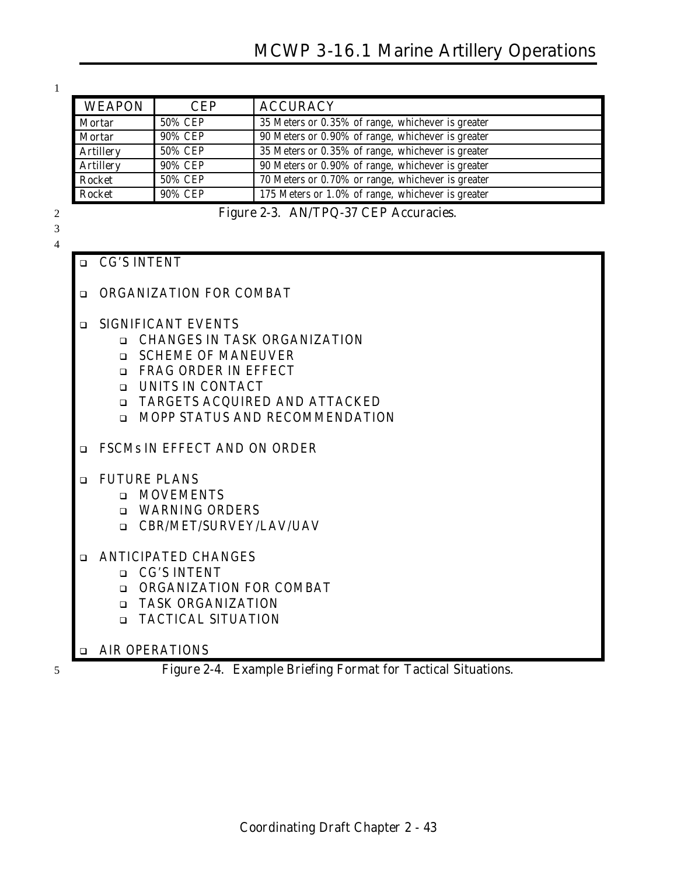1

| <b>WEAPON</b>    | <b>CEP</b> | <b>ACCURACY</b>                                   |
|------------------|------------|---------------------------------------------------|
| <b>Mortar</b>    | 50% CEP    | 35 Meters or 0.35% of range, whichever is greater |
| <b>Mortar</b>    | 90% CEP    | 90 Meters or 0.90% of range, whichever is greater |
| <b>Artillery</b> | 50% CEP    | 35 Meters or 0.35% of range, whichever is greater |
| <b>Artillery</b> | 90% CEP    | 90 Meters or 0.90% of range, whichever is greater |
| <b>Rocket</b>    | 50% CEP    | 70 Meters or 0.70% or range, whichever is greater |
| <b>Rocket</b>    | 90% CEP    | 175 Meters or 1.0% of range, whichever is greater |

2 **Figure 2-3. AN/TPQ-37 CEP Accuracies.**

#### 3 4

| $\Box$ | <b>CG'S INTENT</b>                                                                                                                                                                                                                                 |
|--------|----------------------------------------------------------------------------------------------------------------------------------------------------------------------------------------------------------------------------------------------------|
| $\Box$ | ORGANIZATION FOR COMBAT                                                                                                                                                                                                                            |
| □      | <b>SIGNIFICANT EVENTS</b><br><b>Q CHANGES IN TASK ORGANIZATION</b><br><b>SCHEME OF MANEUVER</b><br>$\Box$<br><b>EXAG ORDER IN EFFECT</b><br><b>Q UNITS IN CONTACT</b><br>□ TARGETS ACQUIRED AND ATTACKED<br><b>INOPP STATUS AND RECOMMENDATION</b> |
| ◻      | FSCMs IN EFFECT AND ON ORDER                                                                                                                                                                                                                       |
| $\Box$ | <b>FUTURE PLANS</b><br><b>D</b> MOVEMENTS<br><b>U</b> WARNING ORDERS<br>□ CBR/MET/SURVEY/LAV/UAV                                                                                                                                                   |
|        | <b>ANTICIPATED CHANGES</b><br><b>D</b> CG'S INTENT<br><b>Q ORGANIZATION FOR COMBAT</b><br>□ TASK ORGANIZATION<br><b>D</b> TACTICAL SITUATION                                                                                                       |
| $\Box$ | <b>AIR OPERATIONS</b>                                                                                                                                                                                                                              |

5 **Figure 2-4. Example Briefing Format for Tactical Situations.**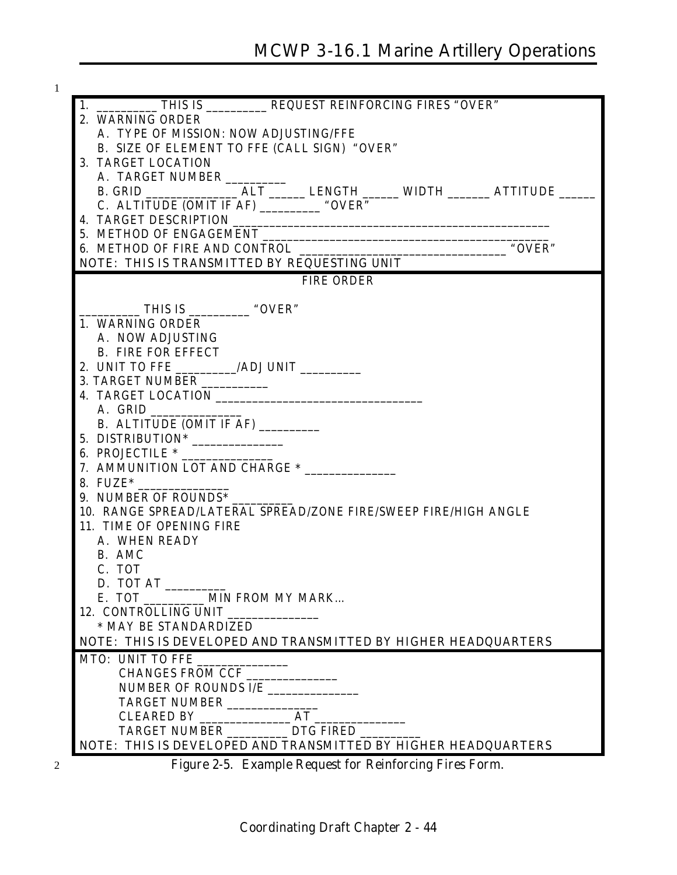| 2. WARNING ORDER                                                |                   |                                                         |  |
|-----------------------------------------------------------------|-------------------|---------------------------------------------------------|--|
| A. TYPE OF MISSION: NOW ADJUSTING/FFE                           |                   |                                                         |  |
| B. SIZE OF ELEMENT TO FFE (CALL SIGN) "OVER"                    |                   |                                                         |  |
| 3. TARGET LOCATION                                              |                   |                                                         |  |
| A. TARGET NUMBER                                                |                   |                                                         |  |
|                                                                 |                   |                                                         |  |
| C. ALTITUDE (OMIT IF AF) ____________ "OVER"                    |                   |                                                         |  |
|                                                                 |                   |                                                         |  |
| 5. METHOD OF ENGAGEMENT                                         |                   |                                                         |  |
| 6. METHOD OF FIRE AND CONTROL                                   |                   |                                                         |  |
| NOTE: THIS IS TRANSMITTED BY REQUESTING UNIT                    |                   |                                                         |  |
|                                                                 | <b>FIRE ORDER</b> |                                                         |  |
|                                                                 |                   |                                                         |  |
| $\frac{1}{2}$ THIS IS $\frac{1}{2}$ "OVER"                      |                   |                                                         |  |
| 1. WARNING ORDER                                                |                   |                                                         |  |
| A. NOW ADJUSTING                                                |                   |                                                         |  |
| <b>B. FIRE FOR EFFECT</b>                                       |                   |                                                         |  |
| 2. UNIT TO FFE _________/ADJ UNIT __________                    |                   |                                                         |  |
| 3. TARGET NUMBER ___________                                    |                   |                                                         |  |
|                                                                 |                   |                                                         |  |
| A. GRID                                                         |                   |                                                         |  |
| B. ALTITUDE (OMIT IF AF) _________                              |                   |                                                         |  |
| 5. DISTRIBUTION*                                                |                   |                                                         |  |
| 6. PROJECTILE *                                                 |                   |                                                         |  |
| 7. AMMUNITION LOT AND CHARGE * _______________                  |                   |                                                         |  |
| 8. $FUZE^*$                                                     |                   |                                                         |  |
| 9. NUMBER OF ROUNDS*                                            |                   |                                                         |  |
| 10. RANGE SPREAD/LATERAL SPREAD/ZONE FIRE/SWEEP FIRE/HIGH ANGLE |                   |                                                         |  |
| 11. TIME OF OPENING FIRE                                        |                   |                                                         |  |
| A. WHEN READY                                                   |                   |                                                         |  |
| B. AMC                                                          |                   |                                                         |  |
| C. TOT                                                          |                   |                                                         |  |
| D. TOT AT                                                       |                   |                                                         |  |
|                                                                 |                   |                                                         |  |
| 12. CONTROLLING UNIT                                            |                   |                                                         |  |
| * MAY BE STANDARDIZED                                           |                   |                                                         |  |
| NOTE: THIS IS DEVELOPED AND TRANSMITTED BY HIGHER HEADQUARTERS  |                   |                                                         |  |
| MOLE. 1112 22 22 12                                             |                   |                                                         |  |
| CHANGES FROM CCF                                                |                   |                                                         |  |
| NUMBER OF ROUNDS I/E ______________                             |                   |                                                         |  |
|                                                                 |                   |                                                         |  |
|                                                                 |                   |                                                         |  |
|                                                                 |                   |                                                         |  |
| NOTE: THIS IS DEVELOPED AND TRANSMITTED BY HIGHER HEADQUARTERS  |                   |                                                         |  |
|                                                                 |                   | Figure 2-5. Example Request for Reinforcing Fires Form. |  |
|                                                                 |                   |                                                         |  |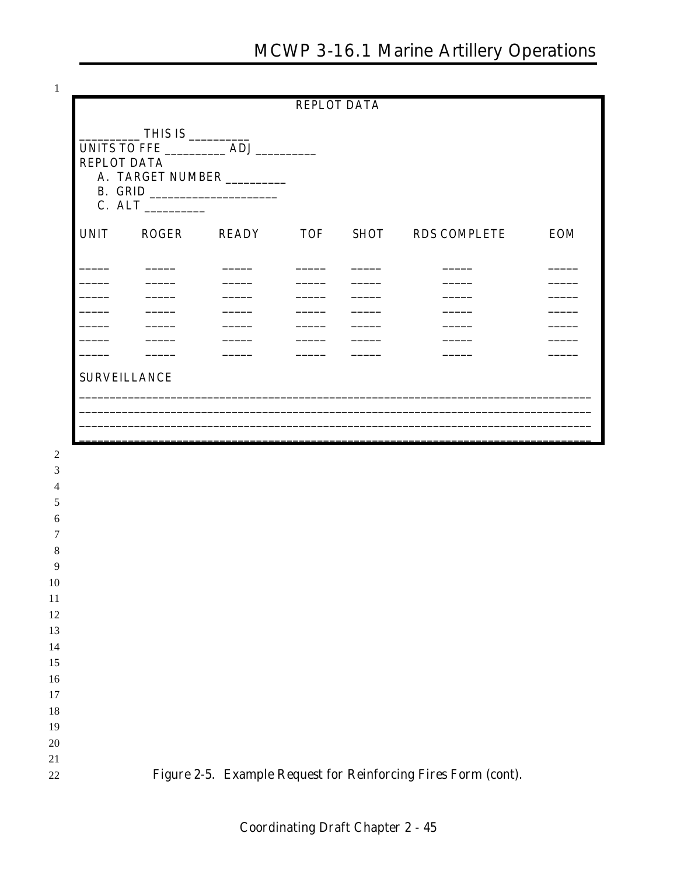$\,1$ 

 $\overline{c}$  $\overline{3}$  $\overline{4}$  $\mathfrak{S}$  $\overline{6}$  $\boldsymbol{7}$  $\boldsymbol{8}$ 9  $10\,$  $11\,$ 12 13 14 15  $16\,$  $17\,$  $18\,$ 19 20  $21\,$ 

22

|                                           |                                                      |                                                                                                                                                                                                                                                                                                                                                                                                                                                                                             |                                                      | <b>REPLOT DATA</b>                                   |                                                                                                                                                                                                                                                                                                                                                                                                                        |                          |
|-------------------------------------------|------------------------------------------------------|---------------------------------------------------------------------------------------------------------------------------------------------------------------------------------------------------------------------------------------------------------------------------------------------------------------------------------------------------------------------------------------------------------------------------------------------------------------------------------------------|------------------------------------------------------|------------------------------------------------------|------------------------------------------------------------------------------------------------------------------------------------------------------------------------------------------------------------------------------------------------------------------------------------------------------------------------------------------------------------------------------------------------------------------------|--------------------------|
| <b>REPLOT DATA</b>                        | T <sub>HIS IS</sub>                                  | A. TARGET NUMBER                                                                                                                                                                                                                                                                                                                                                                                                                                                                            |                                                      |                                                      |                                                                                                                                                                                                                                                                                                                                                                                                                        |                          |
| <b>UNIT</b>                               | ROGER                                                | READY TOF                                                                                                                                                                                                                                                                                                                                                                                                                                                                                   |                                                      |                                                      | SHOT RDS COMPLETE                                                                                                                                                                                                                                                                                                                                                                                                      | <b>EOM</b>               |
| $\frac{1}{2}$                             |                                                      |                                                                                                                                                                                                                                                                                                                                                                                                                                                                                             |                                                      |                                                      |                                                                                                                                                                                                                                                                                                                                                                                                                        |                          |
| $\overline{\phantom{a}}$                  | $\overline{\phantom{a}}$<br>$\overline{\phantom{a}}$ | $\overline{\phantom{a}}$                                                                                                                                                                                                                                                                                                                                                                                                                                                                    | $\overline{\phantom{a}}$                             | _____                                                | _____                                                                                                                                                                                                                                                                                                                                                                                                                  |                          |
| $\overline{\phantom{a}}$<br>$\frac{1}{1}$ | $\overline{\phantom{a}}$<br>_____                    | $\frac{1}{2}$<br>$\frac{1}{2} \left( \frac{1}{2} \right) \left( \frac{1}{2} \right) \left( \frac{1}{2} \right) \left( \frac{1}{2} \right) \left( \frac{1}{2} \right) \left( \frac{1}{2} \right) \left( \frac{1}{2} \right) \left( \frac{1}{2} \right) \left( \frac{1}{2} \right) \left( \frac{1}{2} \right) \left( \frac{1}{2} \right) \left( \frac{1}{2} \right) \left( \frac{1}{2} \right) \left( \frac{1}{2} \right) \left( \frac{1}{2} \right) \left( \frac{1}{2} \right) \left( \frac$ | $\overline{\phantom{a}}$<br>$\overline{\phantom{a}}$ | $\overline{\phantom{a}}$<br>$\overline{\phantom{a}}$ | _____                                                                                                                                                                                                                                                                                                                                                                                                                  | $\sim$                   |
| $\overline{\phantom{a}}$                  | $\overline{\phantom{a}}$                             | $\frac{1}{2} \left( \frac{1}{2} \right) \left( \frac{1}{2} \right) \left( \frac{1}{2} \right) \left( \frac{1}{2} \right) \left( \frac{1}{2} \right) \left( \frac{1}{2} \right) \left( \frac{1}{2} \right) \left( \frac{1}{2} \right) \left( \frac{1}{2} \right) \left( \frac{1}{2} \right) \left( \frac{1}{2} \right) \left( \frac{1}{2} \right) \left( \frac{1}{2} \right) \left( \frac{1}{2} \right) \left( \frac{1}{2} \right) \left( \frac{1}{2} \right) \left( \frac$                  | $\overline{\phantom{a}}$                             | ______                                               | $\begin{tabular}{ccccc} \multicolumn{2}{c }{\textbf{1} & \textbf{2} & \textbf{3} & \textbf{4} & \textbf{5} & \textbf{5} & \textbf{6} & \textbf{6} & \textbf{7} & \textbf{8} & \textbf{8} & \textbf{9} & \textbf{10} & \textbf{10} & \textbf{10} & \textbf{10} & \textbf{10} & \textbf{10} & \textbf{10} & \textbf{10} & \textbf{10} & \textbf{10} & \textbf{10} & \textbf{10} & \textbf{10} & \textbf{10} & \textbf{1$ | $\overline{\phantom{a}}$ |
|                                           | <b>SURVEILLANCE</b>                                  |                                                                                                                                                                                                                                                                                                                                                                                                                                                                                             |                                                      |                                                      |                                                                                                                                                                                                                                                                                                                                                                                                                        |                          |
|                                           |                                                      |                                                                                                                                                                                                                                                                                                                                                                                                                                                                                             |                                                      |                                                      |                                                                                                                                                                                                                                                                                                                                                                                                                        |                          |
|                                           |                                                      |                                                                                                                                                                                                                                                                                                                                                                                                                                                                                             |                                                      |                                                      |                                                                                                                                                                                                                                                                                                                                                                                                                        |                          |
|                                           |                                                      |                                                                                                                                                                                                                                                                                                                                                                                                                                                                                             |                                                      |                                                      |                                                                                                                                                                                                                                                                                                                                                                                                                        |                          |
|                                           |                                                      |                                                                                                                                                                                                                                                                                                                                                                                                                                                                                             |                                                      |                                                      |                                                                                                                                                                                                                                                                                                                                                                                                                        |                          |
|                                           |                                                      |                                                                                                                                                                                                                                                                                                                                                                                                                                                                                             |                                                      |                                                      |                                                                                                                                                                                                                                                                                                                                                                                                                        |                          |
|                                           |                                                      |                                                                                                                                                                                                                                                                                                                                                                                                                                                                                             |                                                      |                                                      |                                                                                                                                                                                                                                                                                                                                                                                                                        |                          |
|                                           |                                                      |                                                                                                                                                                                                                                                                                                                                                                                                                                                                                             |                                                      |                                                      |                                                                                                                                                                                                                                                                                                                                                                                                                        |                          |
|                                           |                                                      |                                                                                                                                                                                                                                                                                                                                                                                                                                                                                             |                                                      |                                                      |                                                                                                                                                                                                                                                                                                                                                                                                                        |                          |
|                                           |                                                      |                                                                                                                                                                                                                                                                                                                                                                                                                                                                                             |                                                      |                                                      |                                                                                                                                                                                                                                                                                                                                                                                                                        |                          |
|                                           |                                                      |                                                                                                                                                                                                                                                                                                                                                                                                                                                                                             |                                                      |                                                      |                                                                                                                                                                                                                                                                                                                                                                                                                        |                          |
|                                           |                                                      |                                                                                                                                                                                                                                                                                                                                                                                                                                                                                             |                                                      |                                                      |                                                                                                                                                                                                                                                                                                                                                                                                                        |                          |

Figure 2-5. Example Request for Reinforcing Fires Form (cont).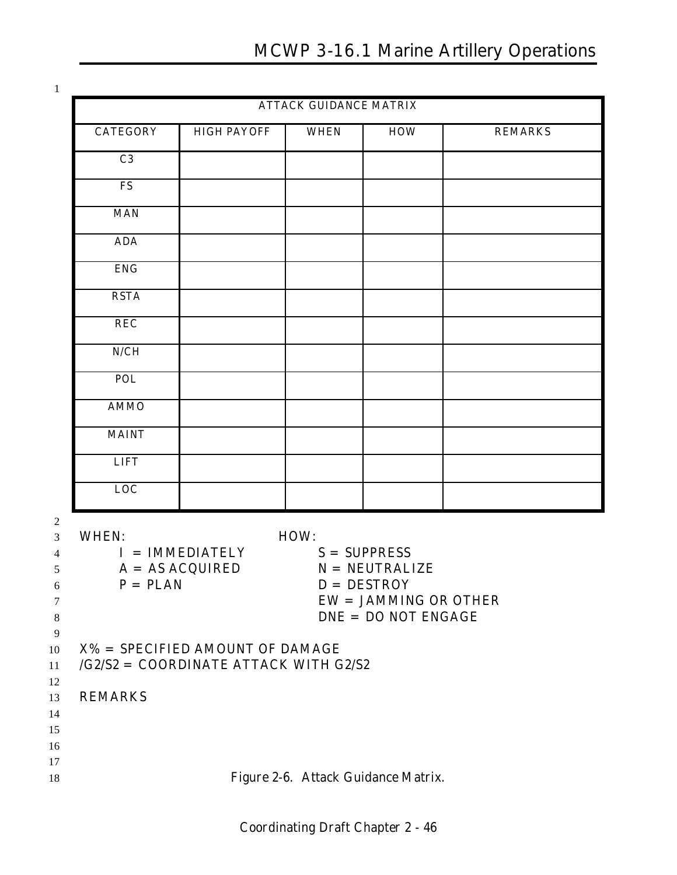1

|                            |                                                                               | <b>ATTACK GUIDANCE MATRIX</b> |                                                                                                         |                |
|----------------------------|-------------------------------------------------------------------------------|-------------------------------|---------------------------------------------------------------------------------------------------------|----------------|
| <b>CATEGORY</b>            | <b>HIGH PAYOFF</b>                                                            | <b>WHEN</b>                   | <b>HOW</b>                                                                                              | <b>REMARKS</b> |
| C <sub>3</sub>             |                                                                               |                               |                                                                                                         |                |
| <b>FS</b>                  |                                                                               |                               |                                                                                                         |                |
| <b>MAN</b>                 |                                                                               |                               |                                                                                                         |                |
| <b>ADA</b>                 |                                                                               |                               |                                                                                                         |                |
| <b>ENG</b>                 |                                                                               |                               |                                                                                                         |                |
| <b>RSTA</b>                |                                                                               |                               |                                                                                                         |                |
| <b>REC</b>                 |                                                                               |                               |                                                                                                         |                |
| N/CH                       |                                                                               |                               |                                                                                                         |                |
| <b>POL</b>                 |                                                                               |                               |                                                                                                         |                |
| <b>AMMO</b>                |                                                                               |                               |                                                                                                         |                |
| <b>MAINT</b>               |                                                                               |                               |                                                                                                         |                |
| <b>LIFT</b>                |                                                                               |                               |                                                                                                         |                |
| LOC                        |                                                                               |                               |                                                                                                         |                |
| <b>WHEN:</b><br>$P = PLAN$ | $I = IMMEDIATELY$<br>$A = AS ACQUIRED$                                        | HOW:                          | $S = SUPPRESS$<br>$N = NEUTRALIZE$<br>$D = DESTROY$<br>$EW = JAMMING$ OR OTHER<br>$DNE = DO NOT ENGAGE$ |                |
|                            | $X\%$ = SPECIFIED AMOUNT OF DAMAGE<br>$/G2/S2 = COORDINATE ATTACK WITH G2/S2$ |                               |                                                                                                         |                |
| <b>REMARKS</b>             |                                                                               |                               |                                                                                                         |                |
|                            |                                                                               |                               |                                                                                                         |                |
|                            |                                                                               |                               |                                                                                                         |                |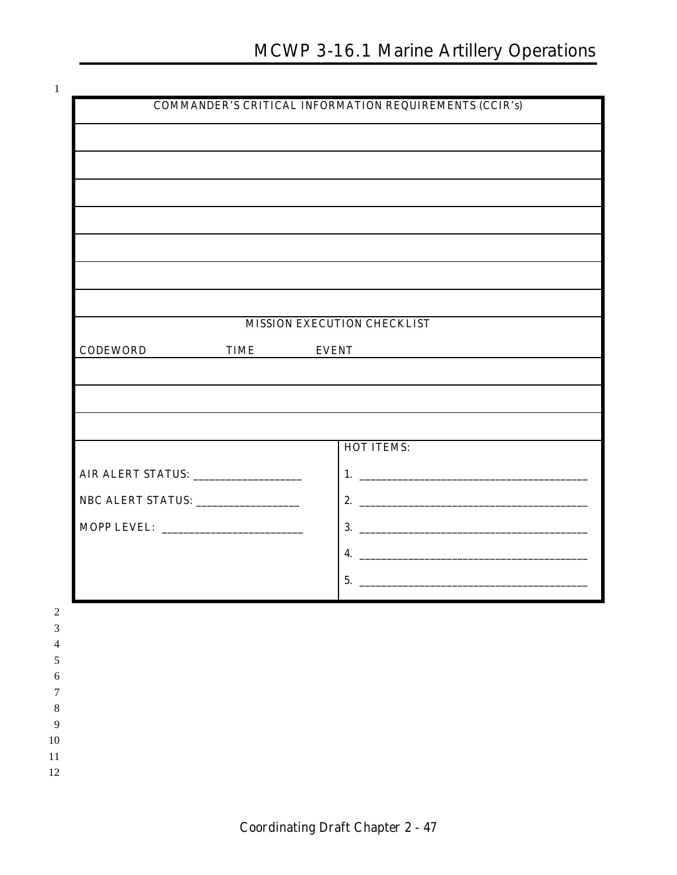|  |  | ۰ |  |
|--|--|---|--|
|  |  |   |  |

|                                    |                   | <b>MISSION EXECUTION CHECKLIST</b>                                                                              |
|------------------------------------|-------------------|-----------------------------------------------------------------------------------------------------------------|
| <b>CODEWORD</b>                    | <b>TIME EVENT</b> | the contract of the contract of the contract of the contract of the contract of the contract of the contract of |
|                                    |                   |                                                                                                                 |
|                                    |                   | ,我们也不会有什么。""我们的人,我们也不会有什么?""我们的人,我们也不会有什么?""我们的人,我们也不会有什么?""我们的人,我们也不会有什么?""我们的人                                |
|                                    |                   |                                                                                                                 |
|                                    |                   | <b>HOT ITEMS:</b>                                                                                               |
|                                    |                   |                                                                                                                 |
| NBC ALERT STATUS: ________________ |                   |                                                                                                                 |
|                                    |                   |                                                                                                                 |
|                                    |                   | 4. $\overline{\phantom{a}}$                                                                                     |
|                                    |                   | 5.                                                                                                              |
|                                    |                   |                                                                                                                 |
|                                    |                   |                                                                                                                 |
|                                    |                   |                                                                                                                 |
|                                    |                   |                                                                                                                 |
|                                    |                   |                                                                                                                 |
|                                    |                   |                                                                                                                 |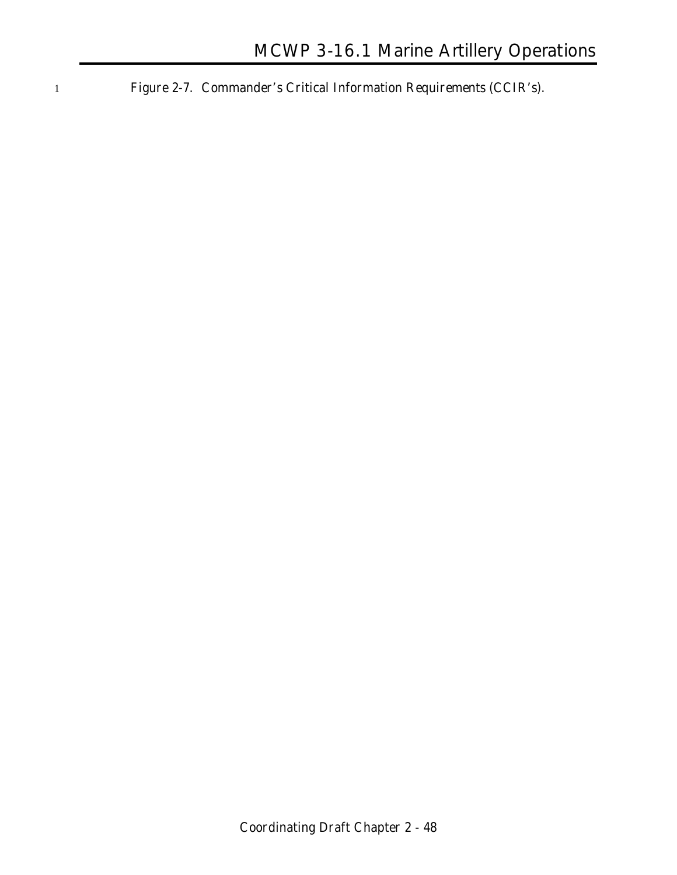1 **Figure 2-7. Commander's Critical Information Requirements (CCIR's).**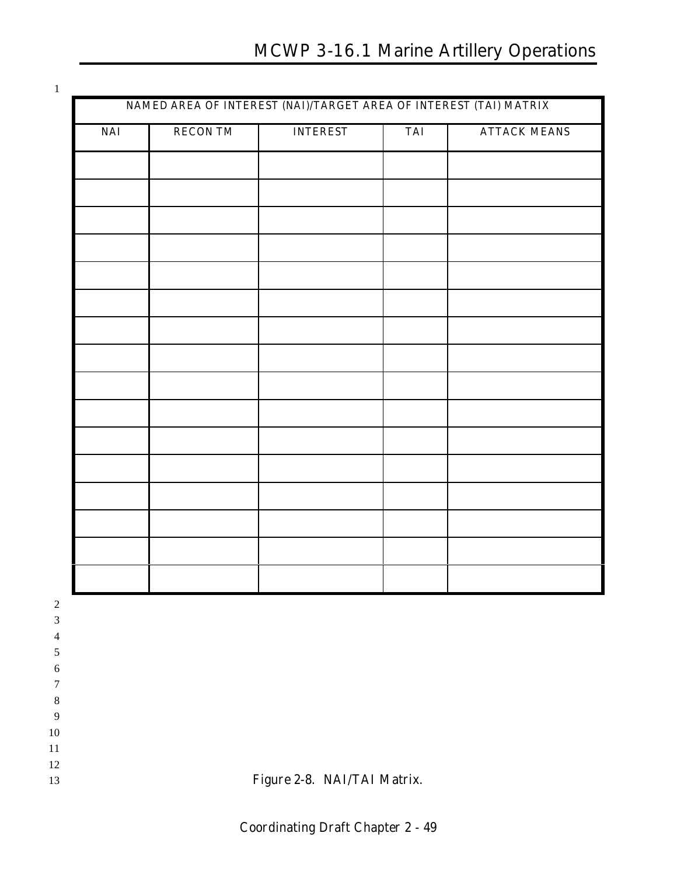# **MCWP 3-16.1 Marine Artillery Operations**

|            |                 |                 |            | NAMED AREA OF INTEREST (NAI)/TARGET AREA OF INTEREST (TAI) MATRIX |  |
|------------|-----------------|-----------------|------------|-------------------------------------------------------------------|--|
| <b>NAI</b> | <b>RECON TM</b> | <b>INTEREST</b> | <b>TAI</b> | <b>ATTACK MEANS</b>                                               |  |
|            |                 |                 |            |                                                                   |  |
|            |                 |                 |            |                                                                   |  |
|            |                 |                 |            |                                                                   |  |
|            |                 |                 |            |                                                                   |  |
|            |                 |                 |            |                                                                   |  |
|            |                 |                 |            |                                                                   |  |
|            |                 |                 |            |                                                                   |  |
|            |                 |                 |            |                                                                   |  |
|            |                 |                 |            |                                                                   |  |
|            |                 |                 |            |                                                                   |  |
|            |                 |                 |            |                                                                   |  |
|            |                 |                 |            |                                                                   |  |
|            |                 |                 |            |                                                                   |  |
|            |                 |                 |            |                                                                   |  |
|            |                 |                 |            |                                                                   |  |
|            |                 |                 |            |                                                                   |  |
|            |                 |                 |            |                                                                   |  |
|            |                 |                 |            |                                                                   |  |
|            |                 |                 |            |                                                                   |  |
|            |                 |                 |            |                                                                   |  |
|            |                 |                 |            |                                                                   |  |
|            |                 |                 |            |                                                                   |  |
|            |                 |                 |            |                                                                   |  |

**Figure 2-8. NAI/TAI Matrix.**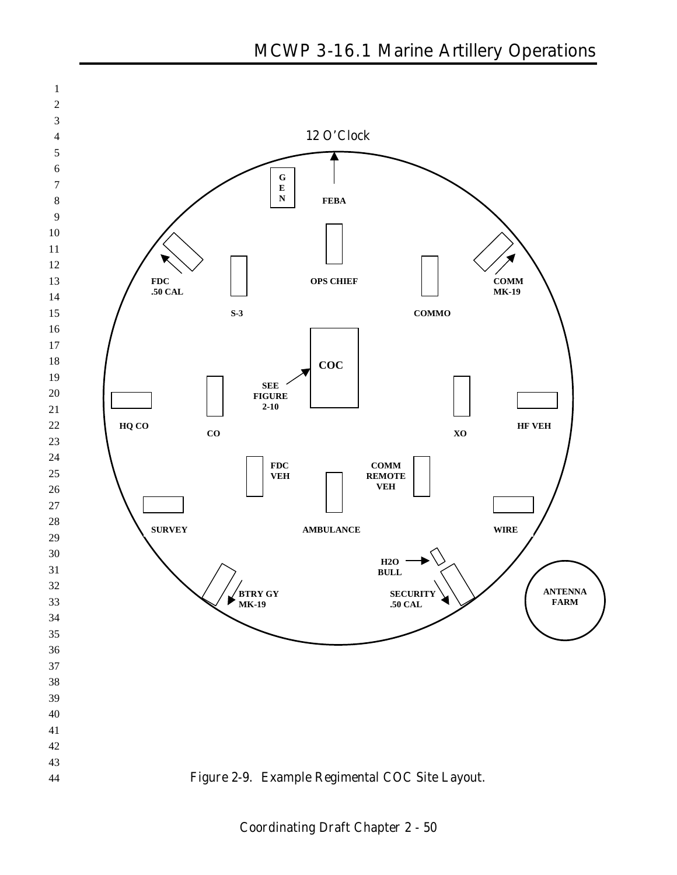

**Coordinating Draft Chapter 2 - 50**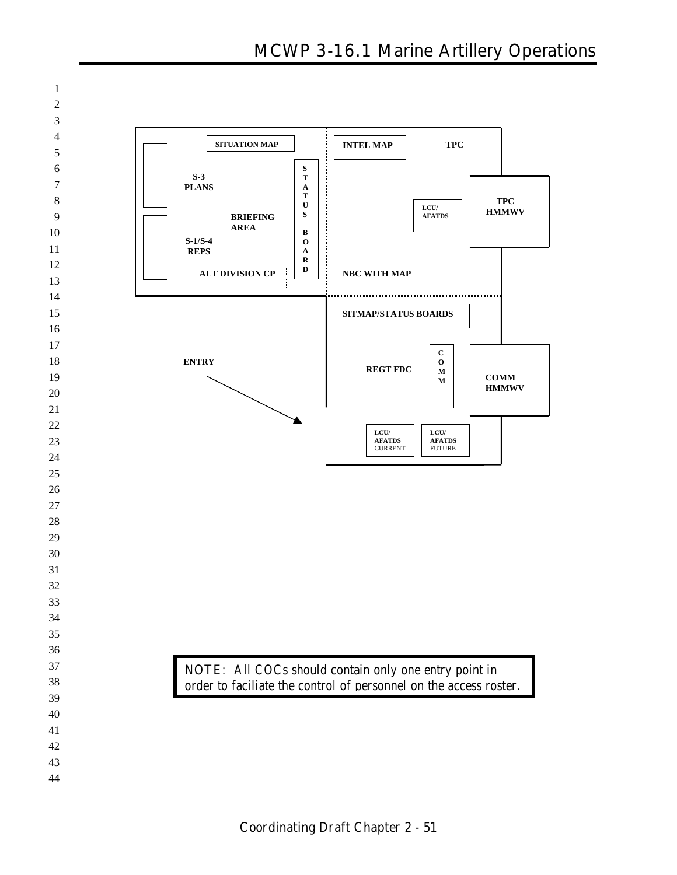